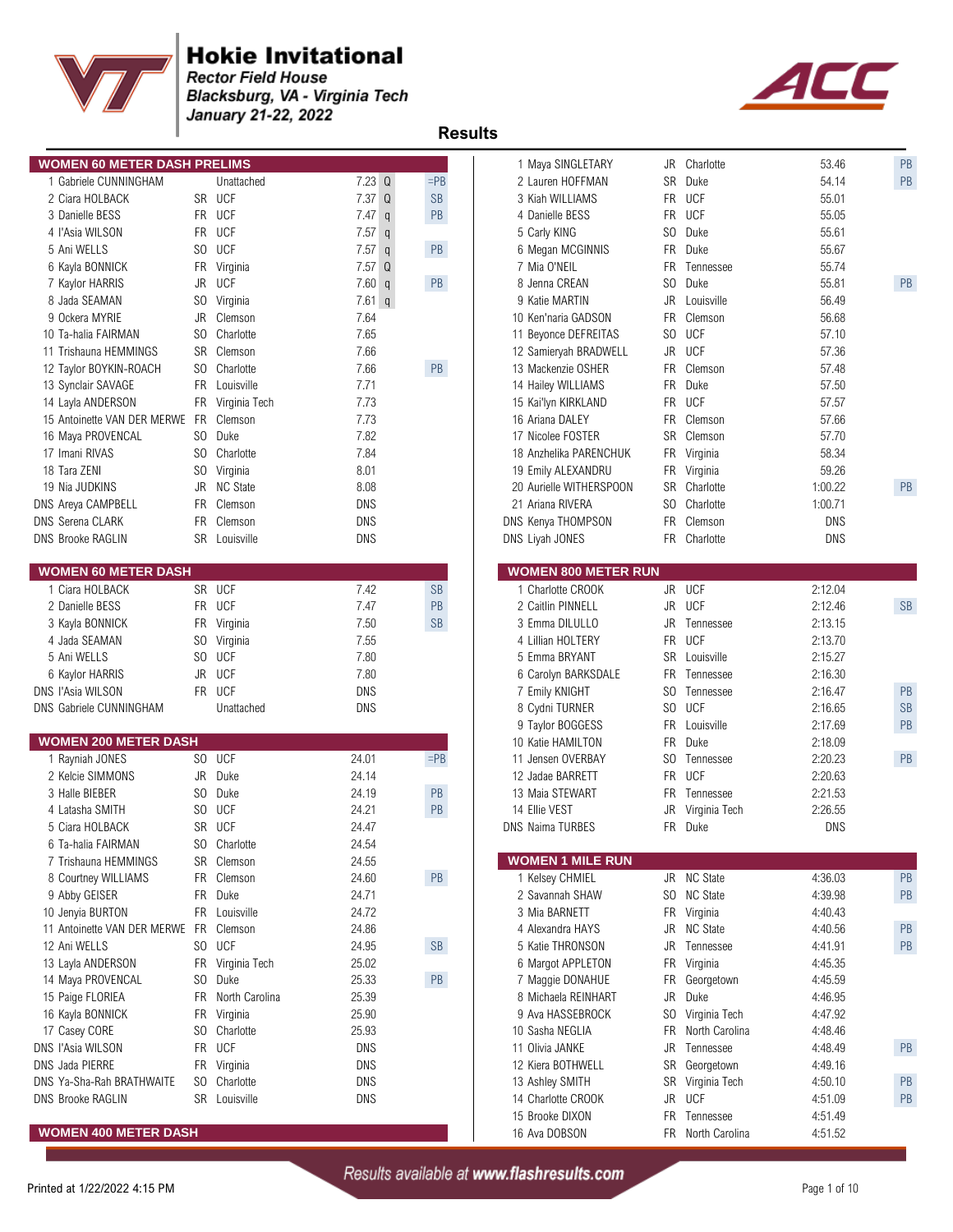

**Rector Field House Blacksburg, VA - Virginia Tech<br>January 21-22, 2022** 



| <b>WOMEN 60 METER DASH PRELIMS</b> |    |                   |                      |               | 1 Maya SINGLETARY          |           | JR Charlotte      | 53.46      | PB        |
|------------------------------------|----|-------------------|----------------------|---------------|----------------------------|-----------|-------------------|------------|-----------|
| 1 Gabriele CUNNINGHAM              |    | Unattached        | $7.23$ Q             | $=$ PB        | 2 Lauren HOFFMAN           | <b>SR</b> | Duke              | 54.14      | PB        |
| 2 Ciara HOLBACK                    |    | SR UCF            | 7.37Q                | <b>SB</b>     | 3 Kiah WILLIAMS            | <b>FR</b> | <b>UCF</b>        | 55.01      |           |
| 3 Danielle BESS                    |    | FR UCF            | 7.47<br>$\mathsf{q}$ | PB            | 4 Danielle BESS            |           | FR UCF            | 55.05      |           |
| 4 l'Asia WILSON                    |    | FR UCF            | 7.57<br>$\mathsf{q}$ |               | 5 Carly KING               | SO.       | Duke              | 55.61      |           |
| 5 Ani WELLS                        |    | SO UCF            | 7.57<br>$\mathsf{q}$ | PB            | 6 Megan MCGINNIS           |           | FR Duke           | 55.67      |           |
| 6 Kayla BONNICK                    |    | FR Virginia       | $7.57$ Q             |               | 7 Mia O'NEIL               | <b>FR</b> | Tennessee         | 55.74      |           |
| 7 Kaylor HARRIS                    | JR | <b>UCF</b>        | 7.60 q               | PB            | 8 Jenna CREAN              | SO.       | Duke              | 55.81      | PB        |
| 8 Jada SEAMAN                      |    | SO Virginia       | $7.61$ q             |               | 9 Katie MARTIN             | JR        | Louisville        | 56.49      |           |
| 9 Ockera MYRIE                     |    | JR Clemson        | 7.64                 |               | 10 Ken'naria GADSON        | <b>FR</b> | Clemson           | 56.68      |           |
| 10 Ta-halia FAIRMAN                |    | SO Charlotte      | 7.65                 |               | 11 Beyonce DEFREITAS       | SO        | <b>UCF</b>        | 57.10      |           |
| 11 Trishauna HEMMINGS              |    | SR Clemson        | 7.66                 |               | 12 Samieryah BRADWELL      | JR        | <b>UCF</b>        | 57.36      |           |
| 12 Taylor BOYKIN-ROACH             |    | SO Charlotte      | 7.66                 | $\mathsf{PB}$ | 13 Mackenzie OSHER         | <b>FR</b> | Clemson           | 57.48      |           |
| 13 Synclair SAVAGE                 |    | FR Louisville     | 7.71                 |               | 14 Hailey WILLIAMS         | <b>FR</b> | Duke              | 57.50      |           |
| 14 Layla ANDERSON                  |    | FR Virginia Tech  | 7.73                 |               | 15 Kai'lyn KIRKLAND        |           | FR UCF            | 57.57      |           |
| 15 Antoinette VAN DER MERWE        |    | FR Clemson        | 7.73                 |               | 16 Ariana DALEY            | <b>FR</b> | Clemson           | 57.66      |           |
| 16 Maya PROVENCAL                  |    | SO Duke           | 7.82                 |               | 17 Nicolee FOSTER          | <b>SR</b> | Clemson           | 57.70      |           |
| 17 Imani RIVAS                     |    | SO Charlotte      | 7.84                 |               | 18 Anzhelika PARENCHUK     |           | FR Virginia       | 58.34      |           |
| 18 Tara ZENI                       |    | SO Virginia       | 8.01                 |               | 19 Emily ALEXANDRU         |           | FR Virginia       | 59.26      |           |
| 19 Nia JUDKINS                     |    | JR NC State       | 8.08                 |               | 20 Aurielle WITHERSPOON    | SR        | Charlotte         | 1:00.22    | PB        |
| DNS Areya CAMPBELL                 |    | FR Clemson        | DNS                  |               | 21 Ariana RIVERA           | SO.       | Charlotte         | 1:00.71    |           |
| <b>DNS Serena CLARK</b>            |    | FR Clemson        | <b>DNS</b>           |               | DNS Kenya THOMPSON         | <b>FR</b> | Clemson           | <b>DNS</b> |           |
| <b>DNS Brooke RAGLIN</b>           |    | SR Louisville     | <b>DNS</b>           |               | DNS Liyah JONES            |           | FR Charlotte      | <b>DNS</b> |           |
|                                    |    |                   |                      |               |                            |           |                   |            |           |
| <b>WOMEN 60 METER DASH</b>         |    |                   |                      |               | <b>WOMEN 800 METER RUN</b> |           |                   |            |           |
| 1 Ciara HOLBACK                    |    | SR UCF            | 7.42                 | <b>SB</b>     | 1 Charlotte CROOK          |           | JR UCF            | 2:12.04    |           |
| 2 Danielle BESS                    |    | FR UCF            | 7.47                 | PB            | 2 Caitlin PINNELL          | JR        | <b>UCF</b>        | 2:12.46    | <b>SB</b> |
| 3 Kayla BONNICK                    |    | FR Virginia       | 7.50                 | <b>SB</b>     | 3 Emma DILULLO             | JR        | Tennessee         | 2:13.15    |           |
| 4 Jada SEAMAN                      |    | SO Virginia       | 7.55                 |               | 4 Lillian HOLTERY          |           | FR UCF            | 2:13.70    |           |
| 5 Ani WELLS                        |    | SO UCF            | 7.80                 |               | 5 Emma BRYANT              |           | SR Louisville     | 2:15.27    |           |
| 6 Kaylor HARRIS                    |    | JR UCF            | 7.80                 |               | 6 Carolyn BARKSDALE        | FR.       | Tennessee         | 2:16.30    |           |
| <b>DNS l'Asia WILSON</b>           |    | FR UCF            | <b>DNS</b>           |               | 7 Emily KNIGHT             | SO.       | Tennessee         | 2:16.47    | PB        |
| DNS Gabriele CUNNINGHAM            |    | Unattached        | <b>DNS</b>           |               | 8 Cydni TURNER             |           | SO UCF            | 2:16.65    | <b>SB</b> |
|                                    |    |                   |                      |               | 9 Taylor BOGGESS           |           | FR Louisville     | 2:17.69    | PB        |
| <b>WOMEN 200 METER DASH</b>        |    |                   |                      |               | 10 Katie HAMILTON          | <b>FR</b> | Duke              | 2:18.09    |           |
| 1 Rayniah JONES                    |    | SO UCF            | 24.01                | $=$ PB        | 11 Jensen OVERBAY          | SO        | Tennessee         | 2:20.23    | PB        |
| 2 Kelcie SIMMONS                   |    | JR Duke           | 24.14                |               | 12 Jadae BARRETT           |           | FR UCF            | 2:20.63    |           |
| 3 Halle BIEBER                     |    | SO Duke           | 24.19                | PB            | 13 Maia STEWART            | FR.       | Tennessee         | 2:21.53    |           |
| 4 Latasha SMITH                    |    | SO UCF            | 24.21                | PB            | 14 Ellie VEST              | JR        | Virginia Tech     | 2:26.55    |           |
| 5 Ciara HOLBACK                    |    | SR UCF            | 24.47                |               | <b>DNS Naima TURBES</b>    |           | FR Duke           | <b>DNS</b> |           |
| 6 Ta-halia FAIRMAN                 |    | SO Charlotte      | 24.54                |               |                            |           |                   |            |           |
| 7 Trishauna HEMMINGS               |    | SR Clemson        | 24.55                |               | <b>WOMEN 1 MILE RUN</b>    |           |                   |            |           |
|                                    |    |                   |                      | PB            | 1 Kelsey CHMIEL            |           |                   |            |           |
| 8 Courtney WILLIAMS                |    | FR Clemson        | 24.60                |               | 2 Savannah SHAW            |           | JR NC State       | 4:36.03    | PB        |
| 9 Abby GEISER                      |    | FR Duke           | 24.71                |               |                            |           | SO NC State       | 4:39.98    | PB        |
| 10 Jenyia BURTON                   |    | FR Louisville     | 24.72                |               | 3 Mia BARNETT              |           | FR Virginia       | 4:40.43    |           |
| 11 Antoinette VAN DER MERWE        |    | FR Clemson        | 24.86                |               | 4 Alexandra HAYS           | JR        | <b>NC State</b>   | 4:40.56    | PB        |
| 12 Ani WELLS                       |    | SO UCF            | 24.95                | SB            | 5 Katie THRONSON           | JR        | Tennessee         | 4:41.91    | PB        |
| 13 Layla ANDERSON                  |    | FR Virginia Tech  | 25.02                |               | 6 Margot APPLETON          |           | FR Virginia       | 4:45.35    |           |
| 14 Maya PROVENCAL                  |    | SO Duke           | 25.33                | PB            | 7 Maggie DONAHUE           | FR        | Georgetown        | 4:45.59    |           |
| 15 Paige FLORIEA                   |    | FR North Carolina | 25.39                |               | 8 Michaela REINHART        | <b>JR</b> | Duke              | 4:46.95    |           |
| 16 Kayla BONNICK                   |    | FR Virginia       | 25.90                |               | 9 Ava HASSEBROCK           |           | SO Virginia Tech  | 4:47.92    |           |
| 17 Casey CORE                      |    | SO Charlotte      | 25.93                |               | 10 Sasha NEGLIA            | FR        | North Carolina    | 4:48.46    |           |
| <b>DNS l'Asia WILSON</b>           |    | FR UCF            | DNS                  |               | 11 Olivia JANKE            | JR        | Tennessee         | 4:48.49    | PB        |
| <b>DNS Jada PIERRE</b>             |    | FR Virginia       | DNS                  |               | 12 Kiera BOTHWELL          |           | SR Georgetown     | 4:49.16    |           |
| DNS Ya-Sha-Rah BRATHWAITE          |    | SO Charlotte      | DNS                  |               | 13 Ashley SMITH            |           | SR Virginia Tech  | 4:50.10    | PB        |
| <b>DNS Brooke RAGLIN</b>           |    | SR Louisville     | DNS                  |               | 14 Charlotte CROOK         |           | JR UCF            | 4:51.09    | PB        |
|                                    |    |                   |                      |               | 15 Brooke DIXON            |           | FR Tennessee      | 4:51.49    |           |
| <b>WOMEN 400 METER DASH</b>        |    |                   |                      |               | 16 Ava DOBSON              |           | FR North Carolina | 4:51.52    |           |

| 1 Maya SINGLETARY                          | JR             | Charlotte        | 53.46              | <b>PB</b> |
|--------------------------------------------|----------------|------------------|--------------------|-----------|
| 2 Lauren HOFFMAN                           | SR             | Duke             | 54.14              | PB        |
| 3 Kiah WILLIAMS                            | FR.            | <b>UCF</b>       | 55.01              |           |
| 4 Danielle BESS                            | FR.            | UCF              | 55.05              |           |
| 5 Carly KING                               | SO             | Duke             | 55.61              |           |
| 6 Megan MCGINNIS                           | FR.            | Duke             | 55.67              |           |
| 7 Mia O'NEIL                               | FR.            | Tennessee        | 55.74              |           |
| 8 Jenna CREAN                              | SO.            | Duke             | 55.81              | PB        |
| 9 Katie MARTIN                             | JR             | Louisville       | 56.49              |           |
| 10 Ken'naria GADSON                        | FR.            | Clemson          | 56.68              |           |
| 11 Beyonce DEFREITAS                       | SO.            | UCF              | 57.10              |           |
| 12 Samieryah BRADWELL                      | JR             | UCF              | 57.36              |           |
| 13 Mackenzie OSHER                         | FR.            | Clemson          | 57.48              |           |
| 14 Hailey WILLIAMS                         | <b>FR</b>      | Duke             | 57.50              |           |
| 15 Kai'lyn KIRKLAND                        | FR.            | <b>UCF</b>       | 57.57              |           |
| 16 Ariana DALEY                            | FR.            | Clemson          | 57.66              |           |
| 17 Nicolee FOSTER                          | SR             | Clemson          | 57.70              |           |
| 18 Anzhelika PARENCHUK                     | FR             | Virginia         | 58.34              |           |
| 19 Emily ALEXANDRU                         | FR             | Virginia         | 59.26              |           |
| 20 Aurielle WITHERSPOON                    |                | SR Charlotte     | 1:00.22            | PB        |
| 21 Ariana RIVERA                           | SO.            | Charlotte        | 1:00.71            |           |
| DNS Kenya THOMPSON                         | FR.            | Clemson          | DNS                |           |
| DNS Liyah JONES                            | FR.            | Charlotte        | DNS                |           |
|                                            |                |                  |                    |           |
| <b>WOMEN 800 METER RUN</b>                 |                |                  |                    |           |
| 1 Charlotte CROOK                          | JR             | <b>UCF</b>       | 2:12.04            |           |
| 2 Caitlin PINNELL                          | JR             | <b>UCF</b>       | 2:12.46            | SB        |
| 3 Emma DILULLO                             | JR             | Tennessee        | 2:13.15            |           |
| 4 Lillian HOLTERY                          | FR.            | UCF              | 2:13.70            |           |
| 5 Emma BRYANT                              | SR             | Louisville       | 2:15.27            |           |
| 6 Carolyn BARKSDALE                        | FR.            | Tennessee        | 2:16.30            |           |
| 7 Emily KNIGHT                             | S <sub>0</sub> | Tennessee        | 2:16.47            | <b>PB</b> |
| 8 Cydni TURNER                             | SO.            | <b>UCF</b>       | 2:16.65            | SB        |
| 9 Taylor BOGGESS                           | FR.            | Louisville       | 2:17.69            | PB        |
| 10 Katie HAMILTON                          | FR.            | Duke             | 2:18.09            |           |
| 11 Jensen OVERBAY                          | SO.            | Tennessee        | 2:20.23            | PB        |
| 12 Jadae BARRETT                           | FR.            | <b>UCF</b>       | 2:20.63            |           |
| 13 Maia STEWART                            | FR             | Tennessee        | 2:21.53            |           |
| 14 Ellie VEST                              | JR             | Virginia Tech    | 2:26.55            |           |
| DNS Naima TURBES                           | FR             | Duke             | DNS                |           |
|                                            |                |                  |                    |           |
| <b>WOMEN 1 MILE RUN</b><br>1 Kelsey CHMIEL | JR             | <b>NC State</b>  | 4:36.03            | PB        |
| 2 Savannah SHAW                            | SO.            | <b>NC State</b>  | 4:39.98            | PB        |
| 3 Mia BARNETT                              | FR.            | Virginia         | 4:40.43            |           |
| 4 Alexandra HAYS                           | JR             | <b>NC State</b>  | 4:40.56            | PB        |
| 5 Katie THRONSON                           | JR.            | Tennessee        | 4:41.91            | PB        |
| 6 Margot APPLETON                          | FR.            | Virginia         | 4:45.35            |           |
| 7 Maggie DONAHUE                           | FR.            | Georgetown       | 4:45.59            |           |
| 8 Michaela REINHART                        | JR             | Duke             | 4:46.95            |           |
| 9 Ava HASSEBROCK                           | SO.            | Virginia Tech    | 4:47.92            |           |
| 10 Sasha NEGLIA                            | FR.            | North Carolina   | 4:48.46            |           |
| 11 Olivia JANKE                            | JR             | Tennessee        | 4:48.49            | PB        |
| 12 Kiera BOTHWELL                          |                |                  |                    |           |
|                                            | SR             | Georgetown       | 4:49.16            | PB        |
| 13 Ashley SMITH<br>14 Charlotte CROOK      | SR             | Virginia Tech    | 4:50.10            |           |
| 15 Brooke DIXON                            | JR<br>FR.      | UCF<br>Tennessee | 4:51.09<br>4:51.49 | PB        |
|                                            |                |                  |                    |           |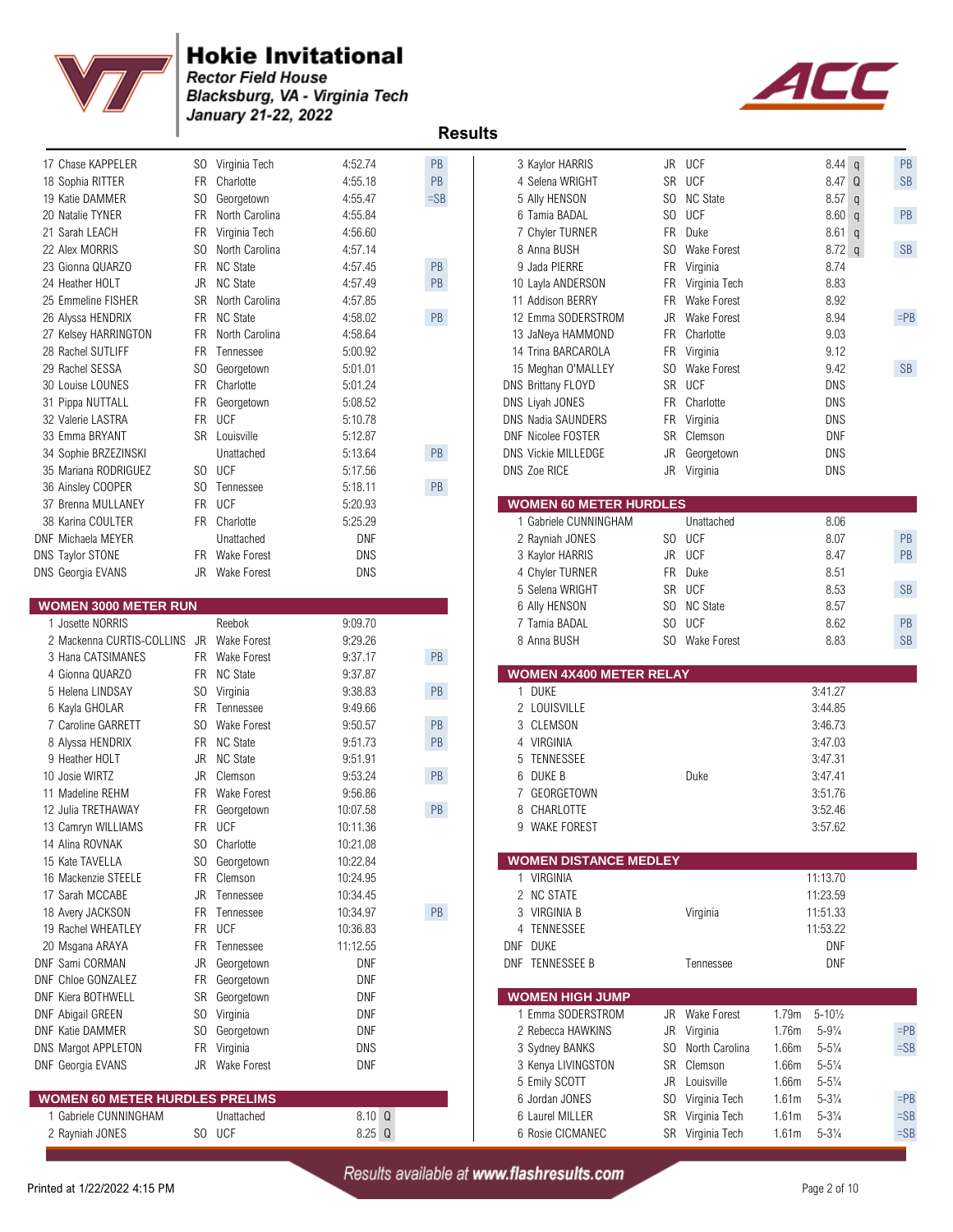

**Rector Field House** Blacksburg, VA - Virginia Tech January 21-22, 2022



 **Results** 

| 17 Chase KAPPELER                        |           | SO Virginia Tech     | 4:52.74          | PB            | 3 Kaylor HARRIS                     | JR             | <b>UCF</b>                           | 8.44 <sub>q</sub>                                          | PB               |
|------------------------------------------|-----------|----------------------|------------------|---------------|-------------------------------------|----------------|--------------------------------------|------------------------------------------------------------|------------------|
| 18 Sophia RITTER                         |           | FR Charlotte         | 4:55.18          | PB            | 4 Selena WRIGHT                     |                | SR UCF                               | 8.47 Q                                                     | <b>SB</b>        |
| 19 Katie DAMMER                          |           | SO Georgetown        | 4.55.47          | $=SB$         | 5 Ally HENSON                       |                | SO NC State                          | $8.57$ q                                                   |                  |
| 20 Natalie TYNER                         |           | FR North Carolina    | 4:55.84          |               | 6 Tamia BADAL                       |                | SO UCF                               | 8.60 q                                                     | PB               |
| 21 Sarah LEACH                           |           | FR Virginia Tech     | 4:56.60          |               | 7 Chyler TURNER                     | <b>FR</b>      | Duke                                 | $8.61$ q                                                   |                  |
| 22 Alex MORRIS                           |           | North Carolina       | 4:57.14          |               |                                     | S <sub>0</sub> | Wake Forest                          |                                                            | SB               |
|                                          | SO.       |                      |                  |               | 8 Anna BUSH                         |                |                                      | $8.72 \text{ q}$                                           |                  |
| 23 Gionna QUARZO                         |           | FR NC State          | 4:57.45          | $\mathsf{PB}$ | 9 Jada PIERRE                       |                | FR Virginia                          | 8.74                                                       |                  |
| 24 Heather HOLT                          | JR        | <b>NC State</b>      | 4:57.49          | PB            | 10 Layla ANDERSON                   | FR             | Virginia Tech                        | 8.83                                                       |                  |
| 25 Emmeline FISHER                       |           | SR North Carolina    | 4:57.85          |               | 11 Addison BERRY                    |                | FR Wake Forest                       | 8.92                                                       |                  |
| 26 Alyssa HENDRIX                        |           | FR NC State          | 4:58.02          | PB            | 12 Emma SODERSTROM                  |                | JR Wake Forest                       | 8.94                                                       | $=$ PB           |
| 27 Kelsey HARRINGTON                     |           | FR North Carolina    | 4:58.64          |               | 13 JaNeya HAMMOND                   | <b>FR</b>      | Charlotte                            | 9.03                                                       |                  |
| 28 Rachel SUTLIFF                        | <b>FR</b> | Tennessee            | 5:00.92          |               | 14 Trina BARCAROLA                  |                | FR Virginia                          | 9.12                                                       |                  |
| 29 Rachel SESSA                          | SO.       | Georgetown           | 5:01.01          |               | 15 Meghan O'MALLEY                  | SO.            | <b>Wake Forest</b>                   | 9.42                                                       | SB               |
| 30 Louise LOUNES                         |           | FR Charlotte         | 5:01.24          |               | DNS Brittany FLOYD                  | SR             | UCF                                  | <b>DNS</b>                                                 |                  |
| 31 Pippa NUTTALL                         |           | FR Georgetown        | 5:08.52          |               | DNS Liyah JONES                     |                | FR Charlotte                         | <b>DNS</b>                                                 |                  |
| 32 Valerie LASTRA                        |           | FR UCF               | 5:10.78          |               | DNS Nadia SAUNDERS                  |                | FR Virginia                          | DNS                                                        |                  |
| 33 Emma BRYANT                           |           | SR Louisville        | 5:12.87          |               | <b>DNF Nicolee FOSTER</b>           | SR             | Clemson                              | <b>DNF</b>                                                 |                  |
| 34 Sophie BRZEZINSKI                     |           | Unattached           | 5:13.64          | PB            | <b>DNS Vickie MILLEDGE</b>          | <b>JR</b>      | Georgetown                           | <b>DNS</b>                                                 |                  |
| 35 Mariana RODRIGUEZ                     |           | SO UCF               | 5:17.56          |               | DNS Zoe RICE                        |                | JR Virginia                          | DNS                                                        |                  |
| 36 Ainsley COOPER                        |           | SO Tennessee         | 5:18.11          | PB            |                                     |                |                                      |                                                            |                  |
| 37 Brenna MULLANEY                       |           | FR UCF               | 5:20.93          |               | <b>WOMEN 60 METER HURDLES</b>       |                |                                      |                                                            |                  |
| 38 Karina COULTER                        |           | FR Charlotte         | 5:25.29          |               | 1 Gabriele CUNNINGHAM               |                | Unattached                           | 8.06                                                       |                  |
| DNF Michaela MEYER                       |           | Unattached           | <b>DNF</b>       |               | 2 Rayniah JONES                     |                | SO UCF                               | 8.07                                                       | PB               |
| DNS Taylor STONE                         |           | FR Wake Forest       | <b>DNS</b>       |               | 3 Kaylor HARRIS                     | JR             | <b>UCF</b>                           | 8.47                                                       | PB               |
| <b>DNS Georgia EVANS</b>                 |           | JR Wake Forest       | <b>DNS</b>       |               | 4 Chyler TURNER                     |                | FR Duke                              | 8.51                                                       |                  |
|                                          |           |                      |                  |               | 5 Selena WRIGHT                     |                | SR UCF                               | 8.53                                                       | <b>SB</b>        |
| <b>WOMEN 3000 METER RUN</b>              |           |                      |                  |               | 6 Ally HENSON                       |                | SO NC State                          | 8.57                                                       |                  |
| 1 Josette NORRIS                         |           | Reebok               | 9:09.70          |               | 7 Tamia BADAL                       |                | SO UCF                               | 8.62                                                       | PB               |
|                                          |           |                      |                  |               |                                     |                |                                      |                                                            |                  |
|                                          |           |                      |                  |               |                                     |                |                                      |                                                            |                  |
| 2 Mackenna CURTIS-COLLINS JR             |           | <b>Wake Forest</b>   | 9:29.26          |               | 8 Anna BUSH                         |                | SO Wake Forest                       | 8.83                                                       | <b>SB</b>        |
| 3 Hana CATSIMANES                        |           | FR Wake Forest       | 9:37.17          | PB            |                                     |                |                                      |                                                            |                  |
| 4 Gionna QUARZO                          |           | FR NC State          | 9:37.87          |               | <b>WOMEN 4X400 METER RELAY</b>      |                |                                      |                                                            |                  |
| 5 Helena LINDSAY                         |           | SO Virginia          | 9:38.83          | PB            | 1 DUKE                              |                |                                      | 3:41.27                                                    |                  |
| 6 Kayla GHOLAR                           |           | FR Tennessee         | 9:49.66          |               | 2 LOUISVILLE                        |                |                                      | 3:44.85                                                    |                  |
| 7 Caroline GARRETT                       |           | SO Wake Forest       | 9:50.57          | PB            | CLEMSON<br>3                        |                |                                      | 3:46.73                                                    |                  |
| 8 Alyssa HENDRIX                         |           | FR NC State          | 9.51.73          | PB            | VIRGINIA<br>4                       |                |                                      | 3:47.03                                                    |                  |
| 9 Heather HOLT                           | JR        | <b>NC State</b>      | 9:51.91          |               | TENNESSEE<br>5                      |                |                                      | 3:47.31                                                    |                  |
| 10 Josie WIRTZ                           |           | JR Clemson           | 9:53.24          | PB            | DUKE B<br>6                         |                | Duke                                 | 3:47.41                                                    |                  |
| 11 Madeline REHM                         |           | FR Wake Forest       | 9.56.86          |               | GEORGETOWN<br>7                     |                |                                      | 3:51.76                                                    |                  |
| 12 Julia TRETHAWAY                       |           | FR Georgetown        | 10:07.58         | PB            | CHARLOTTE<br>8                      |                |                                      | 3:52.46                                                    |                  |
| 13 Camryn WILLIAMS                       | <b>FR</b> | UCF                  | 10:11.36         |               | <b>WAKE FOREST</b><br>9             |                |                                      | 3:57.62                                                    |                  |
| 14 Alina ROVNAK                          |           | SO Charlotte         | 10:21.08         |               |                                     |                |                                      |                                                            |                  |
| 15 Kate TAVELLA                          |           | SO Georgetown        | 10:22.84         |               | <b>WOMEN DISTANCE MEDLEY</b>        |                |                                      |                                                            |                  |
| 16 Mackenzie STEELE                      |           | FR Clemson           | 10:24.95         |               | 1 VIRGINIA                          |                |                                      | 11:13.70                                                   |                  |
| 17 Sarah MCCABE                          |           | JR Tennessee         | 10:34.45         |               | 2 NC STATE                          |                |                                      | 11:23.59                                                   |                  |
| 18 Avery JACKSON                         |           | FR Tennessee         | 10:34.97         | PB            | 3 VIRGINIA B                        |                | Virginia                             | 11:51.33                                                   |                  |
| 19 Rachel WHEATLEY                       |           | FR UCF               | 10:36.83         |               | TENNESSEE<br>4                      |                |                                      | 11:53.22                                                   |                  |
| 20 Msgana ARAYA                          |           | FR Tennessee         | 11:12.55         |               | DNF DUKE                            |                |                                      | DNF                                                        |                  |
| DNF Sami CORMAN                          |           | JR Georgetown        | DNF              |               | DNF TENNESSEE B                     |                | Tennessee                            | <b>DNF</b>                                                 |                  |
| <b>DNF Chloe GONZALEZ</b>                |           | FR Georgetown        | DNF              |               |                                     |                |                                      |                                                            |                  |
| DNF Kiera BOTHWELL                       |           | SR Georgetown        | <b>DNF</b>       |               | <b>WOMEN HIGH JUMP</b>              |                |                                      |                                                            |                  |
|                                          |           |                      | DNF              |               | 1 Emma SODERSTROM                   |                |                                      | 1.79m                                                      |                  |
| DNF Abigail GREEN                        |           | SO Virginia          | DNF              |               | 2 Rebecca HAWKINS                   |                | JR Wake Forest                       | $5 - 10\frac{1}{2}$<br>1.76m                               | $=$ PB           |
| <b>DNF Katie DAMMER</b>                  |           | SO Georgetown        |                  |               |                                     | JR<br>SO.      | Virginia<br>North Carolina           | $5 - 9\frac{1}{4}$                                         |                  |
| DNS Margot APPLETON                      | FR        | Virginia             | <b>DNS</b>       |               | 3 Sydney BANKS                      |                |                                      | 1.66m<br>$5 - 5\frac{1}{4}$                                | $=SB$            |
| DNF Georgia EVANS                        |           | JR Wake Forest       | DNF              |               | 3 Kenya LIVINGSTON                  |                | SR Clemson                           | 1.66m<br>$5 - 5\frac{1}{4}$                                |                  |
|                                          |           |                      |                  |               | 5 Emily SCOTT                       | JR             | Louisville                           | 1.66m<br>$5 - 5\frac{1}{4}$                                |                  |
| <b>WOMEN 60 METER HURDLES PRELIMS</b>    |           |                      |                  |               | 6 Jordan JONES                      | SO             | Virginia Tech                        | $5 - 3\frac{1}{4}$<br>1.61m                                | $=$ PB           |
| 1 Gabriele CUNNINGHAM<br>2 Rayniah JONES |           | Unattached<br>SO UCF | 8.10 Q<br>8.25 Q |               | 6 Laurel MILLER<br>6 Rosie CICMANEC |                | SR Virginia Tech<br>SR Virginia Tech | 1.61m<br>$5 - 3\frac{1}{4}$<br>$5 - 3\frac{1}{4}$<br>1.61m | $=$ SB<br>$=$ SB |

|    | 3 Kaylor HARRIS                             | JR         | UCF                            | 8.44<br>q                                                   | PB        |
|----|---------------------------------------------|------------|--------------------------------|-------------------------------------------------------------|-----------|
|    | 4 Selena WRIGHT                             | SR         | <b>UCF</b>                     | 8.47<br>Q                                                   | SB        |
|    | 5 Ally HENSON                               | SO.        | <b>NC State</b>                | 8.57<br>$\mathsf{q}$                                        |           |
|    | 6 Tamia BADAL                               | SO.        | <b>UCF</b>                     | 8.60<br>q                                                   | PB        |
|    | 7 Chyler TURNER                             | FR.        | Duke                           | 8.61<br>$\mathsf{q}$                                        |           |
|    | 8 Anna BUSH                                 | SO.        | <b>Wake Forest</b>             | $8.72$ q                                                    | SB        |
|    | 9 Jada PIERRE                               | FR         | Virginia                       | 8.74                                                        |           |
|    | 10 Layla ANDERSON                           | FR.        | Virginia Tech                  | 8.83                                                        |           |
|    | 11 Addison BERRY                            | FR.        | Wake Forest                    | 8.92                                                        |           |
|    | 12 Emma SODERSTROM                          | JR         | Wake Forest                    | 8.94                                                        | $=$ PB    |
|    | 13 JaNeya HAMMOND<br>14 Trina BARCAROLA     | FR.<br>FR  | Charlotte                      | 9.03<br>9.12                                                |           |
|    | 15 Meghan O'MALLEY                          | SO.        | Virginia<br><b>Wake Forest</b> | 9.42                                                        | SB        |
|    | <b>NS Brittany FLOYD</b>                    | SR         | UCF                            | DNS                                                         |           |
|    | <b>VS Liyah JONES</b>                       | FR.        | Charlotte                      | DNS                                                         |           |
|    | VS Nadia SAUNDERS                           | FR         | Virginia                       | DNS                                                         |           |
|    | NF Nicolee FOSTER                           | SR         | Clemson                        | DNF                                                         |           |
|    | <b>VS Vickie MILLEDGE</b>                   | JR         | Georgetown                     | DNS                                                         |           |
|    | <b>NS Zoe RICE</b>                          | JR         | Virginia                       | DNS                                                         |           |
|    |                                             |            |                                |                                                             |           |
|    | <b>VOMEN 60 METER HURDLES</b>               |            |                                |                                                             |           |
|    | 1 Gabriele CUNNINGHAM                       |            | Unattached                     | 8.06                                                        |           |
|    | 2 Rayniah JONES                             |            | SO UCF                         | 8.07                                                        | <b>PB</b> |
|    | 3 Kaylor HARRIS                             | JR         | UCF                            | 8.47                                                        | PB        |
|    | 4 Chyler TURNER                             | FR         | Duke                           | 8.51                                                        |           |
|    | 5 Selena WRIGHT                             | SR         | UCF                            | 8.53                                                        | SB        |
|    | 6 Ally HENSON<br>7 Tamia BADAL              | SO.<br>SO. | <b>NC State</b><br><b>UCF</b>  | 8.57<br>8.62                                                | PB        |
|    | 8 Anna BUSH                                 | SO.        | <b>Wake Forest</b>             | 8.83                                                        | SB        |
|    |                                             |            |                                |                                                             |           |
|    | <b>VOMEN 4X400 METER RELAY</b>              |            |                                |                                                             |           |
|    |                                             |            |                                |                                                             |           |
| 1. | <b>DUKE</b>                                 |            |                                | 3:41.27                                                     |           |
|    | 2 LOUISVILLE                                |            |                                | 3:44.85                                                     |           |
|    | 3 CLEMSON                                   |            |                                | 3:46.73                                                     |           |
|    | 4 VIRGINIA                                  |            |                                | 3:47.03                                                     |           |
|    | 5 TENNESSEE                                 |            |                                | 3:47.31                                                     |           |
|    | 6 DUKE B                                    |            | Duke                           | 3:47.41                                                     |           |
|    | 7 GEORGETOWN                                |            |                                | 3:51.76                                                     |           |
| 8  | CHARLOTTE                                   |            |                                | 3:52.46                                                     |           |
|    | 9 WAKE FOREST                               |            |                                | 3:57.62                                                     |           |
|    | <b>VOMEN DISTANCE MEDLEY</b>                |            |                                |                                                             |           |
| 1. | <b>VIRGINIA</b>                             |            |                                | 11:13.70                                                    |           |
|    | 2 NC STATE                                  |            |                                | 11:23.59                                                    |           |
|    | 3 VIRGINIA B                                |            | Virginia                       | 11:51.33                                                    |           |
|    | 4 TENNESSEE                                 |            |                                | 11:53.22                                                    |           |
|    | NF DUKE                                     |            |                                | DNF                                                         |           |
|    | NF TENNESSEE B                              |            | Tennessee                      | DNF                                                         |           |
|    |                                             |            |                                |                                                             |           |
|    | <b>VOMEN HIGH JUMP</b><br>1 Emma SODERSTROM | JR         | Wake Forest                    |                                                             |           |
|    | 2 Rebecca HAWKINS                           | JR         |                                | 1.79m<br>$5 - 10\frac{1}{2}$<br>1.76m<br>$5 - 9\frac{1}{4}$ | $=$ PB    |
|    |                                             | SO.        | Virginia<br>North Carolina     | 1.66m<br>$5 - 5\frac{1}{4}$                                 | $=$ SB    |
|    | 3 Sydney BANKS<br>3 Kenya LIVINGSTON        | SR         | Clemson                        | $5 - 5\frac{1}{4}$<br>1.66m                                 |           |
|    | 5 Emily SCOTT                               | JR         | Louisville                     | 1.66m<br>$5 - 5\frac{1}{4}$                                 |           |
|    | 6 Jordan JONES                              | SO.        | Virginia Tech                  | $5 - 3\frac{1}{4}$<br>1.61m                                 | $=$ PB    |
|    | 6 Laurel MILLER                             | SR         | Virginia Tech<br>Virginia Tech | $5 - 3\frac{1}{4}$<br>1.61m                                 | $=$ SB    |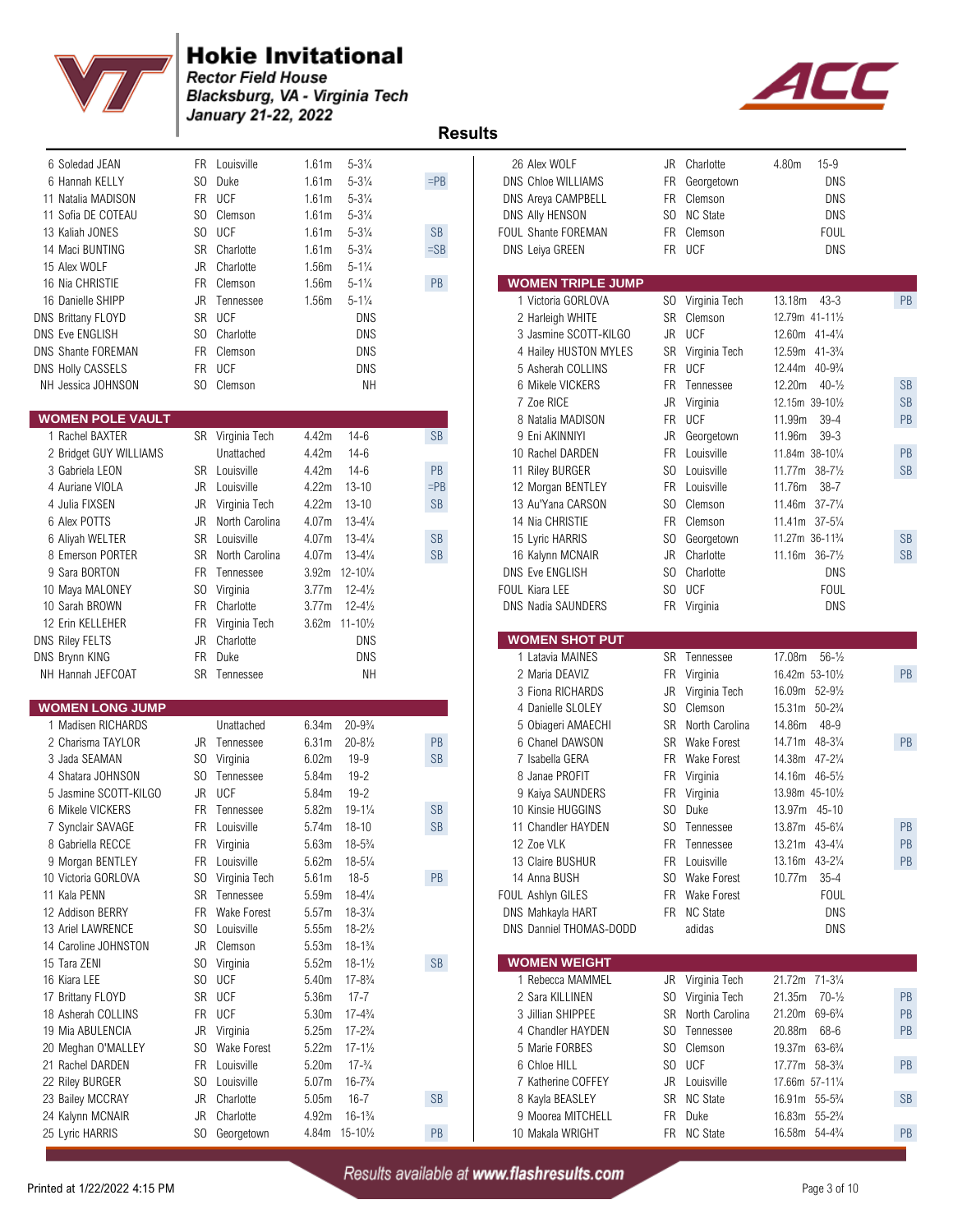

**Rector Field House Blacksburg, VA - Virginia Tech<br>January 21-22, 2022** 



| FR UCF<br>$5 - 3\frac{1}{4}$<br>11 Natalia MADISON<br>1.61 <sub>m</sub><br>DNS Areya CAMPBELL<br>FR.<br>Clemson<br>SO Clemson<br>$5 - 3\frac{1}{4}$<br>S <sub>0</sub><br><b>NC State</b><br>11 Sofia DE COTEAU<br>1.61 <sub>m</sub><br>DNS Ally HENSON<br>SO UCF<br>$5 - 3\frac{1}{4}$<br><b>SB</b><br>FR.<br>Clemson<br>13 Kaliah JONES<br>1.61 <sub>m</sub><br>FOUL Shante FOREMAN<br>FR UCF<br>SR Charlotte<br>$5 - 3\frac{1}{4}$<br>$=SB$<br>14 Maci BUNTING<br>1.61 <sub>m</sub><br>DNS Leiya GREEN<br>Charlotte<br>1.56m<br>$5 - 1\frac{1}{4}$<br>15 Alex WOLF<br>JR | $15 - 9$<br>4.80m<br>JR Charlotte<br>Georgetown<br><b>DNS</b><br><b>DNS</b><br><b>DNS</b><br><b>FOUL</b><br><b>DNS</b> |
|----------------------------------------------------------------------------------------------------------------------------------------------------------------------------------------------------------------------------------------------------------------------------------------------------------------------------------------------------------------------------------------------------------------------------------------------------------------------------------------------------------------------------------------------------------------------------|------------------------------------------------------------------------------------------------------------------------|
| PB<br><b>WOMEN TRIPLE JUMP</b><br>Clemson<br>1.56m<br>$5 - 1\frac{1}{4}$<br>16 Nia CHRISTIE<br>FR                                                                                                                                                                                                                                                                                                                                                                                                                                                                          |                                                                                                                        |
| $5 - 1\frac{1}{4}$<br>SO Virginia Tech<br>16 Danielle SHIPP<br>JR Tennessee<br>1.56m<br>1 Victoria GORLOVA                                                                                                                                                                                                                                                                                                                                                                                                                                                                 | 13.18m<br>$43 - 3$<br>PB                                                                                               |
| SR UCF<br><b>DNS</b><br><b>SR</b><br>Clemson<br>DNS Brittany FLOYD<br>2 Harleigh WHITE                                                                                                                                                                                                                                                                                                                                                                                                                                                                                     | 12.79m 41-111/2                                                                                                        |
| <b>UCF</b><br>SO Charlotte<br><b>DNS</b><br><b>JR</b><br><b>DNS Eve ENGLISH</b><br>3 Jasmine SCOTT-KILGO                                                                                                                                                                                                                                                                                                                                                                                                                                                                   | 12.60m 41-41/4                                                                                                         |
| FR Clemson<br><b>DNS</b><br><b>DNS Shante FOREMAN</b><br>4 Hailey HUSTON MYLES<br>SR<br>Virginia Tech                                                                                                                                                                                                                                                                                                                                                                                                                                                                      | 12.59m 41-3 <sup>3</sup> / <sub>4</sub>                                                                                |
| FR UCF<br><b>UCF</b><br><b>FR</b><br>DNS Holly CASSELS<br>DNS<br>5 Asherah COLLINS                                                                                                                                                                                                                                                                                                                                                                                                                                                                                         | 12.44m<br>$40 - 9\frac{3}{4}$                                                                                          |
| SO Clemson<br>6 Mikele VICKERS<br>NH Jessica JOHNSON<br>NΗ<br>FR<br>Tennessee                                                                                                                                                                                                                                                                                                                                                                                                                                                                                              | 12.20m<br>$40 - \frac{1}{2}$<br><b>SB</b>                                                                              |
| 7 Zoe RICE<br>JR<br>Virginia                                                                                                                                                                                                                                                                                                                                                                                                                                                                                                                                               | <b>SB</b><br>12.15m 39-101/2                                                                                           |
| UCF<br><b>WOMEN POLE VAULT</b><br><b>FR</b><br>8 Natalia MADISON                                                                                                                                                                                                                                                                                                                                                                                                                                                                                                           | PB<br>11.99m<br>$39 - 4$                                                                                               |
| 1 Rachel BAXTER<br>$14-6$<br><b>SB</b><br>9 Eni AKINNIYI<br>SR Virginia Tech<br>4.42m<br>JR<br>Georgetown                                                                                                                                                                                                                                                                                                                                                                                                                                                                  | 11.96m<br>$39 - 3$                                                                                                     |
| 4.42m<br>$14-6$<br><b>FR</b><br>2 Bridget GUY WILLIAMS<br>Unattached<br>10 Rachel DARDEN<br>Louisville<br>PB<br>SR Louisville<br>4.42m<br>$14-6$<br>S <sub>0</sub>                                                                                                                                                                                                                                                                                                                                                                                                         | 11.84m 38-101/4<br>PB<br><b>SB</b>                                                                                     |
| 3 Gabriela LEON<br>Louisville<br>11 Riley BURGER<br>$13 - 10$<br>$=$ PB<br>FR.<br>4 Auriane VIOLA<br>JR Louisville<br>4.22m<br>Louisville<br>12 Morgan BENTLEY                                                                                                                                                                                                                                                                                                                                                                                                             | 11.77m 38-71/2<br>11.76m<br>$38 - 7$                                                                                   |
| 4.22m<br>$13 - 10$<br>SB<br>S <sub>0</sub><br>4 Julia FIXSEN<br>JR Virginia Tech<br>13 Au'Yana CARSON<br>Clemson                                                                                                                                                                                                                                                                                                                                                                                                                                                           | 11.46m<br>$37 - 7\frac{1}{4}$                                                                                          |
| 6 Alex POTTS<br>4.07m<br>$13 - 4\frac{1}{4}$<br>14 Nia CHRISTIE<br><b>FR</b><br>Clemson<br>JR<br>North Carolina                                                                                                                                                                                                                                                                                                                                                                                                                                                            | 11.41m 37-51/4                                                                                                         |
| Louisville<br>$13 - 4\frac{1}{4}$<br><b>SB</b><br>S <sub>0</sub><br>6 Aliyah WELTER<br>SR<br>4.07m<br>15 Lyric HARRIS<br>Georgetown                                                                                                                                                                                                                                                                                                                                                                                                                                        | <b>SB</b><br>11.27m 36-11 <sup>3</sup> / <sub>4</sub>                                                                  |
| SR North Carolina<br>$13 - 4\frac{1}{4}$<br>SB<br>JR<br>Charlotte<br>8 Emerson PORTER<br>4.07m<br>16 Kalynn MCNAIR                                                                                                                                                                                                                                                                                                                                                                                                                                                         | 11.16m 36-71/2<br><b>SB</b>                                                                                            |
| 9 Sara BORTON<br>S <sub>0</sub><br>Charlotte<br>FR.<br>3.92m 12-101/4<br><b>DNS Eve ENGLISH</b><br>Tennessee                                                                                                                                                                                                                                                                                                                                                                                                                                                               | <b>DNS</b>                                                                                                             |
| <b>UCF</b><br>SO.<br>SO Virginia<br>3.77m<br>$12 - 4\frac{1}{2}$<br><b>FOUL Kiara LEE</b><br>10 Maya MALONEY                                                                                                                                                                                                                                                                                                                                                                                                                                                               | <b>FOUL</b>                                                                                                            |
| $12 - 4\frac{1}{2}$<br>FR Virginia<br>10 Sarah BROWN<br>FR Charlotte<br>3.77m<br><b>DNS Nadia SAUNDERS</b>                                                                                                                                                                                                                                                                                                                                                                                                                                                                 | <b>DNS</b>                                                                                                             |
| 12 Erin KELLEHER<br>3.62m 11-101/2<br>FR<br>Virginia Tech                                                                                                                                                                                                                                                                                                                                                                                                                                                                                                                  |                                                                                                                        |
| JR Charlotte<br><b>DNS</b><br><b>WOMEN SHOT PUT</b><br><b>DNS Riley FELTS</b>                                                                                                                                                                                                                                                                                                                                                                                                                                                                                              |                                                                                                                        |
| FR Duke<br>1 Latavia MAINES<br>DNS Brynn KING<br><b>DNS</b><br>SR Tennessee                                                                                                                                                                                                                                                                                                                                                                                                                                                                                                | 17.08m<br>$56 - \frac{1}{2}$                                                                                           |
|                                                                                                                                                                                                                                                                                                                                                                                                                                                                                                                                                                            |                                                                                                                        |
| NH Hannah JEFCOAT<br>SR Tennessee<br>NΗ<br>2 Maria DEAVIZ<br>FR Virginia                                                                                                                                                                                                                                                                                                                                                                                                                                                                                                   | 16.42m 53-101/2<br>PB                                                                                                  |
| JR<br>3 Fiona RICHARDS<br>Virginia Tech                                                                                                                                                                                                                                                                                                                                                                                                                                                                                                                                    | 16.09m 52-91/2                                                                                                         |
| <b>WOMEN LONG JUMP</b><br>S <sub>0</sub><br>4 Danielle SLOLEY<br>Clemson                                                                                                                                                                                                                                                                                                                                                                                                                                                                                                   | 15.31m<br>$50 - 2\frac{3}{4}$                                                                                          |
| 6.34m<br>$20 - 9\frac{3}{4}$<br>SR<br>1 Madisen RICHARDS<br>Unattached<br>5 Obiageri AMAECHI                                                                                                                                                                                                                                                                                                                                                                                                                                                                               | $48 - 9$<br>North Carolina<br>14.86m                                                                                   |
| $20 - 8\frac{1}{2}$<br>PB<br>2 Charisma TAYLOR<br>JR Tennessee<br>6.31m<br>6 Chanel DAWSON<br>SR<br><b>Wake Forest</b>                                                                                                                                                                                                                                                                                                                                                                                                                                                     | PB<br>14.71m<br>$48 - 3\frac{1}{4}$                                                                                    |
| $\mathsf{SB}$<br>$19 - 9$<br>3 Jada SEAMAN<br>SO Virginia<br>6.02m<br>7 Isabella GERA<br>FR<br>Wake Forest                                                                                                                                                                                                                                                                                                                                                                                                                                                                 | 14.38m 47-21/4                                                                                                         |
| $19 - 2$<br>8 Janae PROFIT<br>FR<br>4 Shatara JOHNSON<br>SO Tennessee<br>5.84m<br>Virginia                                                                                                                                                                                                                                                                                                                                                                                                                                                                                 | 14.16m 46-51/2                                                                                                         |
| JR UCF<br>$19 - 2$<br>5 Jasmine SCOTT-KILGO<br>5.84m<br>9 Kaiya SAUNDERS<br>FR<br>Virginia                                                                                                                                                                                                                                                                                                                                                                                                                                                                                 | 13.98m 45-101/2                                                                                                        |
| 5.82m<br>$19 - 1\frac{1}{4}$<br>SB<br>S <sub>0</sub><br>6 Mikele VICKERS<br>FR.<br>10 Kinsie HUGGINS<br>Duke<br>Tennessee                                                                                                                                                                                                                                                                                                                                                                                                                                                  | $45 - 10$<br>13.97m                                                                                                    |
| <b>FR</b><br>$18 - 10$<br><b>SB</b><br>SO.<br>Louisville<br>5.74m<br>Tennessee<br>7 Synclair SAVAGE<br>11 Chandler HAYDEN                                                                                                                                                                                                                                                                                                                                                                                                                                                  | 13.87m 45-61/4<br>PB                                                                                                   |
| FR Virginia<br>FR Tennessee<br>8 Gabriella RECCE<br>5.63m 18-5 <sup>3</sup> / <sub>4</sub><br>12 Zoe VLK                                                                                                                                                                                                                                                                                                                                                                                                                                                                   | PB<br>13.21m 43-41/4                                                                                                   |
| 9 Morgan BENTLEY<br>5.62m 18-51/4<br>13 Claire BUSHUR<br>FR Louisville<br>FR Louisville                                                                                                                                                                                                                                                                                                                                                                                                                                                                                    | PB<br>13.16m 43-21/4                                                                                                   |
| $\mathsf{PB}$<br>10 Victoria GORLOVA<br>SO Virginia Tech<br>5.61m<br>$18 - 5$<br>14 Anna BUSH<br>SO Wake Forest                                                                                                                                                                                                                                                                                                                                                                                                                                                            | 10.77m<br>$35 - 4$                                                                                                     |
| 11 Kala PENN<br>5.59m<br>$18 - 4\frac{1}{4}$<br>FOUL Ashlyn GILES<br>FR Wake Forest<br>SR Tennessee                                                                                                                                                                                                                                                                                                                                                                                                                                                                        | <b>FOUL</b>                                                                                                            |
| 12 Addison BERRY<br>FR Wake Forest<br>5.57m<br>$18 - 3\frac{1}{4}$<br>DNS Mahkayla HART<br>FR NC State                                                                                                                                                                                                                                                                                                                                                                                                                                                                     | DNS                                                                                                                    |
| 13 Ariel LAWRENCE<br>SO.<br>Louisville<br>5.55m<br>$18 - 2\frac{1}{2}$<br>DNS Danniel THOMAS-DODD<br>adidas                                                                                                                                                                                                                                                                                                                                                                                                                                                                | DNS                                                                                                                    |
| JR Clemson<br>5.53m<br>14 Caroline JOHNSTON<br>$18 - 1\frac{3}{4}$                                                                                                                                                                                                                                                                                                                                                                                                                                                                                                         |                                                                                                                        |
| SB<br><b>WOMEN WEIGHT</b><br>5.52m<br>$18 - 1\frac{1}{2}$<br>15 Tara ZENI<br>SO Virginia                                                                                                                                                                                                                                                                                                                                                                                                                                                                                   |                                                                                                                        |
| JR Virginia Tech<br>16 Kiara LEE<br>SO UCF<br>5.40m<br>$17 - 8\frac{3}{4}$<br>1 Rebecca MAMMEL                                                                                                                                                                                                                                                                                                                                                                                                                                                                             | 21.72m 71-31/4                                                                                                         |
| 2 Sara KILLINEN<br>17 Brittany FLOYD<br>SR UCF<br>5.36m<br>$17 - 7$<br>SO Virginia Tech<br>FR UCF<br>$17 - 4\frac{3}{4}$<br>3 Jillian SHIPPEE<br>SR North Carolina<br>18 Asherah COLLINS<br>5.30m                                                                                                                                                                                                                                                                                                                                                                          | 21.35m<br>$70 - \frac{1}{2}$<br>PB<br>PB<br>21.20m 69-6 <sup>3</sup> / <sub>4</sub>                                    |
| 5.25m<br>SO.<br>Tennessee<br>19 Mia ABULENCIA<br>JR Virginia<br>$17 - 2\frac{3}{4}$<br>4 Chandler HAYDEN                                                                                                                                                                                                                                                                                                                                                                                                                                                                   | 20.88m<br>68-6<br>PB                                                                                                   |
| SO Wake Forest<br>5.22m<br>5 Marie FORBES<br>SO.<br>Clemson<br>20 Meghan O'MALLEY<br>$17 - 1\frac{1}{2}$                                                                                                                                                                                                                                                                                                                                                                                                                                                                   | 19.37m 63-63/4                                                                                                         |
| SO UCF<br>FR Louisville<br>5.20m<br>$17 - \frac{3}{4}$<br>6 Chloe HILL<br>21 Rachel DARDEN                                                                                                                                                                                                                                                                                                                                                                                                                                                                                 | PB<br>17.77m 58-31/4                                                                                                   |
| 22 Riley BURGER<br>SO Louisville<br>5.07m<br>$16 - 7\frac{3}{4}$<br>7 Katherine COFFEY<br>JR<br>Louisville                                                                                                                                                                                                                                                                                                                                                                                                                                                                 | 17.66m 57-111/4                                                                                                        |
| SB<br>SR NC State<br>23 Bailey MCCRAY<br>JR Charlotte<br>5.05m<br>$16 - 7$<br>8 Kayla BEASLEY<br>FR Duke                                                                                                                                                                                                                                                                                                                                                                                                                                                                   | SB<br>16.91m 55-5 <sup>3</sup> / <sub>4</sub>                                                                          |

| 6 Soledad JEAN          |                | FR Louisville    | 1.61m             | $5 - 3\frac{1}{4}$   |               | 26 Alex WOLF               | JR             | Charlotte        | 4.80m<br>$15 - 9$                        |               |
|-------------------------|----------------|------------------|-------------------|----------------------|---------------|----------------------------|----------------|------------------|------------------------------------------|---------------|
| 6 Hannah KELLY          | SO.            | Duke             | 1.61 <sub>m</sub> | $5 - 3\frac{1}{4}$   | $=$ PB        | <b>DNS Chloe WILLIAMS</b>  | <b>FR</b>      | Georgetown       | <b>DNS</b>                               |               |
| 11 Natalia MADISON      | <b>FR</b>      | <b>UCF</b>       | 1.61 <sub>m</sub> | $5 - 3\frac{1}{4}$   |               | DNS Areya CAMPBELL         | <b>FR</b>      | Clemson          | <b>DNS</b>                               |               |
| 11 Sofia DE COTEAU      | SO.            | Clemson          | 1.61m             | $5 - 3\frac{1}{4}$   |               | DNS Ally HENSON            | SO.            | <b>NC State</b>  | <b>DNS</b>                               |               |
| 13 Kaliah JONES         | S <sub>0</sub> | <b>UCF</b>       | 1.61m             | $5 - 3\frac{1}{4}$   | <b>SB</b>     | <b>FOUL Shante FOREMAN</b> | <b>FR</b>      | Clemson          | FOUL                                     |               |
| 14 Maci BUNTING         | SR             | Charlotte        | 1.61m             | $5 - 3\frac{1}{4}$   | $=$ SB        | DNS Leiya GREEN            |                | FR UCF           | <b>DNS</b>                               |               |
| 15 Alex WOLF            | JR             | Charlotte        | 1.56m             | $5 - 1\frac{1}{4}$   |               |                            |                |                  |                                          |               |
| 16 Nia CHRISTIE         | <b>FR</b>      | Clemson          | 1.56m             | $5 - 1\frac{1}{4}$   | PB            | <b>WOMEN TRIPLE JUMP</b>   |                |                  |                                          |               |
| 16 Danielle SHIPP       | JR.            | Tennessee        | 1.56m             | $5 - 1\frac{1}{4}$   |               | 1 Victoria GORLOVA         | SO.            | Virginia Tech    | $43 - 3$<br>13.18m                       | PB            |
| NS Brittany FLOYD       | <b>SR</b>      | <b>UCF</b>       |                   | <b>DNS</b>           |               | 2 Harleigh WHITE           | <b>SR</b>      | Clemson          | 12.79m 41-111/2                          |               |
| NS Eve ENGLISH          | SO.            | Charlotte        |                   | <b>DNS</b>           |               | 3 Jasmine SCOTT-KILGO      | JR.            | <b>UCF</b>       | 12.60m 41-41/4                           |               |
| NS Shante FOREMAN       | FR.            | Clemson          |                   | DNS                  |               | 4 Hailey HUSTON MYLES      | <b>SR</b>      | Virginia Tech    | 12.59m 41-3 <sup>3</sup> / <sub>4</sub>  |               |
| <b>NS Holly CASSELS</b> | <b>FR</b>      | <b>UCF</b>       |                   | <b>DNS</b>           |               | 5 Asherah COLLINS          | <b>FR</b>      | UCF              | 12.44m 40-9 <sup>3</sup> / <sub>4</sub>  |               |
| NH Jessica JOHNSON      | SO.            | Clemson          |                   | <b>NH</b>            |               | 6 Mikele VICKERS           | <b>FR</b>      | Tennessee        | 12.20m<br>$40 - \frac{1}{2}$             | SB            |
|                         |                |                  |                   |                      |               | 7 Zoe RICE                 | JR             | Virginia         | 12.15m 39-101/2                          | <b>SB</b>     |
| WOMEN POLE VAULT        |                |                  |                   |                      |               | 8 Natalia MADISON          | <b>FR</b>      | UCF              | 11.99m<br>$39 - 4$                       | PB            |
| 1 Rachel BAXTER         |                | SR Virginia Tech | 4.42m             | $14-6$               | <b>SB</b>     | 9 Eni AKINNIYI             | JR             | Georgetown       | $39 - 3$<br>11.96m                       |               |
| 2 Bridget GUY WILLIAMS  |                | Unattached       | 4.42m             | $14-6$               |               | 10 Rachel DARDEN           | FR             | Louisville       | 11.84m 38-101/4                          | PB            |
| 3 Gabriela LEON         | SR             | Louisville       | 4.42m             | $14-6$               | PB            | 11 Riley BURGER            | SO.            | Louisville       | 11.77m 38-71/2                           | <b>SB</b>     |
| 4 Auriane VIOLA         | JR             | Louisville       | 4.22m             | $13 - 10$            | $=$ PB        | 12 Morgan BENTLEY          | <b>FR</b>      | Louisville       | $38 - 7$<br>11.76m                       |               |
| 4 Julia FIXSEN          | JR             | Virginia Tech    | 4.22m             | $13 - 10$            | SB            | 13 Au'Yana CARSON          | SO.            | Clemson          | $37 - 7\frac{1}{4}$<br>11.46m            |               |
| 6 Alex POTTS            | JR             | North Carolina   | 4.07m             | $13 - 4\frac{1}{4}$  |               | 14 Nia CHRISTIE            | <b>FR</b>      | Clemson          | 11.41m 37-51/4                           |               |
| 6 Aliyah WELTER         | SR             | Louisville       | 4.07m             | $13 - 4\frac{1}{4}$  | <b>SB</b>     | 15 Lyric HARRIS            | SO.            | Georgetown       | 11.27m 36-11 <sup>3</sup> / <sub>4</sub> | <b>SB</b>     |
| 8 Emerson PORTER        | <b>SR</b>      | North Carolina   | 4.07m             | $13 - 4\frac{1}{4}$  | <b>SB</b>     | 16 Kalynn MCNAIR           | JR             | Charlotte        | 11.16m 36-71/2                           | <b>SB</b>     |
| 9 Sara BORTON           | <b>FR</b>      | Tennessee        | 3.92 <sub>m</sub> | $12 - 10\frac{1}{4}$ |               | <b>DNS Eve ENGLISH</b>     | SO.            | Charlotte        | <b>DNS</b>                               |               |
| 10 Maya MALONEY         | SO.            | Virginia         | 3.77m             | $12 - 4\frac{1}{2}$  |               | <b>FOUL Kiara LEE</b>      | S <sub>0</sub> | <b>UCF</b>       | <b>FOUL</b>                              |               |
| 10 Sarah BROWN          | <b>FR</b>      | Charlotte        | 3.77 <sub>m</sub> | $12 - 4\frac{1}{2}$  |               | <b>DNS Nadia SAUNDERS</b>  |                | FR Virginia      | DNS                                      |               |
| 12 Erin KELLEHER        | FR             | Virginia Tech    |                   | 3.62m 11-101/2       |               |                            |                |                  |                                          |               |
| <b>NS Riley FELTS</b>   | JR             | Charlotte        |                   | <b>DNS</b>           |               | <b>WOMEN SHOT PUT</b>      |                |                  |                                          |               |
| NS Brynn KING           | <b>FR</b>      | Duke             |                   | DNS                  |               | 1 Latavia MAINES           | SR             | Tennessee        | $56 - \frac{1}{2}$<br>17.08m             |               |
| NH Hannah JEFCOAT       |                | SR Tennessee     |                   | <b>NH</b>            |               | 2 Maria DEAVIZ             | <b>FR</b>      | Virginia         | 16.42m 53-101/2                          | PB            |
|                         |                |                  |                   |                      |               | 3 Fiona RICHARDS           | JR             | Virginia Tech    | $52 - 9\frac{1}{2}$<br>16.09m            |               |
| <b>WOMEN LONG JUMP</b>  |                |                  |                   |                      |               | 4 Danielle SLOLEY          | SO.            | Clemson          | 15.31m<br>$50 - 2\frac{3}{4}$            |               |
| 1 Madisen RICHARDS      |                | Unattached       | 6.34m             | $20 - 9\frac{3}{4}$  |               | 5 Obiageri AMAECHI         | <b>SR</b>      | North Carolina   | $48 - 9$<br>14.86m                       |               |
| 2 Charisma TAYLOR       | JR.            | Tennessee        | 6.31m             | $20 - 8\frac{1}{2}$  | PB            | 6 Chanel DAWSON            | <b>SR</b>      | Wake Forest      | 14.71m 48-31/4                           | PB            |
| 3 Jada SEAMAN           | SO.            | Virginia         | 6.02m             | $19-9$               | <b>SB</b>     | 7 Isabella GERA            | <b>FR</b>      | Wake Forest      | 14.38m 47-21/4                           |               |
| 4 Shatara JOHNSON       | SO.            | Tennessee        | 5.84m             | $19 - 2$             |               | 8 Janae PROFIT             | FR             | Virginia         | 14.16m 46-51/2                           |               |
| 5 Jasmine SCOTT-KILGO   | <b>JR</b>      | <b>UCF</b>       | 5.84m             | $19 - 2$             |               | 9 Kaiya SAUNDERS           | <b>FR</b>      | Virginia         | 13.98m 45-101/2                          |               |
| 6 Mikele VICKERS        | FR.            | Tennessee        | 5.82m             | $19 - 1\frac{1}{4}$  | <b>SB</b>     | 10 Kinsie HUGGINS          | SO.            | Duke             | 13.97m 45-10                             |               |
| 7 Synclair SAVAGE       |                | FR Louisville    | 5.74m             | $18 - 10$            | <b>SB</b>     | 11 Chandler HAYDEN         |                | SO Tennessee     | 13.87m 45-61/4                           | PB            |
| 8 Gabriella RECCE       |                | FR Virginia      | 5.63m             | $18 - 5\frac{3}{4}$  |               | 12 Zoe VLK                 |                | FR Tennessee     | 13.21m 43-41/4                           | $\mathsf{PB}$ |
| 9 Morgan BENTLEY        | FR             | Louisville       | 5.62m             | $18 - 5\frac{1}{4}$  |               | 13 Claire BUSHUR           | FR             | Louisville       | 13.16m 43-21/4                           | PB            |
| 10 Victoria GORLOVA     | SO.            | Virginia Tech    | 5.61m             | $18-5$               | PB            | 14 Anna BUSH               | SO.            | Wake Forest      | $35 - 4$<br>10.77m                       |               |
| 11 Kala PENN            | SR             | Tennessee        | 5.59m             | $18 - 4\frac{1}{4}$  |               | FOUL Ashlyn GILES          |                | FR Wake Forest   | <b>FOUL</b>                              |               |
| 12 Addison BERRY        |                | FR Wake Forest   | 5.57m             | $18 - 3\frac{1}{4}$  |               | DNS Mahkayla HART          |                | FR NC State      | DNS                                      |               |
| 13 Ariel LAWRENCE       | SO.            | Louisville       | 5.55m             | $18 - 2\frac{1}{2}$  |               | DNS Danniel THOMAS-DODD    |                | adidas           | <b>DNS</b>                               |               |
| 14 Caroline JOHNSTON    | JR             | Clemson          | 5.53m             | $18 - 1\frac{3}{4}$  |               |                            |                |                  |                                          |               |
| 15 Tara ZENI            | SO.            | Virginia         | 5.52m             | $18 - 1\frac{1}{2}$  | SB            | <b>WOMEN WEIGHT</b>        |                |                  |                                          |               |
| 16 Kiara LEE            | SO.            | UCF              | 5.40m             | $17 - 8\frac{3}{4}$  |               | 1 Rebecca MAMMEL           | JR             | Virginia Tech    | 21.72m 71-31/4                           |               |
| 17 Brittany FLOYD       | SR             | UCF              | 5.36m             | $17 - 7$             |               | 2 Sara KILLINEN            |                | SO Virginia Tech | 21.35m 70-1/2                            | $\mathsf{PB}$ |
| 18 Asherah COLLINS      | FR             | UCF              | 5.30m             | $17 - 4\frac{3}{4}$  |               | 3 Jillian SHIPPEE          | SR             | North Carolina   | 21.20m 69-63/4                           | PB            |
| 19 Mia ABULENCIA        | JR             | Virginia         | 5.25m             | $17 - 2\frac{3}{4}$  |               | 4 Chandler HAYDEN          | SO.            | Tennessee        | 20.88m<br>68-6                           | PB            |
| 20 Meghan O'MALLEY      | SO.            | Wake Forest      | 5.22m             | $17 - 1\frac{1}{2}$  |               | 5 Marie FORBES             | SO.            | Clemson          | 19.37m 63-63/4                           |               |
|                         | FR             | Louisville       | 5.20m             | $17 - \frac{3}{4}$   |               | 6 Chloe HILL               | SO.            | UCF              | 17.77m 58-31/4                           | PB            |
| 21 Rachel DARDEN        |                |                  |                   |                      |               |                            |                |                  |                                          |               |
| 22 Riley BURGER         | SO.            | Louisville       | 5.07m             | $16 - 7\frac{3}{4}$  |               | 7 Katherine COFFEY         | JR             | Louisville       | 17.66m 57-111/4                          |               |
| 23 Bailey MCCRAY        | JR             | Charlotte        | 5.05m             | $16 - 7$             | SB            | 8 Kayla BEASLEY            | SR             | <b>NC State</b>  | 16.91m 55-5 <sup>3</sup> / <sub>4</sub>  | SB            |
| 24 Kalynn MCNAIR        | JR             | Charlotte        | 4.92m             | $16 - 1\frac{3}{4}$  |               | 9 Moorea MITCHELL          | FR.            | Duke             | 16.83m 55-23/4                           |               |
| 25 Lyric HARRIS         |                | SO Georgetown    |                   | 4.84m 15-101/2       | $\mathsf{PB}$ | 10 Makala WRIGHT           |                | FR NC State      | 16.58m 54-43/4                           | PB            |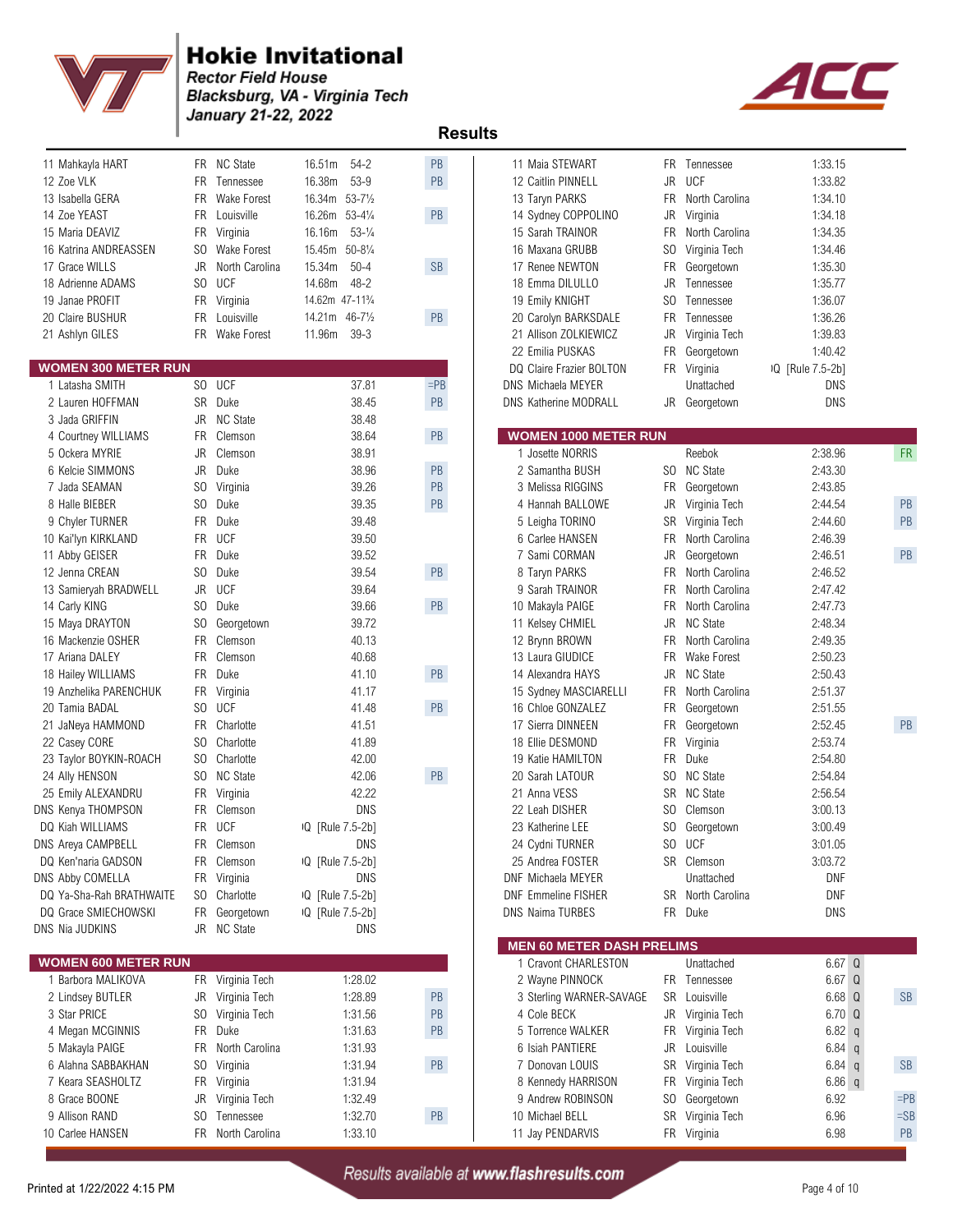



| 11 Mahkayla HART           |     | FR NC State      | 16.51m<br>$54-2$             | PB            | 11 Maia STEWART                  |           | FR Tennessee       | 1:33.15           |
|----------------------------|-----|------------------|------------------------------|---------------|----------------------------------|-----------|--------------------|-------------------|
| 12 Zoe VLK                 | FR. | Tennessee        | 16.38m<br>$53-9$             | PB            | 12 Caitlin PINNELL               | <b>JR</b> | <b>UCF</b>         | 1:33.82           |
| 13 Isabella GERA           | FR. | Wake Forest      | 16.34m 53-71/2               |               | 13 Taryn PARKS                   | FR.       | North Carolina     | 1:34.10           |
| 14 Zoe YEAST               | FR. | Louisville       | 16.26m 53-41/4               | PB            | 14 Sydney COPPOLINO              | JR        | Virginia           | 1:34.18           |
| 15 Maria DEAVIZ            | FR  | Virginia         | $53 - \frac{1}{4}$<br>16.16m |               | 15 Sarah TRAINOR                 | FR        | North Carolina     | 1:34.35           |
| 16 Katrina ANDREASSEN      | SO. | Wake Forest      | 15.45m 50-81/4               |               | 16 Maxana GRUBB                  | SO.       | Virginia Tech      | 1:34.46           |
| 17 Grace WILLS             | JR  | North Carolina   | $50 - 4$<br>15.34m           | <b>SB</b>     | 17 Renee NEWTON                  | FR        | Georgetown         | 1:35.30           |
| 18 Adrienne ADAMS          | SO. | <b>UCF</b>       | $48 - 2$<br>14.68m           |               | 18 Emma DILULLO                  | JR        | Tennessee          | 1:35.77           |
| 19 Janae PROFIT            | FR  | Virginia         | 14.62m 47-11%                |               | 19 Emily KNIGHT                  | SO.       | Tennessee          | 1:36.07           |
| 20 Claire BUSHUR           | FR. | Louisville       | 14.21m 46-71/2               | PB            | 20 Carolyn BARKSDALE             | FR        | Tennessee          | 1:36.26           |
| 21 Ashlyn GILES            | FR. | Wake Forest      | 11.96m<br>$39-3$             |               | 21 Allison ZOLKIEWICZ            | JR        | Virginia Tech      | 1:39.83           |
|                            |     |                  |                              |               | 22 Emilia PUSKAS                 | FR        | Georgetown         | 1:40.42           |
| <b>WOMEN 300 METER RUN</b> |     |                  |                              |               | DQ Claire Frazier BOLTON         | FR        | Virginia           | IQ [Rule 7.5-2b]  |
| 1 Latasha SMITH            |     | SO UCF           | 37.81                        | $=$ PB        | DNS Michaela MEYER               |           | Unattached         | DNS               |
| 2 Lauren HOFFMAN           |     | SR Duke          | 38.45                        | PB            | DNS Katherine MODRALL            |           | JR Georgetown      | DNS               |
| 3 Jada GRIFFIN             | JR  | <b>NC State</b>  | 38.48                        |               |                                  |           |                    |                   |
| 4 Courtney WILLIAMS        | FR. | Clemson          | 38.64                        | PB            | <b>WOMEN 1000 METER RUN</b>      |           |                    |                   |
| 5 Ockera MYRIE             | JR  | Clemson          | 38.91                        |               | 1 Josette NORRIS                 |           | Reebok             | 2:38.96           |
| 6 Kelcie SIMMONS           | JR  | Duke             | 38.96                        | PB            | 2 Samantha BUSH                  |           | SO NC State        | 2:43.30           |
| 7 Jada SEAMAN              | SO. | Virginia         | 39.26                        | PB            | 3 Melissa RIGGINS                | FR        | Georgetown         | 2:43.85           |
| 8 Halle BIEBER             | SO. | Duke             | 39.35                        | PB            | 4 Hannah BALLOWE                 | JR        | Virginia Tech      | 2:44.54           |
| 9 Chyler TURNER            | FR  | Duke             | 39.48                        |               | 5 Leigha TORINO                  | SR        | Virginia Tech      | 2:44.60           |
| 10 Kai'lyn KIRKLAND        | FR  | <b>UCF</b>       | 39.50                        |               | 6 Carlee HANSEN                  | FR        | North Carolina     | 2:46.39           |
| 11 Abby GEISER             | FR  | Duke             | 39.52                        |               | 7 Sami CORMAN                    | JR        | Georgetown         | 2:46.51           |
| 12 Jenna CREAN             | SO. | Duke             | 39.54                        | PB            | 8 Taryn PARKS                    | FR        | North Carolina     | 2:46.52           |
| 13 Samieryah BRADWELL      | JR  | <b>UCF</b>       | 39.64                        |               | 9 Sarah TRAINOR                  | FR        | North Carolina     | 2:47.42           |
| 14 Carly KING              | SO. | Duke             | 39.66                        | $\mathsf{PB}$ | 10 Makayla PAIGE                 | FR        | North Carolina     | 2:47.73           |
| 15 Maya DRAYTON            | SO. | Georgetown       | 39.72                        |               | 11 Kelsey CHMIEL                 | JR        | <b>NC State</b>    | 2:48.34           |
| 16 Mackenzie OSHER         | FR. | Clemson          | 40.13                        |               | 12 Brynn BROWN                   | FR        | North Carolina     | 2:49.35           |
| 17 Ariana DALEY            | FR  | Clemson          | 40.68                        |               | 13 Laura GIUDICE                 | FR        | <b>Wake Forest</b> | 2:50.23           |
| 18 Hailey WILLIAMS         | FR  | Duke             | 41.10                        | PB            | 14 Alexandra HAYS                | JR        | <b>NC State</b>    | 2:50.43           |
| 19 Anzhelika PARENCHUK     | FR  | Virginia         | 41.17                        |               | 15 Sydney MASCIARELLI            | FR.       | North Carolina     | 2:51.37           |
| 20 Tamia BADAL             | SO. | <b>UCF</b>       | 41.48                        | PB            | 16 Chloe GONZALEZ                | FR        | Georgetown         | 2:51.55           |
| 21 JaNeya HAMMOND          | FR. | Charlotte        | 41.51                        |               | 17 Sierra DINNEEN                | FR        | Georgetown         | 2:52.45           |
| 22 Casey CORE              | SO. | Charlotte        | 41.89                        |               | 18 Ellie DESMOND                 | FR        | Virginia           | 2:53.74           |
| 23 Taylor BOYKIN-ROACH     | SO. | Charlotte        | 42.00                        |               | 19 Katie HAMILTON                | FR.       | Duke               | 2:54.80           |
| 24 Ally HENSON             | SO. | <b>NC State</b>  | 42.06                        | PB            | 20 Sarah LATOUR                  | SO.       | <b>NC State</b>    | 2:54.84           |
| 25 Emily ALEXANDRU         | FR  | Virginia         | 42.22                        |               | 21 Anna VESS                     |           | SR NC State        | 2:56.54           |
| DNS Kenya THOMPSON         | FR. | Clemson          | <b>DNS</b>                   |               | 22 Leah DISHER                   | SO.       | Clemson            | 3:00.13           |
| DQ Kiah WILLIAMS           | FR. | <b>UCF</b>       | IQ [Rule 7.5-2b]             |               | 23 Katherine LEE                 | SO.       | Georgetown         | 3:00.49           |
| DNS Areya CAMPBELL         |     | FR Clemson       | <b>DNS</b>                   |               | 24 Cydni TURNER                  |           | SO UCF             | 3:01.05           |
| DQ Ken'naria GADSON        |     | FR Clemson       | IQ [Rule 7.5-2b]             |               | 25 Andrea FOSTER                 |           | SR Clemson         | 3:03.72           |
| DNS Abby COMELLA           |     | FR Virginia      | DNS                          |               | DNF Michaela MEYER               |           | Unattached         | DNF               |
| DQ Ya-Sha-Rah BRATHWAITE   |     | SO Charlotte     | IQ [Rule 7.5-2b]             |               | <b>DNF Emmeline FISHER</b>       |           | SR North Carolina  | DNF               |
| DQ Grace SMIECHOWSKI       |     | FR Georgetown    | IQ [Rule 7.5-2b]             |               | <b>DNS Naima TURBES</b>          |           | FR Duke            | DNS               |
| DNS Nia JUDKINS            |     | JR NC State      | DNS                          |               |                                  |           |                    |                   |
|                            |     |                  |                              |               | <b>MEN 60 METER DASH PRELIMS</b> |           |                    |                   |
| <b>WOMEN 600 METER RUN</b> |     |                  |                              |               | 1 Cravont CHARLESTON             |           | Unattached         | 6.67 <sub>Q</sub> |
| 1 Barbora MALIKOVA         |     | FR Virginia Tech | 1:28.02                      |               | 2 Wayne PINNOCK                  |           | FR Tennessee       | 6.67 <sub>Q</sub> |
| 2 Lindsey BUTLER           | JR  | Virginia Tech    | 1:28.89                      | PB            | 3 Sterling WARNER-SAVAGE         |           | SR Louisville      | 6.68 <sub>0</sub> |
| 3 Star PRICE               | SO. | Virginia Tech    | 1:31.56                      | PB            | 4 Cole BECK                      |           | JR Virginia Tech   | 6.70 <sub>Q</sub> |
| 4 Megan MCGINNIS           | FR  | Duke             | 1:31.63                      | PB            | 5 Torrence WALKER                |           | FR Virginia Tech   | 6.82 q            |
| 5 Makayla PAIGE            | FR  | North Carolina   | 1:31.93                      |               | 6 Isiah PANTIERE                 |           | JR Louisville      | $6.84$ q          |
| 6 Alahna SABBAKHAN         | SO. | Virginia         | 1:31.94                      | PB            | 7 Donovan LOUIS                  |           | SR Virginia Tech   | $6.84$ q          |
| 7 Keara SEASHOLTZ          |     | FR Virginia      | 1:31.94                      |               | 8 Kennedy HARRISON               |           | FR Virginia Tech   | 6.86q             |
| 8 Grace BOONE              | JR  | Virginia Tech    | 1:32.49                      |               | 9 Andrew ROBINSON                | SO.       | Georgetown         | 6.92              |
| 9 Allison RAND             | SO. | Tennessee        | 1:32.70                      | PB            | 10 Michael BELL                  |           | SR Virginia Tech   | 6.96              |
| 10 Carlee HANSEN           | FR  | North Carolina   | 1:33.10                      |               | 11 Jay PENDARVIS                 |           | FR Virginia        | 6.98              |
|                            |     |                  |                              |               |                                  |           |                    |                   |

| 11 Mahkayla HART                |                | FR NC State        | 16.51m<br>$54-2$              | PB            | 11 Maia STEWART                  |           | FR Tennessee       | 1:33.15           |           |
|---------------------------------|----------------|--------------------|-------------------------------|---------------|----------------------------------|-----------|--------------------|-------------------|-----------|
| 12 Zoe VLK                      |                | FR Tennessee       | $53-9$<br>16.38m              | PB            | 12 Caitlin PINNELL               | JR        | <b>UCF</b>         | 1:33.82           |           |
| 13 Isabella GERA                | FR             | <b>Wake Forest</b> | 16.34m 53-71/2                |               | 13 Taryn PARKS                   | <b>FR</b> | North Carolina     | 1:34.10           |           |
| 14 Zoe YEAST                    | FR.            | Louisville         | 16.26m 53-41/4                | PB            | 14 Sydney COPPOLINO              | <b>JR</b> | Virginia           | 1:34.18           |           |
| 15 Maria DEAVIZ                 | FR             | Virginia           | $53 - \frac{1}{4}$<br>16.16m  |               | 15 Sarah TRAINOR                 | FR.       | North Carolina     | 1:34.35           |           |
| 16 Katrina ANDREASSEN           | SO.            | <b>Wake Forest</b> | $50 - 8\frac{1}{4}$<br>15.45m |               | 16 Maxana GRUBB                  | SO.       | Virginia Tech      | 1:34.46           |           |
| 17 Grace WILLS                  | JR             | North Carolina     | $50 - 4$<br>15.34m            | <b>SB</b>     | 17 Renee NEWTON                  | FR        | Georgetown         | 1:35.30           |           |
| 18 Adrienne ADAMS               |                | SO UCF             | 14.68m<br>$48 - 2$            |               | 18 Emma DILULLO                  | JR        | Tennessee          | 1:35.77           |           |
| 19 Janae PROFIT                 |                | FR Virginia        | 14.62m 47-11%                 |               | 19 Emily KNIGHT                  | SO.       | Tennessee          | 1:36.07           |           |
| 20 Claire BUSHUR                | FR.            | Louisville         | 14.21m 46-71/2                | PB            | 20 Carolyn BARKSDALE             | FR        | Tennessee          | 1:36.26           |           |
| 21 Ashlyn GILES                 |                | FR Wake Forest     | $39 - 3$<br>11.96m            |               | 21 Allison ZOLKIEWICZ            | JR        | Virginia Tech      | 1:39.83           |           |
|                                 |                |                    |                               |               | 22 Emilia PUSKAS                 | FR        | Georgetown         | 1:40.42           |           |
| <b>VOMEN 300 METER RUN</b>      |                |                    |                               |               | DQ Claire Frazier BOLTON         |           | FR Virginia        | IQ [Rule 7.5-2b]  |           |
| 1 Latasha SMITH                 |                | SO UCF             | 37.81                         | $=$ PB        | DNS Michaela MEYER               |           | Unattached         | DNS               |           |
| 2 Lauren HOFFMAN                |                | SR Duke            | 38.45                         | PB            | <b>DNS Katherine MODRALL</b>     | JR        | Georgetown         | DNS               |           |
| 3 Jada GRIFFIN                  | JR             | <b>NC State</b>    | 38.48                         |               |                                  |           |                    |                   |           |
| 4 Courtney WILLIAMS             | FR             | Clemson            | 38.64                         | $\mathsf{PB}$ | <b>WOMEN 1000 METER RUN</b>      |           |                    |                   |           |
| 5 Ockera MYRIE                  | JR             | Clemson            | 38.91                         |               | 1 Josette NORRIS                 |           | Reebok             | 2:38.96           | FR        |
| 6 Kelcie SIMMONS                | JR             | Duke               | 38.96                         | PB            | 2 Samantha BUSH                  |           | SO NC State        | 2:43.30           |           |
| 7 Jada SEAMAN                   | SO.            | Virginia           | 39.26                         | PB            | 3 Melissa RIGGINS                | FR        | Georgetown         | 2:43.85           |           |
| 8 Halle BIEBER                  | SO.            | Duke               | 39.35                         | PB            | 4 Hannah BALLOWE                 | JR        | Virginia Tech      | 2:44.54           | PB        |
| 9 Chyler TURNER                 | FR.            | Duke               | 39.48                         |               | 5 Leigha TORINO                  | SR        | Virginia Tech      | 2:44.60           | PB        |
| 10 Kai'lyn KIRKLAND             | FR             | <b>UCF</b>         | 39.50                         |               | 6 Carlee HANSEN                  | FR        | North Carolina     | 2:46.39           |           |
| 11 Abby GEISER                  |                | FR Duke            | 39.52                         |               | 7 Sami CORMAN                    | JR        | Georgetown         | 2:46.51           | PB        |
| 12 Jenna CREAN                  | SO.            | Duke               | 39.54                         | PB            | 8 Taryn PARKS                    | FR        | North Carolina     | 2:46.52           |           |
| 13 Samieryah BRADWELL           | JR             | <b>UCF</b>         | 39.64                         |               | 9 Sarah TRAINOR                  | FR        | North Carolina     | 2:47.42           |           |
| 14 Carly KING                   | SO.            | Duke               | 39.66                         | PB            | 10 Makayla PAIGE                 | FR        | North Carolina     | 2:47.73           |           |
| 15 Maya DRAYTON                 | S <sub>0</sub> | Georgetown         | 39.72                         |               | 11 Kelsey CHMIEL                 | <b>JR</b> | <b>NC State</b>    | 2:48.34           |           |
| 16 Mackenzie OSHER              | FR.            | Clemson            | 40.13                         |               | 12 Brynn BROWN                   | FR        | North Carolina     | 2:49.35           |           |
| 17 Ariana DALEY                 |                | FR Clemson         | 40.68                         |               | 13 Laura GIUDICE                 | FR.       | <b>Wake Forest</b> | 2:50.23           |           |
| 18 Hailey WILLIAMS              |                | FR Duke            | 41.10                         | PB            | 14 Alexandra HAYS                | JR        | <b>NC State</b>    | 2:50.43           |           |
| 19 Anzhelika PARENCHUK          | FR             | Virginia           | 41.17                         |               | 15 Sydney MASCIARELLI            | FR        | North Carolina     | 2:51.37           |           |
| 20 Tamia BADAL                  | SO.            | <b>UCF</b>         | 41.48                         | PB            | 16 Chloe GONZALEZ                | FR        | Georgetown         | 2:51.55           |           |
| 21 JaNeya HAMMOND               |                | FR Charlotte       | 41.51                         |               | 17 Sierra DINNEEN                | FR        | Georgetown         | 2:52.45           | PB        |
| 22 Casey CORE                   | SO.            | Charlotte          | 41.89                         |               | 18 Ellie DESMOND                 | FR        | Virginia           | 2:53.74           |           |
| 23 Taylor BOYKIN-ROACH          |                | SO Charlotte       | 42.00                         |               | 19 Katie HAMILTON                | FR        | Duke               | 2:54.80           |           |
| 24 Ally HENSON                  |                | SO NC State        | 42.06                         | PB            | 20 Sarah LATOUR                  | SO.       | <b>NC State</b>    | 2:54.84           |           |
| 25 Emily ALEXANDRU              |                | FR Virginia        | 42.22                         |               | 21 Anna VESS                     | SR        | <b>NC State</b>    | 2:56.54           |           |
| <b>VS Kenya THOMPSON</b>        | FR             | Clemson            | <b>DNS</b>                    |               | 22 Leah DISHER                   | SO.       | Clemson            | 3:00.13           |           |
| DQ Kiah WILLIAMS                |                | FR UCF             | IQ [Rule 7.5-2b]              |               | 23 Katherine LEE                 |           | SO Georgetown      | 3:00.49           |           |
| <b>VS Areya CAMPBELL</b>        | FR.            | Clemson            | <b>DNS</b>                    |               | 24 Cydni TURNER                  | SO.       | UCF                | 3:01.05           |           |
| <b>OQ Ken'naria GADSON</b>      |                | FR Clemson         | IQ [Rule 7.5-2b]              |               | 25 Andrea FOSTER                 |           | SR Clemson         | 3:03.72           |           |
| <b>VS Abby COMELLA</b>          |                | FR Virginia        | DNS                           |               | DNF Michaela MEYER               |           | Unattached         | <b>DNF</b>        |           |
| <b>DQ Ya-Sha-Rah BRATHWAITE</b> | SO.            | Charlotte          | IQ [Rule 7.5-2b]              |               | <b>DNF Emmeline FISHER</b>       |           | SR North Carolina  | <b>DNF</b>        |           |
| <b>DQ Grace SMIECHOWSKI</b>     |                | FR Georgetown      | IQ [Rule 7.5-2b]              |               | <b>DNS Naima TURBES</b>          |           | FR Duke            | <b>DNS</b>        |           |
| <b>NS Nia JUDKINS</b>           |                | JR NC State        | DNS                           |               |                                  |           |                    |                   |           |
|                                 |                |                    |                               |               | <b>MEN 60 METER DASH PRELIMS</b> |           |                    |                   |           |
| <b>VOMEN 600 METER RUN</b>      |                |                    |                               |               | 1 Cravont CHARLESTON             |           | Unattached         | $6.67$ Q          |           |
| 1 Barbora MALIKOVA              |                | FR Virginia Tech   | 1:28.02                       |               | 2 Wayne PINNOCK                  |           | FR Tennessee       | 6.67 <sub>Q</sub> |           |
| 2 Lindsey BUTLER                |                | JR Virginia Tech   | 1:28.89                       | PB            | 3 Sterling WARNER-SAVAGE         | SR        | Louisville         | 6.68 Q            | SB        |
| 3 Star PRICE                    | SO.            | Virginia Tech      | 1:31.56                       | PB            | 4 Cole BECK                      |           | JR Virginia Tech   | $6.70\Omega$      |           |
| 4 Megan MCGINNIS                |                | FR Duke            | 1:31.63                       | PB            | 5 Torrence WALKER                |           | FR Virginia Tech   | $6.82$ q          |           |
| 5 Makayla PAIGE                 | FR             | North Carolina     | 1:31.93                       |               | 6 Isiah PANTIERE                 | JR        | Louisville         | $6.84$ q          |           |
| 6 Alahna SABBAKHAN              | SO.            | Virginia           | 1:31.94                       | PB            | 7 Donovan LOUIS                  | SR        | Virginia Tech      | $6.84$ q          | <b>SB</b> |
| 7 Keara SEASHOLTZ               |                | FR Virginia        | 1:31.94                       |               | 8 Kennedy HARRISON               | FR        | Virginia Tech      | 6.86 $q$          |           |
| 8 Grace BOONE                   | JR             | Virginia Tech      | 1:32.49                       |               | 9 Andrew ROBINSON                | SO.       | Georgetown         | 6.92              | $=$ PB    |
| 9 Allison RAND                  | SO.            | Tennessee          | 1:32.70                       | PB            | 10 Michael BELL                  | SR        | Virginia Tech      | 6.96              | $=$ SB    |
| 10 Carlee HANSEN                |                | FR North Carolina  | 1:33.10                       |               | 11 Jay PENDARVIS                 |           | FR Virginia        | 6.98              | PB        |
|                                 |                |                    |                               |               |                                  |           |                    |                   |           |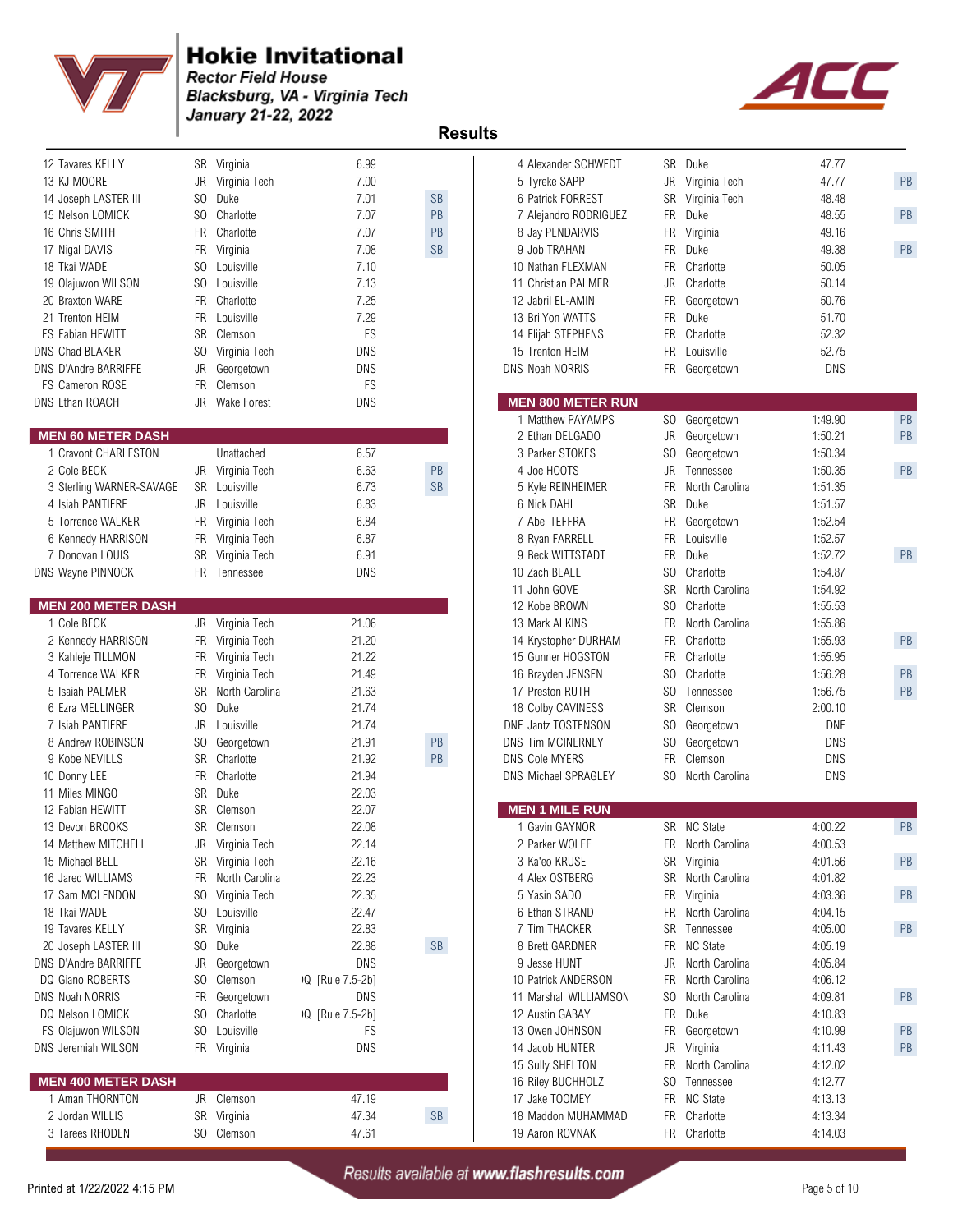



| 12 Tavares KELLY                          |                | SR Virginia       | 6.99             |                      | 4 Alexander SCHWEDT         |     | SR Duke                        | 47.77      |    |
|-------------------------------------------|----------------|-------------------|------------------|----------------------|-----------------------------|-----|--------------------------------|------------|----|
| 13 KJ MOORE                               |                | JR Virginia Tech  | 7.00             |                      | 5 Tyreke SAPP               |     | JR Virginia Tech               | 47.77      | PB |
| 14 Joseph LASTER III                      | S <sub>0</sub> | Duke              | 7.01             | <b>SB</b>            | 6 Patrick FORREST           |     | SR Virginia Tech               | 48.48      |    |
| 15 Nelson LOMICK                          | SO.            | Charlotte         | 7.07             | PB                   | 7 Alejandro RODRIGUEZ       |     | FR Duke                        | 48.55      | PB |
| 16 Chris SMITH                            |                | FR Charlotte      | 7.07             | PB                   | 8 Jay PENDARVIS             |     | FR Virginia                    | 49.16      |    |
| 17 Nigal DAVIS                            |                | FR Virginia       | 7.08             | $\mathsf{SB}\xspace$ | 9 Job TRAHAN                |     | FR Duke                        | 49.38      | PB |
| 18 Tkai WADE                              | SO.            | Louisville        | 7.10             |                      | 10 Nathan FLEXMAN           |     | FR Charlotte                   | 50.05      |    |
| 19 Olajuwon WILSON                        | SO.            | Louisville        | 7.13             |                      | 11 Christian PALMER         |     | JR Charlotte                   | 50.14      |    |
| 20 Braxton WARE                           | <b>FR</b>      | Charlotte         | 7.25             |                      | 12 Jabril EL-AMIN           |     | FR Georgetown                  | 50.76      |    |
| 21 Trenton HEIM                           | FR             | Louisville        | 7.29             |                      | 13 Bri'Yon WATTS            |     | FR Duke                        | 51.70      |    |
| FS Fabian HEWITT                          |                | SR Clemson        | FS               |                      | 14 Elijah STEPHENS          |     | FR Charlotte                   | 52.32      |    |
| DNS Chad BLAKER                           | SO.            | Virginia Tech     | DNS              |                      | 15 Trenton HEIM             |     | FR Louisville                  | 52.75      |    |
| <b>DNS D'Andre BARRIFFE</b>               | JR             | Georgetown        | <b>DNS</b>       |                      | <b>DNS Noah NORRIS</b>      |     | FR Georgetown                  | <b>DNS</b> |    |
| FS Cameron ROSE                           | <b>FR</b>      | Clemson           | FS               |                      |                             |     |                                |            |    |
| DNS Ethan ROACH                           |                | JR Wake Forest    | DNS              |                      | <b>MEN 800 METER RUN</b>    |     |                                |            |    |
|                                           |                |                   |                  |                      | 1 Matthew PAYAMPS           |     | SO Georgetown                  | 1:49.90    | PB |
| <b>MEN 60 METER DASH</b>                  |                |                   |                  |                      | 2 Ethan DELGADO             |     | JR Georgetown                  | 1:50.21    | PB |
| 1 Cravont CHARLESTON                      |                | Unattached        | 6.57             |                      | 3 Parker STOKES             |     | SO Georgetown                  | 1:50.34    |    |
| 2 Cole BECK                               | JR             | Virginia Tech     | 6.63             | PB                   | 4 Joe HOOTS                 |     | JR Tennessee                   | 1:50.35    | PB |
| 3 Sterling WARNER-SAVAGE                  |                | SR Louisville     | 6.73             | $\mathsf{SB}\xspace$ | 5 Kyle REINHEIMER           |     | FR North Carolina              | 1:51.35    |    |
| 4 Isiah PANTIERE                          |                | JR Louisville     | 6.83             |                      | 6 Nick DAHL                 |     | SR Duke                        | 1:51.57    |    |
|                                           |                | FR Virginia Tech  |                  |                      | 7 Abel TEFFRA               |     |                                |            |    |
| 5 Torrence WALKER                         |                |                   | 6.84             |                      |                             |     | FR Georgetown<br>FR Louisville | 1:52.54    |    |
| 6 Kennedy HARRISON                        |                | FR Virginia Tech  | 6.87             |                      | 8 Ryan FARRELL              |     |                                | 1:52.57    |    |
| 7 Donovan LOUIS                           |                | SR Virginia Tech  | 6.91             |                      | 9 Beck WITTSTADT            |     | FR Duke                        | 1:52.72    | PB |
| DNS Wayne PINNOCK                         |                | FR Tennessee      | <b>DNS</b>       |                      | 10 Zach BEALE               | SO. | Charlotte                      | 1:54.87    |    |
|                                           |                |                   |                  |                      | 11 John GOVE                |     | SR North Carolina              | 1:54.92    |    |
| <b>MEN 200 METER DASH</b>                 |                |                   |                  |                      | 12 Kobe BROWN               |     | SO Charlotte                   | 1:55.53    |    |
| 1 Cole BECK                               |                | JR Virginia Tech  | 21.06            |                      | 13 Mark ALKINS              |     | FR North Carolina              | 1:55.86    |    |
| 2 Kennedy HARRISON                        |                | FR Virginia Tech  | 21.20            |                      | 14 Krystopher DURHAM        |     | FR Charlotte                   | 1:55.93    | PB |
| 3 Kahleje TILLMON                         |                | FR Virginia Tech  | 21.22            |                      | 15 Gunner HOGSTON           |     | FR Charlotte                   | 1:55.95    |    |
| 4 Torrence WALKER                         |                | FR Virginia Tech  | 21.49            |                      | 16 Brayden JENSEN           | SO  | Charlotte                      | 1:56.28    | PB |
| 5 Isaiah PALMER                           | SR             | North Carolina    | 21.63            |                      | 17 Preston RUTH             |     | SO Tennessee                   | 1:56.75    | PB |
| 6 Ezra MELLINGER                          | SO.            | Duke              | 21.74            |                      | 18 Colby CAVINESS           |     | SR Clemson                     | 2:00.10    |    |
| 7 Isiah PANTIERE                          | JR             | Louisville        | 21.74            |                      | DNF Jantz TOSTENSON         |     | SO Georgetown                  | <b>DNF</b> |    |
| 8 Andrew ROBINSON                         | SO             | Georgetown        | 21.91            | $\mathsf{PB}$        | <b>DNS Tim MCINERNEY</b>    |     | SO Georgetown                  | <b>DNS</b> |    |
| 9 Kobe NEVILLS                            | SR             | Charlotte         | 21.92            | PB                   | <b>DNS Cole MYERS</b>       |     | FR Clemson                     | <b>DNS</b> |    |
| 10 Donny LEE                              | FR             | Charlotte         | 21.94            |                      | <b>DNS Michael SPRAGLEY</b> |     | SO North Carolina              | DNS        |    |
| 11 Miles MINGO                            | <b>SR</b>      | Duke              | 22.03            |                      |                             |     |                                |            |    |
| 12 Fabian HEWITT                          |                | SR Clemson        | 22.07            |                      | <b>MEN 1 MILE RUN</b>       |     |                                |            |    |
| 13 Devon BROOKS                           |                | SR Clemson        | 22.08            |                      | 1 Gavin GAYNOR              |     | SR NC State                    | 4:00.22    | PB |
| 14 Matthew MITCHELL                       |                | JR Virginia Tech  | 22.14            |                      | 2 Parker WOLFE              |     | FR North Carolina              | 4:00.53    |    |
| 15 Michael BELL                           |                | SR Virginia Tech  | 22.16            |                      | 3 Ka'eo KRUSE               |     | SR Virginia                    | 4:01.56    | PB |
| 16 Jared WILLIAMS                         |                | FR North Carolina | 22.23            |                      | 4 Alex OSTBERG              |     | SR North Carolina              | 4:01.82    |    |
| 17 Sam MCLENDON                           |                | SO Virginia Tech  | 22.35            |                      | 5 Yasin SADO                |     | FR Virginia                    | 4:03.36    | PB |
| 18 Tkai WADE                              | SO.            | Louisville        | 22.47            |                      | 6 Ethan STRAND              |     | FR North Carolina              | 4:04.15    |    |
| 19 Tavares KELLY                          |                | SR Virginia       | 22.83            |                      | 7 Tim THACKER               |     | SR Tennessee                   | 4:05.00    | PB |
| 20 Joseph LASTER III                      | SO.            | Duke              | 22.88            | <b>SB</b>            | 8 Brett GARDNER             |     | FR NC State                    | 4:05.19    |    |
| DNS D'Andre BARRIFFE                      | JR             | Georgetown        | <b>DNS</b>       |                      | 9 Jesse HUNT                |     | JR North Carolina              | 4:05.84    |    |
| DQ Giano ROBERTS                          |                | SO Clemson        | IQ [Rule 7.5-2b] |                      | 10 Patrick ANDERSON         |     | FR North Carolina              | 4:06.12    |    |
| <b>DNS Noah NORRIS</b>                    | FR             | Georgetown        | DNS              |                      | 11 Marshall WILLIAMSON      |     | SO North Carolina              | 4:09.81    | PB |
| DQ Nelson LOMICK                          | SO             | Charlotte         | IQ [Rule 7.5-2b] |                      | 12 Austin GABAY             |     | FR Duke                        | 4:10.83    |    |
|                                           | SO.            | Louisville        | FS               |                      | 13 Owen JOHNSON             |     |                                | 4:10.99    | PB |
| FS Olajuwon WILSON<br>DNS Jeremiah WILSON |                |                   | <b>DNS</b>       |                      | 14 Jacob HUNTER             |     | FR Georgetown                  | 4:11.43    | PB |
|                                           |                | FR Virginia       |                  |                      |                             |     | JR Virginia                    |            |    |
|                                           |                |                   |                  |                      | 15 Sully SHELTON            |     | FR North Carolina              | 4:12.02    |    |
| <b>MEN 400 METER DASH</b>                 |                |                   |                  |                      | 16 Riley BUCHHOLZ           |     | SO Tennessee                   | 4:12.77    |    |
| 1 Aman THORNTON                           |                | JR Clemson        | 47.19            |                      | 17 Jake TOOMEY              |     | FR NC State                    | 4:13.13    |    |
| 2 Jordan WILLIS                           |                | SR Virginia       | 47.34            | $\mathsf{SB}\xspace$ | 18 Maddon MUHAMMAD          |     | FR Charlotte                   | 4:13.34    |    |
| 3 Tarees RHODEN                           |                | SO Clemson        | 47.61            |                      | 19 Aaron ROVNAK             |     | FR Charlotte                   | 4:14.03    |    |

| 2 Tavares KELLY          |                | SR Virginia        | 6.99             |                      | 4 Alexander SCHWEDT         |                | SR Duke           | 47.77      |               |
|--------------------------|----------------|--------------------|------------------|----------------------|-----------------------------|----------------|-------------------|------------|---------------|
| 3 KJ MOORE               | JR             | Virginia Tech      | 7.00             |                      | 5 Tyreke SAPP               | JR             | Virginia Tech     | 47.77      | PB            |
| 4 Joseph LASTER III      | SO.            | Duke               | 7.01             | SB                   | 6 Patrick FORREST           | SR             | Virginia Tech     | 48.48      |               |
| 5 Nelson LOMICK          | SO.            | Charlotte          | 7.07             | PB                   | 7 Alejandro RODRIGUEZ       | FR             | Duke              | 48.55      | PB            |
| 6 Chris SMITH            | FR             | Charlotte          | 7.07             | PB                   | 8 Jay PENDARVIS             | FR             | Virginia          | 49.16      |               |
| 7 Nigal DAVIS            |                | FR Virginia        | 7.08             | $\mathsf{SB}\xspace$ | 9 Job TRAHAN                | FR             | Duke              | 49.38      | PB            |
| 8 Tkai WADE              | SO.            | Louisville         | 7.10             |                      | 10 Nathan FLEXMAN           | FR.            | Charlotte         | 50.05      |               |
| 9 Olajuwon WILSON        | SO.            | Louisville         | 7.13             |                      | 11 Christian PALMER         | JR             | Charlotte         | 50.14      |               |
| 0 Braxton WARE           | FR             | Charlotte          | 7.25             |                      | 12 Jabril EL-AMIN           | FR             | Georgetown        | 50.76      |               |
| 1 Trenton HEIM           | FR             | Louisville         | 7.29             |                      | 13 Bri'Yon WATTS            | FR.            | Duke              | 51.70      |               |
| S Fabian HEWITT          | SR             | Clemson            | FS               |                      | 14 Elijah STEPHENS          | FR.            | Charlotte         | 52.32      |               |
| S Chad BLAKER            | S <sub>0</sub> | Virginia Tech      | <b>DNS</b>       |                      | 15 Trenton HEIM             | FR.            | Louisville        | 52.75      |               |
| S D'Andre BARRIFFE       | JR             | Georgetown         | <b>DNS</b>       |                      | <b>DNS Noah NORRIS</b>      |                | FR Georgetown     | <b>DNS</b> |               |
| S Cameron ROSE           | FR.            | Clemson            | FS               |                      |                             |                |                   |            |               |
| S Ethan ROACH            | JR             | <b>Wake Forest</b> | DNS              |                      | <b>MEN 800 METER RUN</b>    |                |                   |            |               |
|                          |                |                    |                  |                      | 1 Matthew PAYAMPS           |                | SO Georgetown     | 1:49.90    | <b>PB</b>     |
| <b>EN 60 METER DASH</b>  |                |                    |                  |                      | 2 Ethan DELGADO             | JR             | Georgetown        | 1:50.21    | PB            |
| 1 Cravont CHARLESTON     |                | Unattached         | 6.57             |                      | 3 Parker STOKES             | SO.            | Georgetown        | 1:50.34    |               |
| 2 Cole BECK              |                | JR Virginia Tech   | 6.63             | PB                   | 4 Joe HOOTS                 | JR             | Tennessee         | 1:50.35    | PB            |
| 3 Sterling WARNER-SAVAGE |                | SR Louisville      | 6.73             | $\mathsf{SB}\xspace$ | 5 Kyle REINHEIMER           | FR             | North Carolina    | 1:51.35    |               |
| 4 Isiah PANTIERE         |                | JR Louisville      | 6.83             |                      | 6 Nick DAHL                 | SR             | Duke              | 1:51.57    |               |
| 5 Torrence WALKER        |                | FR Virginia Tech   | 6.84             |                      | 7 Abel TEFFRA               | FR             | Georgetown        | 1:52.54    |               |
| 6 Kennedy HARRISON       |                | FR Virginia Tech   | 6.87             |                      | 8 Ryan FARRELL              | FR             | Louisville        | 1:52.57    |               |
| 7 Donovan LOUIS          | <b>SR</b>      | Virginia Tech      | 6.91             |                      | 9 Beck WITTSTADT            | FR             | Duke              | 1:52.72    | PB            |
| S Wayne PINNOCK          |                | FR Tennessee       | <b>DNS</b>       |                      | 10 Zach BEALE               | SO.            | Charlotte         | 1:54.87    |               |
|                          |                |                    |                  |                      | 11 John GOVE                | SR             | North Carolina    | 1:54.92    |               |
| <b>EN 200 METER DASH</b> |                |                    |                  |                      | 12 Kobe BROWN               | SO.            | Charlotte         | 1:55.53    |               |
| 1 Cole BECK              |                | JR Virginia Tech   | 21.06            |                      | 13 Mark ALKINS              | FR             | North Carolina    | 1:55.86    |               |
| 2 Kennedy HARRISON       |                | FR Virginia Tech   | 21.20            |                      | 14 Krystopher DURHAM        | FR.            | Charlotte         | 1:55.93    | PB            |
| 3 Kahleje TILLMON        |                | FR Virginia Tech   | 21.22            |                      | 15 Gunner HOGSTON           | FR.            | Charlotte         | 1:55.95    |               |
| 4 Torrence WALKER        |                | FR Virginia Tech   | 21.49            |                      | 16 Brayden JENSEN           | SO.            | Charlotte         | 1:56.28    | PB            |
| 5 Isaiah PALMER          | SR             | North Carolina     | 21.63            |                      | 17 Preston RUTH             | SO.            | Tennessee         | 1:56.75    | PB            |
| 6 Ezra MELLINGER         |                | SO Duke            | 21.74            |                      | 18 Colby CAVINESS           | SR             | Clemson           | 2:00.10    |               |
| 7 Isiah PANTIERE         | JR             | Louisville         | 21.74            |                      | DNF Jantz TOSTENSON         | S <sub>0</sub> | Georgetown        | <b>DNF</b> |               |
| 8 Andrew ROBINSON        | SO.            | Georgetown         | 21.91            | $\mathsf{PB}$        | <b>DNS Tim MCINERNEY</b>    | SO.            | Georgetown        | <b>DNS</b> |               |
| 9 Kobe NEVILLS           | SR             | Charlotte          | 21.92            | $\mathsf{PB}$        | <b>DNS Cole MYERS</b>       | <b>FR</b>      | Clemson           | <b>DNS</b> |               |
| 0 Donny LEE              | FR             | Charlotte          | 21.94            |                      | <b>DNS Michael SPRAGLEY</b> |                | SO North Carolina | DNS        |               |
| 1 Miles MINGO            | SR             | Duke               | 22.03            |                      |                             |                |                   |            |               |
| 2 Fabian HEWITT          | <b>SR</b>      | Clemson            | 22.07            |                      | <b>MEN 1 MILE RUN</b>       |                |                   |            |               |
| 3 Devon BROOKS           |                | SR Clemson         | 22.08            |                      | 1 Gavin GAYNOR              |                | SR NC State       | 4:00.22    | PB            |
| 4 Matthew MITCHELL       |                | JR Virginia Tech   | 22.14            |                      | 2 Parker WOLFE              |                | FR North Carolina | 4:00.53    |               |
| 5 Michael BELL           |                | SR Virginia Tech   | 22.16            |                      | 3 Ka'eo KRUSE               |                | SR Virginia       | 4:01.56    | $\mathsf{PB}$ |
| 6 Jared WILLIAMS         |                | FR North Carolina  | 22.23            |                      | 4 Alex OSTBERG              |                | SR North Carolina | 4:01.82    |               |
| 7 Sam MCLENDON           |                | SO Virginia Tech   | 22.35            |                      | 5 Yasin SADO                |                | FR Virginia       | 4:03.36    | PB            |
| 8 Tkai WADE              |                | SO Louisville      | 22.47            |                      | 6 Ethan STRAND              |                | FR North Carolina | 4:04.15    |               |
| 9 Tavares KELLY          |                | SR Virginia        | 22.83            |                      | 7 Tim THACKER               | SR             | Tennessee         | 4:05.00    | PB            |
| 0 Joseph LASTER III      | SO.            | Duke               | 22.88            | SB                   | 8 Brett GARDNER             |                | FR NC State       | 4:05.19    |               |
| S D'Andre BARRIFFE       |                |                    | <b>DNS</b>       |                      | 9 Jesse HUNT                |                | North Carolina    | 4:05.84    |               |
|                          | JR             | Georgetown         |                  |                      |                             | JR             | FR North Carolina |            |               |
| Q Giano ROBERTS          | SO.            | Clemson            | IQ [Rule 7.5-2b] |                      | 10 Patrick ANDERSON         |                |                   | 4:06.12    |               |
| S Noah NORRIS            | FR             | Georgetown         | DNS              |                      | 11 Marshall WILLIAMSON      | SO.            | North Carolina    | 4:09.81    | PB            |
| Q Nelson LOMICK          | SO.            | Charlotte          | IQ [Rule 7.5-2b] |                      | 12 Austin GABAY             | FR             | Duke              | 4:10.83    |               |
| S Olajuwon WILSON        | SO.            | Louisville         | FS               |                      | 13 Owen JOHNSON             | FR             | Georgetown        | 4:10.99    | $\mathsf{PB}$ |
| S Jeremiah WILSON        |                | FR Virginia        | <b>DNS</b>       |                      | 14 Jacob HUNTER             | JR             | Virginia          | 4:11.43    | PB            |
|                          |                |                    |                  |                      | 15 Sully SHELTON            | FR             | North Carolina    | 4:12.02    |               |
| <b>EN 400 METER DASH</b> |                |                    |                  |                      | 16 Riley BUCHHOLZ           |                | SO Tennessee      | 4:12.77    |               |
| 1 Aman THORNTON          |                | JR Clemson         | 47.19            |                      | 17 Jake TOOMEY              |                | FR NC State       | 4:13.13    |               |
| 2 Jordan WILLIS          |                | SR Virginia        | 47.34            | $\mathsf{SB}$        | 18 Maddon MUHAMMAD          | FR             | Charlotte         | 4:13.34    |               |
| 3 Tarees RHODEN          |                | SO Clemson         | 47.61            |                      | 19 Aaron ROVNAK             |                | FR Charlotte      | 4:14.03    |               |
|                          |                |                    |                  |                      |                             |                |                   |            |               |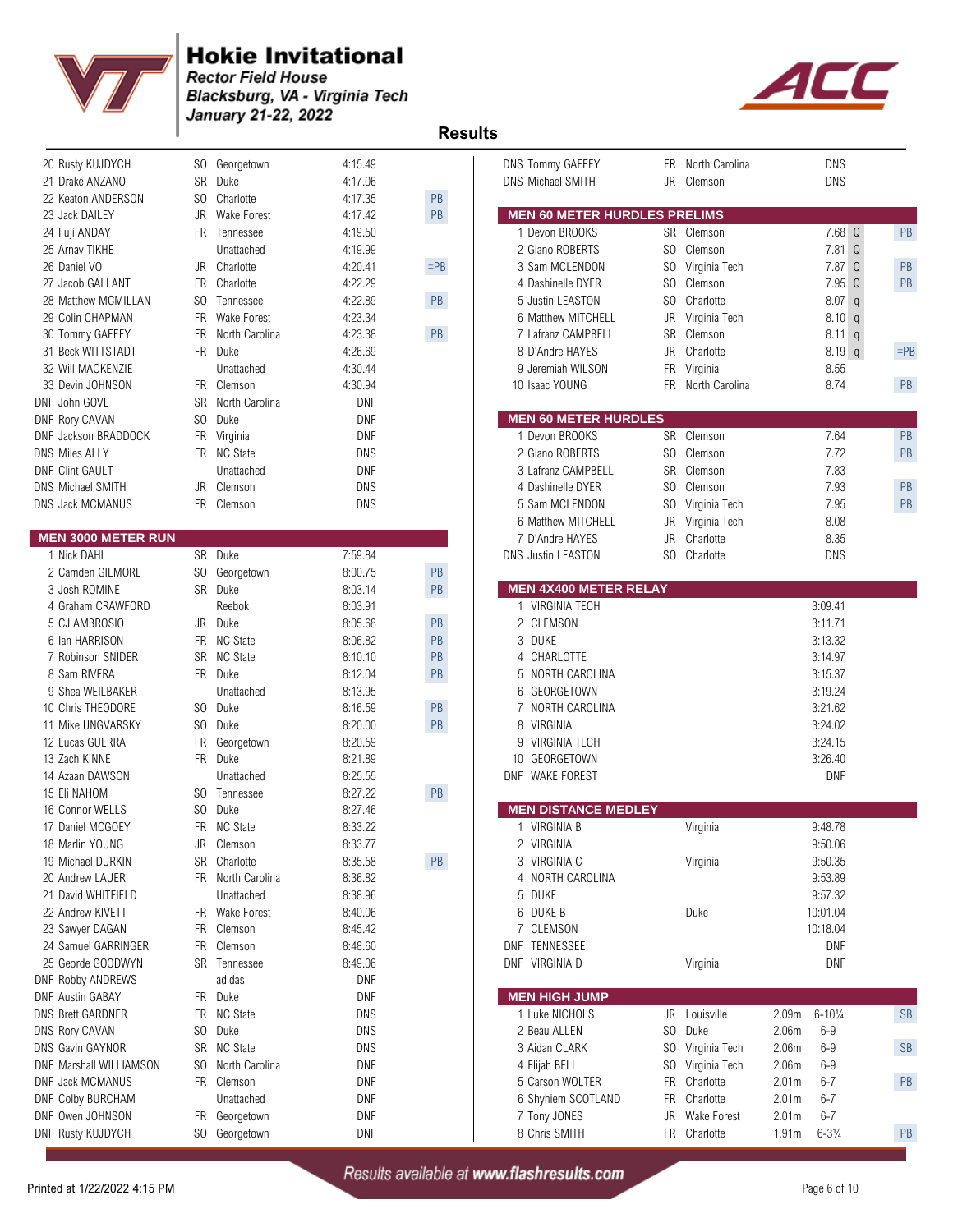

**Rector Field House** Blacksburg, VA - Virginia Tech January 21-22, 2022<sup>T</sup><br>Results



| 20 Rusty KUJDYCH                     |     | SO Georgetown     | 4:15.49    |               | <b>DNS Tommy GAFFEY</b>             |           | FR North Carolina | <b>DNS</b>                               |           |
|--------------------------------------|-----|-------------------|------------|---------------|-------------------------------------|-----------|-------------------|------------------------------------------|-----------|
| 21 Drake ANZANO                      |     | SR Duke           | 4:17.06    |               | DNS Michael SMITH                   |           | JR Clemson        | <b>DNS</b>                               |           |
| 22 Keaton ANDERSON                   |     | SO Charlotte      | 4:17.35    | PB            |                                     |           |                   |                                          |           |
| 23 Jack DAILEY                       |     | JR Wake Forest    | 4:17.42    | PB            | <b>MEN 60 METER HURDLES PRELIMS</b> |           |                   |                                          |           |
| 24 Fuji ANDAY                        |     | FR Tennessee      | 4:19.50    |               | 1 Devon BROOKS                      |           | SR Clemson        | 7.68 Q                                   | PB        |
| 25 Arnav TIKHE                       |     | Unattached        | 4:19.99    |               | 2 Giano ROBERTS                     |           | SO Clemson        | 7.81 Q                                   |           |
| 26 Daniel VO                         |     | JR Charlotte      | 4:20.41    | $=$ PB        | 3 Sam MCLENDON                      |           | SO Virginia Tech  | 7.87 Q                                   | PB        |
| 27 Jacob GALLANT                     |     | FR Charlotte      | 4:22.29    |               | 4 Dashinelle DYER                   |           | SO Clemson        | 7.95 Q                                   | PB        |
| 28 Matthew MCMILLAN                  |     | SO Tennessee      | 4:22.89    | PB            | 5 Justin LEASTON                    |           | SO Charlotte      | 8.07 q                                   |           |
| 29 Colin CHAPMAN                     |     | FR Wake Forest    | 4:23.34    |               | 6 Matthew MITCHELL                  | JR        | Virginia Tech     | 8.10 q                                   |           |
| 30 Tommy GAFFEY                      |     | FR North Carolina | 4:23.38    | PB            | 7 Lafranz CAMPBELL                  |           | SR Clemson        | $8.11$ q                                 |           |
| 31 Beck WITTSTADT                    |     | FR Duke           | 4:26.69    |               | 8 D'Andre HAYES                     | JR        | Charlotte         | $8.19$ q                                 | $=$ PB    |
| 32 Will MACKENZIE                    |     | Unattached        | 4:30.44    |               | 9 Jeremiah WILSON                   | FR        | Virginia          | 8.55                                     |           |
| 33 Devin JOHNSON                     |     | FR Clemson        | 4:30.94    |               | 10 Isaac YOUNG                      |           | FR North Carolina | 8.74                                     | PB        |
|                                      |     | SR North Carolina | <b>DNF</b> |               |                                     |           |                   |                                          |           |
| DNF John GOVE                        | SO  | Duke              | <b>DNF</b> |               | <b>MEN 60 METER HURDLES</b>         |           |                   |                                          |           |
| DNF Rory CAVAN                       |     |                   |            |               |                                     |           |                   |                                          |           |
| DNF Jackson BRADDOCK                 |     | FR Virginia       | <b>DNF</b> |               | 1 Devon BROOKS                      |           | SR Clemson        | 7.64                                     | PB        |
| <b>DNS Miles ALLY</b>                |     | FR NC State       | DNS        |               | 2 Giano ROBERTS                     |           | SO Clemson        | 7.72                                     | PB        |
| <b>DNF Clint GAULT</b>               |     | Unattached        | <b>DNF</b> |               | 3 Lafranz CAMPBELL                  |           | SR Clemson        | 7.83                                     |           |
| DNS Michael SMITH                    |     | JR Clemson        | <b>DNS</b> |               | 4 Dashinelle DYER                   |           | SO Clemson        | 7.93                                     | PB        |
| <b>DNS Jack MCMANUS</b>              |     | FR Clemson        | DNS        |               | 5 Sam MCLENDON                      |           | SO Virginia Tech  | 7.95                                     | PB        |
|                                      |     |                   |            |               | 6 Matthew MITCHELL                  | JR        | Virginia Tech     | 8.08                                     |           |
| <b>MEN 3000 METER RUN</b>            |     |                   |            |               | 7 D'Andre HAYES                     | JR        | Charlotte         | 8.35                                     |           |
| 1 Nick DAHL                          |     | SR Duke           | 7:59.84    |               | <b>DNS Justin LEASTON</b>           |           | SO Charlotte      | DNS                                      |           |
| 2 Camden GILMORE                     |     | SO Georgetown     | 8:00.75    | $\mathsf{PB}$ |                                     |           |                   |                                          |           |
| 3 Josh ROMINE                        |     | SR Duke           | 8:03.14    | PB            | <b>MEN 4X400 METER RELAY</b>        |           |                   |                                          |           |
| 4 Graham CRAWFORD                    |     | Reebok            | 8.03.91    |               | 1 VIRGINIA TECH                     |           |                   | 3:09.41                                  |           |
| 5 CJ AMBROSIO                        |     | JR Duke           | 8:05.68    | PB            | 2 CLEMSON                           |           |                   | 3:11.71                                  |           |
| 6 Ian HARRISON                       |     | FR NC State       | 8:06.82    | PB            | 3 DUKE                              |           |                   | 3:13.32                                  |           |
| 7 Robinson SNIDER                    |     | SR NC State       | 8:10.10    | PB            | 4 CHARLOTTE                         |           |                   | 3:14.97                                  |           |
| 8 Sam RIVERA                         |     | FR Duke           | 8:12.04    | PB            | NORTH CAROLINA<br>5                 |           |                   | 3:15.37                                  |           |
| 9 Shea WEILBAKER                     |     | Unattached        | 8.13.95    |               | GEORGETOWN<br>6                     |           |                   | 3:19.24                                  |           |
| 10 Chris THEODORE                    |     | SO Duke           | 8:16.59    | $\mathsf{PB}$ | NORTH CAROLINA<br>7                 |           |                   | 3:21.62                                  |           |
| 11 Mike UNGVARSKY                    |     | SO Duke           | 8:20.00    | $\mathsf{PB}$ | VIRGINIA<br>8                       |           |                   | 3:24.02                                  |           |
| 12 Lucas GUERRA                      |     | FR Georgetown     | 8:20.59    |               | <b>VIRGINIA TECH</b><br>9           |           |                   | 3:24.15                                  |           |
| 13 Zach KINNE                        |     | FR Duke           | 8:21.89    |               | GEORGETOWN<br>10                    |           |                   | 3:26.40                                  |           |
| 14 Azaan DAWSON                      |     | Unattached        | 8:25.55    |               | DNF WAKE FOREST                     |           |                   | <b>DNF</b>                               |           |
| 15 Eli NAHOM                         |     | SO Tennessee      | 8:27.22    | PB            |                                     |           |                   |                                          |           |
| 16 Connor WELLS                      | SO. | Duke              | 8:27.46    |               | <b>MEN DISTANCE MEDLEY</b>          |           |                   |                                          |           |
| 17 Daniel MCGOEY                     |     | FR NC State       | 8:33.22    |               | 1 VIRGINIA B                        |           | Virginia          | 9:48.78                                  |           |
|                                      |     | JR Clemson        | 8:33.77    |               | 2 VIRGINIA                          |           |                   | 9:50.06                                  |           |
| 18 Marlin YOUNG<br>19 Michael DURKIN |     | SR Charlotte      |            | $\mathsf{PB}$ | 3 VIRGINIA C                        |           |                   | 9:50.35                                  |           |
| 20 Andrew LAUER                      |     |                   | 8:35.58    |               |                                     |           | Virginia          |                                          |           |
|                                      |     | FR North Carolina | 8:36.82    |               | NORTH CAROLINA<br>4                 |           |                   | 9:53.89                                  |           |
| 21 David WHITFIELD                   |     | Unattached        | 8:38.96    |               | 5<br>DUKE                           |           |                   | 9:57.32                                  |           |
| 22 Andrew KIVETT                     |     | FR Wake Forest    | 8:40.06    |               | DUKE B<br>6                         |           | Duke              | 10:01.04                                 |           |
| 23 Sawyer DAGAN                      |     | FR Clemson        | 8:45.42    |               | CLEMSON<br>7                        |           |                   | 10:18.04                                 |           |
| 24 Samuel GARRINGER                  |     | FR Clemson        | 8:48.60    |               | DNF TENNESSEE                       |           |                   | <b>DNF</b>                               |           |
| 25 Georde GOODWYN                    |     | SR Tennessee      | 8:49.06    |               | DNF VIRGINIA D                      |           | Virginia          | <b>DNF</b>                               |           |
| <b>DNF Robby ANDREWS</b>             |     | adidas            | DNF        |               |                                     |           |                   |                                          |           |
| <b>DNF Austin GABAY</b>              |     | FR Duke           | DNF        |               | <b>MEN HIGH JUMP</b>                |           |                   |                                          |           |
| <b>DNS Brett GARDNER</b>             |     | FR NC State       | DNS        |               | 1 Luke NICHOLS                      |           | JR Louisville     | $6 - 10\frac{1}{4}$<br>2.09 <sub>m</sub> | <b>SB</b> |
| DNS Rory CAVAN                       |     | SO Duke           | DNS        |               | 2 Beau ALLEN                        |           | SO Duke           | 2.06m<br>$6 - 9$                         |           |
| DNS Gavin GAYNOR                     |     | SR NC State       | DNS        |               | 3 Aidan CLARK                       |           | SO Virginia Tech  | 2.06m<br>$6 - 9$                         | <b>SB</b> |
| DNF Marshall WILLIAMSON              |     | SO North Carolina | DNF        |               | 4 Elijah BELL                       |           | SO Virginia Tech  | 2.06m<br>$6 - 9$                         |           |
| DNF Jack MCMANUS                     |     | FR Clemson        | DNF        |               | 5 Carson WOLTER                     | <b>FR</b> | Charlotte         | 2.01 <sub>m</sub><br>$6 - 7$             | PB        |
| DNF Colby BURCHAM                    |     | Unattached        | DNF        |               | 6 Shyhiem SCOTLAND                  |           | FR Charlotte      | 2.01 <sub>m</sub><br>$6 - 7$             |           |
| DNF Owen JOHNSON                     |     | FR Georgetown     | <b>DNF</b> |               | 7 Tony JONES                        |           | JR Wake Forest    | 2.01 <sub>m</sub><br>$6 - 7$             |           |
| <b>DNF Rusty KUJDYCH</b>             |     | SO Georgetown     | <b>DNF</b> |               | 8 Chris SMITH                       |           | FR Charlotte      | $6 - 3\frac{1}{4}$<br>1.91 <sub>m</sub>  | PB        |
|                                      |     |                   |            |               |                                     |           |                   |                                          |           |

| 20 Rusty KUJDYCH          |           | SO Georgetown       | 4:15.49    |               | DNS Tommy GAFFEY                    |                | FR North Carolina |                   | <b>DNS</b>          |           |
|---------------------------|-----------|---------------------|------------|---------------|-------------------------------------|----------------|-------------------|-------------------|---------------------|-----------|
| 21 Drake ANZANO           | <b>SR</b> | Duke                | 4:17.06    |               | <b>DNS Michael SMITH</b>            | JR             | Clemson           |                   | <b>DNS</b>          |           |
| 22 Keaton ANDERSON        | SO.       | Charlotte           | 4:17.35    | PB            |                                     |                |                   |                   |                     |           |
| 23 Jack DAILEY            | JR        | <b>Wake Forest</b>  | 4:17.42    | $\mathsf{PB}$ | <b>MEN 60 METER HURDLES PRELIMS</b> |                |                   |                   |                     |           |
| 24 Fuji ANDAY             | FR.       | Tennessee           | 4:19.50    |               | 1 Devon BROOKS                      |                | SR Clemson        |                   | 7.68 Q              | PB        |
| 25 Arnav TIKHE            |           | Unattached          | 4:19.99    |               | 2 Giano ROBERTS                     | SO.            | Clemson           |                   | $7.81$ Q            |           |
| 26 Daniel VO              |           | JR Charlotte        | 4:20.41    | $=$ PB        | 3 Sam MCLENDON                      | S <sub>0</sub> | Virginia Tech     |                   | 7.87 Q              | PB        |
| 27 Jacob GALLANT          | FR.       | Charlotte           | 4:22.29    |               | 4 Dashinelle DYER                   | S <sub>0</sub> | Clemson           |                   | 7.95 Q              | PB        |
| 28 Matthew MCMILLAN       | SO.       | Tennessee           | 4:22.89    | PB            | 5 Justin LEASTON                    | SO.            | Charlotte         |                   | 8.07 <sub>q</sub>   |           |
|                           |           |                     |            |               |                                     |                |                   |                   |                     |           |
| 29 Colin CHAPMAN          | FR.       | <b>Wake Forest</b>  | 4:23.34    |               | 6 Matthew MITCHELL                  | JR             | Virginia Tech     |                   | 8.10 q              |           |
| 30 Tommy GAFFEY           | FR.       | North Carolina      | 4:23.38    | PB            | 7 Lafranz CAMPBELL                  | SR             | Clemson           |                   | $8.11$ q            |           |
| 31 Beck WITTSTADT         | <b>FR</b> | Duke                | 4:26.69    |               | 8 D'Andre HAYES                     | JR             | Charlotte         |                   | $8.19$ q            | $=$ PB    |
| 32 Will MACKENZIE         |           | Unattached          | 4:30.44    |               | 9 Jeremiah WILSON                   | FR             | Virginia          |                   | 8.55                |           |
| 33 Devin JOHNSON          |           | FR Clemson          | 4:30.94    |               | 10 Isaac YOUNG                      |                | FR North Carolina |                   | 8.74                | PB        |
| DNF John GOVE             | <b>SR</b> | North Carolina      | <b>DNF</b> |               |                                     |                |                   |                   |                     |           |
| <b>DNF Rory CAVAN</b>     | SO.       | Duke                | <b>DNF</b> |               | <b>MEN 60 METER HURDLES</b>         |                |                   |                   |                     |           |
| DNF Jackson BRADDOCK      |           | FR Virginia         | <b>DNF</b> |               | 1 Devon BROOKS                      |                | SR Clemson        |                   | 7.64                | PB        |
| <b>DNS Miles ALLY</b>     |           | FR NC State         | <b>DNS</b> |               | 2 Giano ROBERTS                     | SO.            | Clemson           |                   | 7.72                | PB        |
| <b>DNF Clint GAULT</b>    |           | Unattached          | <b>DNF</b> |               | 3 Lafranz CAMPBELL                  | <b>SR</b>      | Clemson           |                   | 7.83                |           |
| DNS Michael SMITH         | JR.       | Clemson             | <b>DNS</b> |               | 4 Dashinelle DYER                   | SO.            | Clemson           |                   | 7.93                | PB        |
| DNS Jack MCMANUS          | FR.       | Clemson             | <b>DNS</b> |               | 5 Sam MCLENDON                      | SO.            | Virginia Tech     |                   | 7.95                | PB        |
|                           |           |                     |            |               | 6 Matthew MITCHELL                  | JR             | Virginia Tech     |                   | 8.08                |           |
| <b>MEN 3000 METER RUN</b> |           |                     |            |               | 7 D'Andre HAYES                     | <b>JR</b>      | Charlotte         |                   | 8.35                |           |
| 1 Nick DAHL               |           | SR Duke             | 7:59.84    |               | <b>DNS Justin LEASTON</b>           | SO.            | Charlotte         |                   | <b>DNS</b>          |           |
| 2 Camden GILMORE          |           | SO Georgetown       | 8:00.75    | $\mathsf{PB}$ |                                     |                |                   |                   |                     |           |
| 3 Josh ROMINE             |           | SR Duke             |            | $\mathsf{PB}$ | <b>MEN 4X400 METER RELAY</b>        |                |                   |                   |                     |           |
|                           |           |                     | 8:03.14    |               |                                     |                |                   |                   |                     |           |
| 4 Graham CRAWFORD         |           | Reebok              | 8:03.91    |               | 1 VIRGINIA TECH                     |                |                   |                   | 3:09.41             |           |
| 5 CJ AMBROSIO             | JR.       | Duke                | 8:05.68    | PB            | 2 CLEMSON                           |                |                   |                   | 3:11.71             |           |
| 6 Ian HARRISON            | <b>FR</b> | <b>NC State</b>     | 8:06.82    | PB            | 3 DUKE                              |                |                   |                   | 3:13.32             |           |
| 7 Robinson SNIDER         | <b>SR</b> | <b>NC State</b>     | 8:10.10    | PB            | 4 CHARLOTTE                         |                |                   |                   | 3:14.97             |           |
| 8 Sam RIVERA              |           | FR Duke             | 8:12.04    | $\mathsf{PB}$ | 5 NORTH CAROLINA                    |                |                   |                   | 3:15.37             |           |
| 9 Shea WEILBAKER          |           | Unattached          | 8:13.95    |               | GEORGETOWN<br>6                     |                |                   |                   | 3:19.24             |           |
| 10 Chris THEODORE         | SO        | Duke                | 8:16.59    | $\mathsf{PB}$ | NORTH CAROLINA<br>7                 |                |                   |                   | 3:21.62             |           |
| 11 Mike UNGVARSKY         | SO.       | Duke                | 8:20.00    | PB            | 8 VIRGINIA                          |                |                   |                   | 3:24.02             |           |
| 12 Lucas GUERRA           | FR        | Georgetown          | 8:20.59    |               | 9 VIRGINIA TECH                     |                |                   |                   | 3:24.15             |           |
| 13 Zach KINNE             |           | FR Duke             | 8:21.89    |               | 10 GEORGETOWN                       |                |                   |                   | 3:26.40             |           |
| 14 Azaan DAWSON           |           | Unattached          | 8:25.55    |               | DNF WAKE FOREST                     |                |                   |                   | <b>DNF</b>          |           |
| 15 Eli NAHOM              |           | SO Tennessee        | 8:27.22    | $\mathsf{PB}$ |                                     |                |                   |                   |                     |           |
| 16 Connor WELLS           | SO.       | Duke                | 8:27.46    |               | <b>MEN DISTANCE MEDLEY</b>          |                |                   |                   |                     |           |
| 17 Daniel MCGOEY          | FR.       | <b>NC State</b>     | 8:33.22    |               | 1 VIRGINIA B                        |                | Virginia          |                   | 9:48.78             |           |
| 18 Marlin YOUNG           | JR        | Clemson             | 8:33.77    |               | 2 VIRGINIA                          |                |                   |                   | 9:50.06             |           |
| 19 Michael DURKIN         |           | SR Charlotte        | 8:35.58    | $\mathsf{PB}$ | 3 VIRGINIA C                        |                | Virginia          |                   | 9:50.35             |           |
| 20 Andrew LAUER           |           | FR North Carolina   |            |               | 4 NORTH CAROLINA                    |                |                   |                   | 9:53.89             |           |
| 21 David WHITFIELD        |           |                     | 8:36.82    |               |                                     |                |                   |                   |                     |           |
|                           |           | Unattached          | 8:38.96    |               | 5 DUKE                              |                |                   |                   | 9:57.32             |           |
| 22 Andrew KIVETT          |           | FR Wake Forest      | 8:40.06    |               | 6 DUKE B                            |                | Duke              |                   | 10:01.04            |           |
| 23 Sawyer DAGAN           |           | FR Clemson          | 8.45.42    |               | 7 CLEMSON                           |                |                   |                   | 10:18.04            |           |
| 24 Samuel GARRINGER       |           | FR Clemson          | 8:48.60    |               | DNF TENNESSEE                       |                |                   |                   | DNF                 |           |
| 25 Georde GOODWYN         |           | <b>SR</b> Tennessee | 8:49.06    |               | DNF VIRGINIA D                      |                | Virginia          |                   | DNF                 |           |
| <b>DNF Robby ANDREWS</b>  |           | adidas              | DNF        |               |                                     |                |                   |                   |                     |           |
| <b>DNF Austin GABAY</b>   |           | FR Duke             | DNF        |               | <b>MEN HIGH JUMP</b>                |                |                   |                   |                     |           |
| <b>DNS Brett GARDNER</b>  |           | FR NC State         | <b>DNS</b> |               | 1 Luke NICHOLS                      | JR             | Louisville        | 2.09 <sub>m</sub> | $6 - 10\frac{1}{4}$ | <b>SB</b> |
| <b>DNS Rory CAVAN</b>     |           | SO Duke             | <b>DNS</b> |               | 2 Beau ALLEN                        | SO.            | Duke              | 2.06m             | $6-9$               |           |
| DNS Gavin GAYNOR          |           | SR NC State         | <b>DNS</b> |               | 3 Aidan CLARK                       |                | SO Virginia Tech  | 2.06m             | $6 - 9$             | <b>SB</b> |
| DNF Marshall WILLIAMSON   |           | SO North Carolina   | <b>DNF</b> |               | 4 Elijah BELL                       | SO.            | Virginia Tech     | 2.06m             | $6-9$               |           |
| DNF Jack MCMANUS          |           | FR Clemson          | DNF        |               | 5 Carson WOLTER                     | FR.            | Charlotte         | 2.01 <sub>m</sub> | $6 - 7$             | PB        |
| <b>DNF Colby BURCHAM</b>  |           | Unattached          | DNF        |               | 6 Shyhiem SCOTLAND                  |                | FR Charlotte      | 2.01 <sub>m</sub> | $6 - 7$             |           |
| DNF Owen JOHNSON          |           | FR Georgetown       | DNF        |               | 7 Tony JONES                        | JR             | Wake Forest       | 2.01 <sub>m</sub> | $6 - 7$             |           |
|                           |           |                     |            |               |                                     |                | FR Charlotte      |                   |                     |           |
| DNF Rusty KUJDYCH         |           | SO Georgetown       | DNF        |               | 8 Chris SMITH                       |                |                   | 1.91m             | $6 - 3\frac{1}{4}$  | PB        |

Printed at 1/22/2022 4:15 PM Results available at www.flashresults.com Page 6 of 10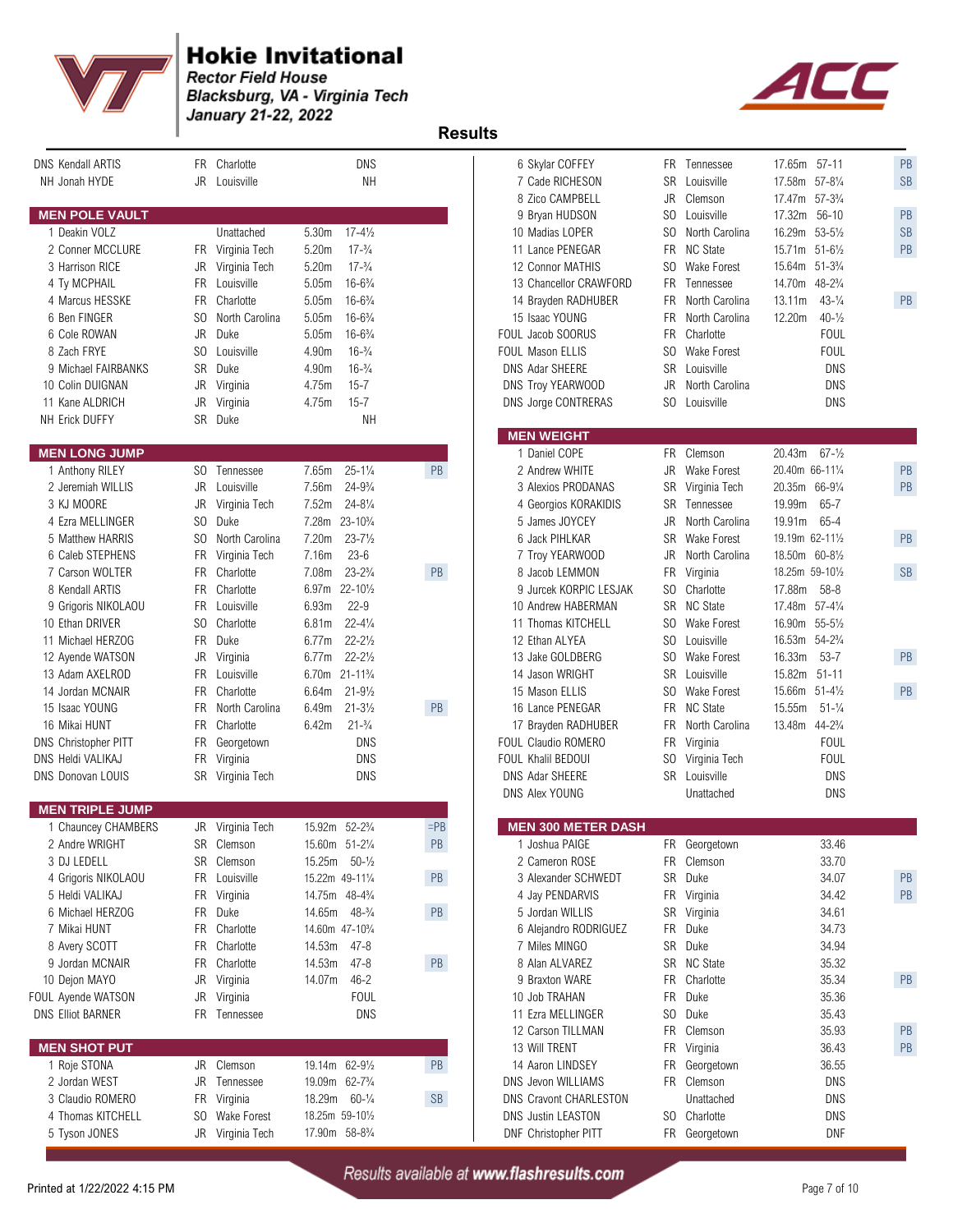



| <b>DNS Kendall ARTIS</b><br>NH Jonah HYDE | Charlotte<br>FR.<br>JR Louisville | DNS<br><b>NH</b>                         |               | 6 Skylar COFFEY<br>7 Cade RICHESON<br>8 Zico CAMPBELL | SR<br>JR  | FR Tennessee<br>Louisville<br>Clemson | 17.65m 57-11<br>17.58m 57-81/4<br>$57 - 3\frac{3}{4}$<br>17.47m | PB<br><b>SB</b> |
|-------------------------------------------|-----------------------------------|------------------------------------------|---------------|-------------------------------------------------------|-----------|---------------------------------------|-----------------------------------------------------------------|-----------------|
| <b>MEN POLE VAULT</b>                     |                                   |                                          |               | 9 Bryan HUDSON                                        | SO.       | Louisville                            | $56 - 10$<br>17.32m                                             | PB              |
| 1 Deakin VOLZ                             | Unattached                        | 5.30m<br>$17 - 4\frac{1}{2}$             |               | 10 Madias LOPER                                       | SO.       | North Carolina                        | 16.29m 53-51/2                                                  | <b>SB</b>       |
| 2 Conner MCCLURE                          | FR Virginia Tech                  | $17 - \frac{3}{4}$<br>5.20m              |               | 11 Lance PENEGAR                                      |           | FR NC State                           | 15.71m 51-61/2                                                  | PB              |
| 3 Harrison RICE                           | JR Virginia Tech                  | 5.20m<br>$17 - \frac{3}{4}$              |               | 12 Connor MATHIS                                      | SO.       | Wake Forest                           | 15.64m 51-31/4                                                  |                 |
| 4 Ty MCPHAIL                              | FR Louisville                     | 5.05m<br>$16 - 6\frac{3}{4}$             |               | 13 Chancellor CRAWFORD                                |           | FR Tennessee                          | 14.70m<br>$48 - 2\frac{3}{4}$                                   |                 |
| 4 Marcus HESSKE                           | <b>FR</b><br>Charlotte            | 5.05m<br>$16 - 6\frac{3}{4}$             |               | 14 Brayden RADHUBER                                   | <b>FR</b> | North Carolina                        | $43 - \frac{1}{4}$<br>13.11m                                    | PB              |
| 6 Ben FINGER                              | SO.<br>North Carolina             | $16 - 6\frac{3}{4}$<br>5.05m             |               | 15 Isaac YOUNG                                        | FR        | North Carolina                        | $40 - \frac{1}{2}$<br>12.20m                                    |                 |
| 6 Cole ROWAN                              | JR<br>Duke                        | $16 - 6\frac{3}{4}$<br>5.05m             |               | FOUL Jacob SOORUS                                     |           | FR Charlotte                          | <b>FOUL</b>                                                     |                 |
| 8 Zach FRYE                               | S <sub>0</sub><br>Louisville      | $16-3/4$<br>4.90m                        |               | FOUL Mason ELLIS                                      | SO.       | Wake Forest                           | FOUL                                                            |                 |
| 9 Michael FAIRBANKS                       | <b>SR</b><br>Duke                 | 4.90m<br>$16-3/4$                        |               | DNS Adar SHEERE                                       |           | SR Louisville                         | DNS                                                             |                 |
| 10 Colin DUIGNAN                          | JR<br>Virginia                    | $15 - 7$<br>4.75m                        |               | DNS Troy YEARWOOD                                     | JR        | North Carolina                        | DNS                                                             |                 |
| 11 Kane ALDRICH                           | JR<br>Virginia                    | $15 - 7$<br>4.75m                        |               | DNS Jorge CONTRERAS                                   | SO.       | Louisville                            | <b>DNS</b>                                                      |                 |
| NH Erick DUFFY                            | SR Duke                           | <b>NH</b>                                |               |                                                       |           |                                       |                                                                 |                 |
|                                           |                                   |                                          |               | <b>MEN WEIGHT</b>                                     |           |                                       |                                                                 |                 |
| <b>MEN LONG JUMP</b>                      |                                   |                                          |               | 1 Daniel COPE                                         |           | FR Clemson                            | 20.43m<br>$67 - \frac{1}{2}$                                    |                 |
| 1 Anthony RILEY                           | SO.<br>Tennessee                  | $25 - 1\frac{1}{4}$<br>7.65m             | PB            | 2 Andrew WHITE                                        | JR        | Wake Forest                           | 20.40m 66-111/4                                                 | PB              |
| 2 Jeremiah WILLIS                         | JR<br>Louisville                  | $24 - 9\frac{3}{4}$<br>7.56m             |               | 3 Alexios PRODANAS                                    |           | SR Virginia Tech                      | 20.35m 66-91/4                                                  | PB              |
| 3 KJ MOORE                                | JR Virginia Tech                  | $24 - 8\frac{1}{4}$<br>7.52m             |               | 4 Georgios KORAKIDIS                                  |           | SR Tennessee                          | 65-7<br>19.99m                                                  |                 |
| 4 Ezra MELLINGER                          | SO.<br>Duke                       | 7.28m 23-10 <sup>3</sup> /4              |               | 5 James JOYCEY                                        | JR        | North Carolina                        | 19.91m<br>65-4                                                  |                 |
| 5 Matthew HARRIS                          | S <sub>0</sub><br>North Carolina  | 7.20m<br>$23 - 7\frac{1}{2}$             |               | 6 Jack PIHLKAR                                        |           | SR Wake Forest                        | 19.19m 62-111/2                                                 | PB              |
| 6 Caleb STEPHENS                          | FR Virginia Tech                  | 7.16m<br>$23 - 6$                        |               | 7 Troy YEARWOOD                                       | JR        | North Carolina                        | 18.50m 60-81/2                                                  |                 |
| 7 Carson WOLTER                           | FR Charlotte                      | $23 - 2\frac{3}{4}$<br>7.08 <sub>m</sub> | PB            | 8 Jacob LEMMON                                        | FR        | Virginia                              | 18.25m 59-101/2                                                 | SB              |
| 8 Kendall ARTIS                           | Charlotte<br>FR                   | $22 - 10\frac{1}{2}$<br>6.97m            |               | 9 Jurcek KORPIC LESJAK                                | SO        | Charlotte                             | 17.88m<br>$58 - 8$                                              |                 |
| 9 Grigoris NIKOLAOU                       | FR Louisville                     | 6.93m<br>$22 - 9$                        |               | 10 Andrew HABERMAN                                    |           | SR NC State                           | 17.48m 57-41/4                                                  |                 |
| 10 Ethan DRIVER                           | SO<br>Charlotte                   | $22 - 4\frac{1}{4}$<br>6.81m             |               | 11 Thomas KITCHELL                                    | SO        | Wake Forest                           | 16.90m 55-51/2                                                  |                 |
| 11 Michael HERZOG                         | FR Duke                           | $22 - 2\frac{1}{2}$<br>6.77m             |               | 12 Ethan ALYEA                                        |           | SO Louisville                         | 16.53m 54-23/4                                                  |                 |
| 12 Ayende WATSON                          | JR.<br>Virginia                   | $22 - 2\frac{1}{2}$<br>6.77m             |               | 13 Jake GOLDBERG                                      | SO        | Wake Forest                           | 16.33m<br>$53 - 7$                                              | PB              |
| 13 Adam AXELROD                           | <b>FR</b><br>Louisville           | 6.70m 21-11 <sup>3</sup> / <sub>4</sub>  |               | 14 Jason WRIGHT                                       | <b>SR</b> | Louisville                            | $51 - 11$<br>15.82m                                             |                 |
| 14 Jordan MCNAIR                          | FR Charlotte                      | $21 - 9\frac{1}{2}$<br>6.64m             |               | 15 Mason ELLIS                                        |           | SO Wake Forest                        | 15.66m 51-41/2                                                  | PB              |
| 15 Isaac YOUNG                            | FR North Carolina                 | $21 - 3\frac{1}{2}$<br>6.49m             | PB            | 16 Lance PENEGAR                                      |           | FR NC State                           | 15.55m<br>$51 - \frac{1}{4}$                                    |                 |
| 16 Mikai HUNT                             | FR Charlotte                      | 6.42m<br>$21 - \frac{3}{4}$              |               | 17 Brayden RADHUBER                                   |           | FR North Carolina                     | 13.48m 44-23/4                                                  |                 |
| DNS Christopher PITT                      | FR Georgetown                     | DNS                                      |               | FOUL Claudio ROMERO                                   | FR        | Virginia                              | <b>FOUL</b>                                                     |                 |
| DNS Heldi VALIKAJ                         | FR Virginia                       | DNS                                      |               | <b>FOUL Khalil BEDOUI</b>                             | SO.       | Virginia Tech                         | FOUL                                                            |                 |
| <b>DNS Donovan LOUIS</b>                  | SR Virginia Tech                  | DNS                                      |               | <b>DNS Adar SHEERE</b>                                |           | SR Louisville                         | <b>DNS</b>                                                      |                 |
|                                           |                                   |                                          |               | DNS Alex YOUNG                                        |           | Unattached                            | DNS                                                             |                 |
| <b>MEN TRIPLE JUMP</b>                    |                                   |                                          |               |                                                       |           |                                       |                                                                 |                 |
| 1 Chauncey CHAMBERS                       | JR Virginia Tech                  | $52 - 2\frac{3}{4}$<br>15.92m            | $=$ PB        | <b>MEN 300 METER DASH</b>                             |           |                                       |                                                                 |                 |
| 2 Andre WRIGHT                            | SR Clemson                        | 15.60m 51-21/4                           | PB            | 1 Joshua PAIGE                                        |           | FR Georgetown                         | 33.46                                                           |                 |
| 3 DJ LEDELL                               | SR<br>Clemson                     | $15.25m$ $50-\frac{1}{2}$                |               | 2 Cameron ROSE                                        |           | FR Clemson                            | 33.70                                                           |                 |
| 4 Grigoris NIKOLAOU                       | FR Louisville                     | 15.22m 49-111/4                          | PB            | 3 Alexander SCHWEDT                                   |           | SR Duke                               | 34.07                                                           | PB              |
| 5 Heldi VALIKAJ                           | FR Virginia                       | 14.75m 48-43/4                           |               | 4 Jay PENDARVIS                                       |           | FR Virginia                           | 34.42                                                           | PB              |
| 6 Michael HERZOG                          | FR Duke                           | 14.65m 48-3/4                            | PB            | 5 Jordan WILLIS                                       |           | SR Virginia                           | 34.61                                                           |                 |
| 7 Mikai HUNT                              | FR Charlotte                      | 14.60m 47-10 <sup>3</sup> /4             |               | 6 Alejandro RODRIGUEZ                                 |           | FR Duke                               | 34.73                                                           |                 |
| 8 Avery SCOTT                             | FR<br>Charlotte                   | 14.53m<br>47-8                           |               | 7 Miles MINGO                                         |           | SR Duke                               | 34.94                                                           |                 |
| 9 Jordan MCNAIR                           | FR<br>Charlotte                   | 14.53m<br>$47 - 8$                       | $\mathsf{PB}$ | 8 Alan ALVAREZ                                        |           | SR NC State                           | 35.32                                                           |                 |
| 10 Dejon MAYO                             | JR Virginia                       | $46 - 2$<br>14.07m                       |               | 9 Braxton WARE                                        |           | FR Charlotte                          | 35.34                                                           | PB              |
| FOUL Ayende WATSON                        | JR Virginia                       | <b>FOUL</b>                              |               | 10 Job TRAHAN                                         |           | FR Duke                               | 35.36                                                           |                 |
| <b>DNS Elliot BARNER</b>                  | FR Tennessee                      | DNS                                      |               | 11 Ezra MELLINGER                                     |           | SO Duke                               | 35.43                                                           |                 |
|                                           |                                   |                                          |               | 12 Carson TILLMAN                                     |           | FR Clemson                            | 35.93                                                           | PB              |
| <b>MEN SHOT PUT</b>                       |                                   |                                          |               | 13 Will TRENT                                         |           | FR Virginia                           | 36.43                                                           | PB              |
| 1 Roje STONA                              | JR<br>Clemson                     | 19.14m 62-91/2                           | PB            | 14 Aaron LINDSEY                                      |           | FR Georgetown                         | 36.55                                                           |                 |
| 2 Jordan WEST                             | JR Tennessee                      | 19.09m 62-73/4                           |               | DNS Jevon WILLIAMS                                    |           | FR Clemson                            | DNS                                                             |                 |
| 3 Claudio ROMERO                          | FR Virginia                       | 18.29m 60-1/4                            | SB            | <b>DNS Cravont CHARLESTON</b>                         |           | Unattached                            | DNS                                                             |                 |
| 4 Thomas KITCHELL                         | Wake Forest<br>SO                 | 18.25m 59-101/2                          |               | <b>DNS Justin LEASTON</b>                             |           | SO Charlotte                          | DNS                                                             |                 |
| 5 Tyson JONES                             | JR Virginia Tech                  | 17.90m 58-83/4                           |               | DNF Christopher PITT                                  |           | FR Georgetown                         | DNF                                                             |                 |

| <b>NS Kendall ARTIS</b>                | FR Charlotte                            | <b>DNS</b>                                        |        | 6 Skylar COFFEY                        | FR<br>Tennessee                                         | 17.65m 57-11                          | PB            |
|----------------------------------------|-----------------------------------------|---------------------------------------------------|--------|----------------------------------------|---------------------------------------------------------|---------------------------------------|---------------|
| NH Jonah HYDE                          | JR<br>Louisville                        | <b>NH</b>                                         |        | 7 Cade RICHESON                        | <b>SR</b><br>Louisville                                 | 17.58m 57-81/4                        | <b>SB</b>     |
| <b>MEN POLE VAULT</b>                  |                                         |                                                   |        | 8 Zico CAMPBELL<br>9 Bryan HUDSON      | JR<br>Clemson<br>Louisville<br>SO.                      | 17.47m 57-31/4<br>$56 - 10$<br>17.32m | PB            |
| 1 Deakin VOLZ                          | Unattached                              | 5.30m<br>$17 - 4\frac{1}{2}$                      |        | 10 Madias LOPER                        | S <sub>0</sub><br>North Carolina                        | 16.29m<br>$53 - 5\frac{1}{2}$         | <b>SB</b>     |
| 2 Conner MCCLURE                       | Virginia Tech<br>FR                     | $17 - \frac{3}{4}$<br>5.20m                       |        | 11 Lance PENEGAR                       | <b>FR</b><br><b>NC State</b>                            | 15.71m<br>$51 - 6\frac{1}{2}$         | PB            |
| 3 Harrison RICE                        | JR<br>Virginia Tech                     | $17 - \frac{3}{4}$<br>5.20m                       |        | 12 Connor MATHIS                       | S <sub>0</sub><br>Wake Forest                           | 15.64m<br>$51 - 3\frac{3}{4}$         |               |
| 4 Ty MCPHAIL                           | Louisville<br>FR                        | $16 - 6\frac{3}{4}$<br>5.05m                      |        | 13 Chancellor CRAWFORD                 | FR.<br>Tennessee                                        | 14.70m<br>$48 - 2\frac{3}{4}$         |               |
| 4 Marcus HESSKE                        | Charlotte<br>FR                         | $16 - 6\frac{3}{4}$<br>5.05m                      |        | 14 Brayden RADHUBER                    | FR.<br>North Carolina                                   | $43 - \frac{1}{4}$<br>13.11m          | PB            |
| 6 Ben FINGER                           | S <sub>0</sub><br>North Carolina        | $16 - 6\frac{3}{4}$<br>5.05m                      |        | 15 Isaac YOUNG                         | North Carolina<br>FR                                    | $40 - \frac{1}{2}$<br>12.20m          |               |
| 6 Cole ROWAN                           | <b>JR</b><br>Duke                       | $16 - 6\frac{3}{4}$<br>5.05m                      |        | FOUL Jacob SOORUS                      | <b>FR</b><br>Charlotte                                  | <b>FOUL</b>                           |               |
| 8 Zach FRYE                            | S <sub>0</sub><br>Louisville            | $16 - \frac{3}{4}$<br>4.90m                       |        | <b>FOUL Mason ELLIS</b>                | S <sub>0</sub><br>Wake Forest                           | <b>FOUL</b>                           |               |
| 9 Michael FAIRBANKS                    | <b>SR</b><br>Duke                       | $16-3/4$<br>4.90m                                 |        | <b>DNS Adar SHEERE</b>                 | <b>SR</b><br>Louisville                                 | <b>DNS</b>                            |               |
| 10 Colin DUIGNAN                       | JR<br>Virginia                          | $15 - 7$<br>4.75m                                 |        | DNS Troy YEARWOOD                      | North Carolina<br>JR                                    | <b>DNS</b>                            |               |
| 11 Kane ALDRICH                        | JR<br>Virginia                          | $15 - 7$<br>4.75m                                 |        | DNS Jorge CONTRERAS                    | SO.<br>Louisville                                       | <b>DNS</b>                            |               |
| NH Erick DUFFY                         | SR<br>Duke                              | NΗ                                                |        |                                        |                                                         |                                       |               |
|                                        |                                         |                                                   |        | <b>MEN WEIGHT</b>                      |                                                         |                                       |               |
| <b>MEN LONG JUMP</b>                   |                                         |                                                   |        | 1 Daniel COPE                          | FR Clemson                                              | 20.43m<br>$67 - \frac{1}{2}$          |               |
| 1 Anthony RILEY                        | SO Tennessee                            | $25 - 1\frac{1}{4}$<br>7.65m                      | PB     | 2 Andrew WHITE                         | JR.<br><b>Wake Forest</b>                               | 20.40m 66-111/4                       | PB            |
| 2 Jeremiah WILLIS                      | JR<br>Louisville                        | $24 - 9\frac{3}{4}$<br>7.56m                      |        | 3 Alexios PRODANAS                     | SR<br>Virginia Tech                                     | 20.35m 66-91/4                        | PB            |
| 3 KJ MOORE                             | JR<br>Virginia Tech                     | $24 - 8\frac{1}{4}$<br>7.52m                      |        | 4 Georgios KORAKIDIS                   | SR<br>Tennessee                                         | $65 - 7$<br>19.99m                    |               |
| 4 Ezra MELLINGER                       | SO.<br>Duke                             | $23 - 10^{3}/4$<br>7.28m                          |        | 5 James JOYCEY                         | North Carolina<br>JR                                    | $65 - 4$<br>19.91m                    |               |
| 5 Matthew HARRIS<br>6 Caleb STEPHENS   | SO.<br>North Carolina                   | $23 - 7\frac{1}{2}$<br>7.20m<br>$23 - 6$<br>7.16m |        | 6 Jack PIHLKAR                         | <b>SR</b><br><b>Wake Forest</b><br>JR<br>North Carolina | 19.19m 62-111/2<br>18.50m 60-81/2     | PB            |
| 7 Carson WOLTER                        | FR<br>Virginia Tech<br>Charlotte<br>FR. | $23 - 2\frac{3}{4}$<br>7.08m                      | PB     | 7 Troy YEARWOOD<br>8 Jacob LEMMON      | FR<br>Virginia                                          | 18.25m 59-101/2                       | <b>SB</b>     |
| 8 Kendall ARTIS                        | <b>FR</b><br>Charlotte                  | $22 - 10\frac{1}{2}$<br>6.97m                     |        | 9 Jurcek KORPIC LESJAK                 | SO.<br>Charlotte                                        | 17.88m<br>$58 - 8$                    |               |
| 9 Grigoris NIKOLAOU                    | Louisville<br>FR                        | $22 - 9$<br>6.93m                                 |        | 10 Andrew HABERMAN                     | <b>SR</b><br><b>NC State</b>                            | 17.48m 57-41/4                        |               |
| 10 Ethan DRIVER                        | SO.<br>Charlotte                        | $22 - 4\frac{1}{4}$<br>6.81m                      |        | 11 Thomas KITCHELL                     | SO.<br><b>Wake Forest</b>                               | 16.90m<br>$55 - 5\frac{1}{2}$         |               |
| 11 Michael HERZOG                      | <b>FR</b><br>Duke                       | $22 - 2\frac{1}{2}$<br>6.77m                      |        | 12 Ethan ALYEA                         | SO.<br>Louisville                                       | 16.53m<br>$54 - 2\frac{3}{4}$         |               |
| 12 Ayende WATSON                       | JR<br>Virginia                          | $22 - 2\frac{1}{2}$<br>6.77m                      |        | 13 Jake GOLDBERG                       | SO.<br><b>Wake Forest</b>                               | 16.33m<br>$53 - 7$                    | PB            |
| 13 Adam AXELROD                        | Louisville<br>FR.                       | 6.70m 21-11 <sup>3</sup> / <sub>4</sub>           |        | 14 Jason WRIGHT                        | <b>SR</b><br>Louisville                                 | 15.82m<br>$51 - 11$                   |               |
| 14 Jordan MCNAIR                       | <b>FR</b><br>Charlotte                  | $21 - 9\frac{1}{2}$<br>6.64m                      |        | 15 Mason ELLIS                         | SO.<br><b>Wake Forest</b>                               | 15.66m<br>$51 - 4\frac{1}{2}$         | PB            |
| 15 Isaac YOUNG                         | North Carolina<br>FR.                   | $21 - 3\frac{1}{2}$<br>6.49m                      | PB     | 16 Lance PENEGAR                       | <b>FR</b><br><b>NC State</b>                            | 15.55m<br>$51 - \frac{1}{4}$          |               |
| 16 Mikai HUNT                          | FR<br>Charlotte                         | $21 - \frac{3}{4}$<br>6.42m                       |        | 17 Brayden RADHUBER                    | FR<br>North Carolina                                    | $44 - 2\frac{3}{4}$<br>13.48m         |               |
| NS Christopher PITT                    | FR<br>Georgetown                        | <b>DNS</b>                                        |        | FOUL Claudio ROMERO                    | FR<br>Virginia                                          | <b>FOUL</b>                           |               |
| NS Heldi VALIKAJ                       | Virginia<br>FR                          | <b>DNS</b>                                        |        | <b>FOUL Khalil BEDOUI</b>              | SO.<br>Virginia Tech                                    | <b>FOUL</b>                           |               |
| NS Donovan LOUIS                       | SR<br>Virginia Tech                     | <b>DNS</b>                                        |        | <b>DNS Adar SHEERE</b>                 | SR Louisville                                           | <b>DNS</b>                            |               |
|                                        |                                         |                                                   |        | DNS Alex YOUNG                         | Unattached                                              | DNS                                   |               |
| <b>MEN TRIPLE JUMP</b>                 |                                         |                                                   |        |                                        |                                                         |                                       |               |
| 1 Chauncey CHAMBERS                    | JR Virginia Tech                        | 15.92m 52-23/4                                    | $=$ PB | <b>MEN 300 METER DASH</b>              |                                                         |                                       |               |
| 2 Andre WRIGHT                         | SR Clemson                              | 15.60m 51-21/4                                    | PB     | 1 Joshua PAIGE                         | FR Georgetown                                           | 33.46                                 |               |
| 3 DJ LEDELL                            | SR Clemson                              | 15.25m 50-1/2                                     |        | 2 Cameron ROSE                         | FR Clemson<br>SR Duke                                   | 33.70                                 |               |
| 4 Grigoris NIKOLAOU<br>5 Heldi VALIKAJ | FR<br>Louisville<br>FR<br>Virginia      | 15.22m 49-111/4<br>14.75m 48-43/4                 | PB     | 3 Alexander SCHWEDT<br>4 Jay PENDARVIS | FR<br>Virginia                                          | 34.07<br>34.42                        | PB<br>PB      |
| 6 Michael HERZOG                       | Duke<br>FR                              | $48-3/4$<br>14.65m                                | PB     | 5 Jordan WILLIS                        | SR Virginia                                             | 34.61                                 |               |
| 7 Mikai HUNT                           | FR<br>Charlotte                         | 14.60m 47-10 <sup>3</sup> / <sub>4</sub>          |        | 6 Alejandro RODRIGUEZ                  | FR Duke                                                 | 34.73                                 |               |
| 8 Avery SCOTT                          | Charlotte<br>FR                         | 14.53m<br>$47 - 8$                                |        | 7 Miles MINGO                          | SR Duke                                                 | 34.94                                 |               |
| 9 Jordan MCNAIR                        | Charlotte<br>FR                         | 14.53m<br>$47 - 8$                                | PB     | 8 Alan ALVAREZ                         | SR NC State                                             | 35.32                                 |               |
| 10 Dejon MAYO                          | Virginia<br>JR                          | $46 - 2$<br>14.07m                                |        | 9 Braxton WARE                         | FR<br>Charlotte                                         | 35.34                                 | PB            |
| UL Ayende WATSON                       | JR<br>Virginia                          | <b>FOUL</b>                                       |        | 10 Job TRAHAN                          | <b>FR</b><br>Duke                                       | 35.36                                 |               |
| NS Elliot BARNER                       | FR<br>Tennessee                         | <b>DNS</b>                                        |        | 11 Ezra MELLINGER                      | S <sub>0</sub><br>Duke                                  | 35.43                                 |               |
|                                        |                                         |                                                   |        | 12 Carson TILLMAN                      | FR<br>Clemson                                           | 35.93                                 | $\mathsf{PB}$ |
| <b>MEN SHOT PUT</b>                    |                                         |                                                   |        | 13 Will TRENT                          | FR Virginia                                             | 36.43                                 | PB            |
| 1 Roje STONA                           | Clemson<br>JR                           | 19.14m 62-91/2                                    | PB     | 14 Aaron LINDSEY                       | FR<br>Georgetown                                        | 36.55                                 |               |
| 2 Jordan WEST                          | JR<br>Tennessee                         | 19.09m 62-7 <sup>3</sup> / <sub>4</sub>           |        | DNS Jevon WILLIAMS                     | FR Clemson                                              | <b>DNS</b>                            |               |
| 3 Claudio ROMERO                       | Virginia<br>FR                          | 18.29m 60-1/4                                     | SB     | <b>DNS Cravont CHARLESTON</b>          | Unattached                                              | DNS                                   |               |
| 4 Thomas KITCHELL                      | SO.<br>Wake Forest                      | 18.25m 59-101/2                                   |        | <b>DNS Justin LEASTON</b>              | SO Charlotte                                            | DNS                                   |               |
| 5 Tyson JONES                          | JR Virginia Tech                        | 17.90m 58-83/4                                    |        | DNF Christopher PITT                   | FR Georgetown                                           | <b>DNF</b>                            |               |
|                                        |                                         |                                                   |        |                                        |                                                         |                                       |               |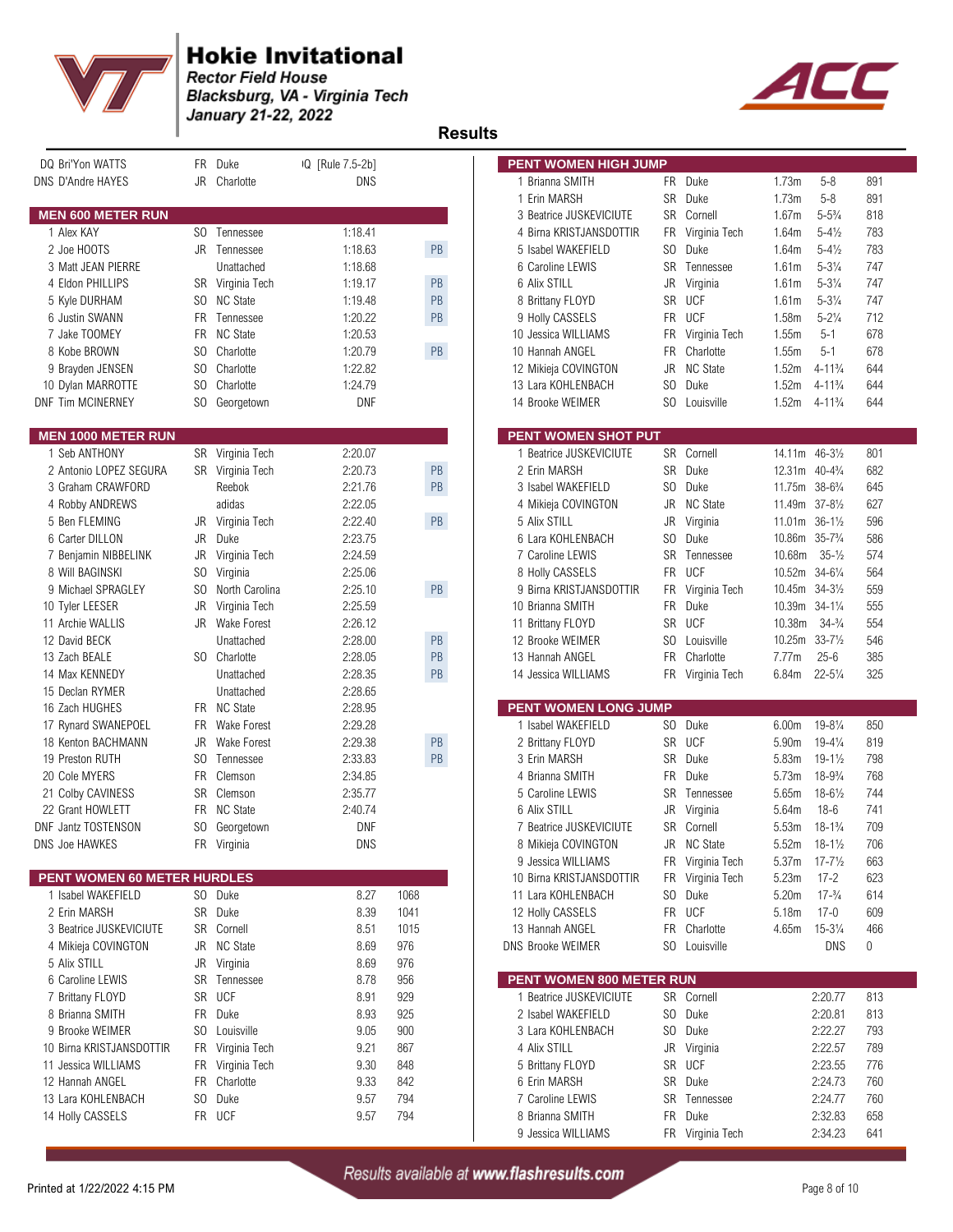



| DQ Bri'Yon WATTS                          |            | FR Duke                    | IQ [Rule 7.5-2b]   |               | PENT WOMEN HIGH JUMP                       |                 |                            |                   |                                |            |
|-------------------------------------------|------------|----------------------------|--------------------|---------------|--------------------------------------------|-----------------|----------------------------|-------------------|--------------------------------|------------|
| DNS D'Andre HAYES                         |            | JR Charlotte               | DNS                |               | 1 Brianna SMITH                            |                 | FR Duke                    | 1.73m             | $5 - 8$                        | 891        |
|                                           |            |                            |                    |               | 1 Erin MARSH                               |                 | SR Duke                    | 1.73m             | $5 - 8$                        | 891        |
| <b>MEN 600 METER RUN</b>                  |            |                            |                    |               | 3 Beatrice JUSKEVICIUTE                    | SR              | Cornell                    | 1.67m             | $5 - 5\frac{3}{4}$             | 818        |
| 1 Alex KAY                                |            | SO Tennessee               | 1:18.41            |               | 4 Birna KRISTJANSDOTTIR                    |                 | FR Virginia Tech           | 1.64m             | $5 - 4\frac{1}{2}$             | 783        |
| 2 Joe HOOTS                               |            | JR Tennessee               | 1:18.63            | PB            | 5 Isabel WAKEFIELD                         | SO.             | Duke                       | 1.64m             | $5 - 4\frac{1}{2}$             | 783        |
| 3 Matt JEAN PIERRE                        |            | Unattached                 | 1:18.68            |               | 6 Caroline LEWIS                           | SR              | Tennessee                  | 1.61m             | $5 - 3\frac{1}{4}$             | 747        |
| 4 Eldon PHILLIPS                          |            | SR Virginia Tech           | 1:19.17            | PB            | 6 Alix STILL                               | JR              | Virginia                   | 1.61m             | $5 - 3\frac{1}{4}$             | 747        |
| 5 Kyle DURHAM                             | SO.        | <b>NC State</b>            | 1:19.48            | PB            | 8 Brittany FLOYD                           | SR              | <b>UCF</b>                 | 1.61m             | $5 - 3\frac{1}{4}$             | 747        |
| 6 Justin SWANN                            | FR.        | Tennessee                  | 1:20.22            | PB            | 9 Holly CASSELS                            | FR              | <b>UCF</b>                 | 1.58m             | $5 - 2\frac{1}{4}$             | 712        |
| 7 Jake TOOMEY<br>8 Kobe BROWN             | FR.        | <b>NC State</b>            | 1:20.53            | $\mathsf{PB}$ | 10 Jessica WILLIAMS                        | FR<br><b>FR</b> | Virginia Tech<br>Charlotte | 1.55m             | $5 - 1$                        | 678<br>678 |
|                                           | SO.<br>SO. | Charlotte<br>Charlotte     | 1:20.79<br>1:22.82 |               | 10 Hannah ANGEL                            | JR              | <b>NC State</b>            | 1.55m<br>1.52m    | $5 - 1$<br>$4 - 11\frac{3}{4}$ | 644        |
| 9 Brayden JENSEN                          | SO.        | Charlotte                  | 1:24.79            |               | 12 Mikieja COVINGTON<br>13 Lara KOHLENBACH | S <sub>0</sub>  | Duke                       | 1.52m             | $4 - 11\frac{3}{4}$            | 644        |
| 10 Dylan MARROTTE<br>DNF Tim MCINERNEY    | SO.        | Georgetown                 | <b>DNF</b>         |               | 14 Brooke WEIMER                           | SO              | Louisville                 | 1.52m             | $4 - 11\frac{3}{4}$            | 644        |
|                                           |            |                            |                    |               |                                            |                 |                            |                   |                                |            |
| <b>MEN 1000 METER RUN</b>                 |            |                            |                    |               | <b>PENT WOMEN SHOT PUT</b>                 |                 |                            |                   |                                |            |
| 1 Seb ANTHONY                             |            | SR Virginia Tech           | 2:20.07            |               | 1 Beatrice JUSKEVICIUTE                    |                 | SR Cornell                 | 14.11m 46-31/2    |                                | 801        |
| 2 Antonio LOPEZ SEGURA                    |            | SR Virginia Tech           | 2:20.73            | PB            | 2 Erin MARSH                               | SR              | Duke                       | 12.31m 40-43/4    |                                | 682        |
| 3 Graham CRAWFORD                         |            | Reebok                     | 2.21.76            | PB            | 3 Isabel WAKEFIELD                         | SO.             | Duke                       | 11.75m 38-63/4    |                                | 645        |
| 4 Robby ANDREWS                           |            | adidas                     | 2:22.05            |               | 4 Mikieja COVINGTON                        | JR              | <b>NC State</b>            | 11.49m 37-81/2    |                                | 627        |
| 5 Ben FLEMING                             | JR         | Virginia Tech              | 2:22.40            | PB            | 5 Alix STILL                               | JR              | Virginia                   | 11.01m 36-11/2    |                                | 596        |
| 6 Carter DILLON                           | JR         | Duke                       | 2:23.75            |               | 6 Lara KOHLENBACH                          | SO              | Duke                       | 10.86m 35-73/4    |                                | 586        |
| 7 Benjamin NIBBELINK                      | JR         | Virginia Tech              | 2:24.59            |               | 7 Caroline LEWIS                           | SR              | Tennessee                  | 10.68m            | $35 - \frac{1}{2}$             | 574        |
| 8 Will BAGINSKI                           | SO.        | Virginia                   | 2.25.06            |               | 8 Holly CASSELS                            | <b>FR</b>       | <b>UCF</b>                 | 10.52m 34-61/4    |                                | 564        |
| 9 Michael SPRAGLEY                        | SO.        | North Carolina             | 2.25.10            | $\mathsf{PB}$ | 9 Birna KRISTJANSDOTTIR                    | FR              | Virginia Tech              | 10.45m            | $34 - 3\frac{1}{2}$            | 559        |
| 10 Tyler LEESER                           | JR         | Virginia Tech              | 2:25.59            |               | 10 Brianna SMITH                           | FR              | Duke                       | 10.39m 34-11/4    |                                | 555        |
| 11 Archie WALLIS                          |            | JR Wake Forest             | 2:26.12            |               | 11 Brittany FLOYD                          |                 | SR UCF                     | 10.38m            | $34 - \frac{3}{4}$             | 554        |
| 12 David BECK                             |            | Unattached                 | 2:28.00            | PB            | 12 Brooke WEIMER                           | SO.             | Louisville                 | 10.25m            | $33 - 7\frac{1}{2}$            | 546        |
| 13 Zach BEALE                             |            | SO Charlotte               | 2:28.05            | PB            | 13 Hannah ANGEL                            | <b>FR</b>       | Charlotte                  | 7.77m             | $25 - 6$                       | 385        |
| 14 Max KENNEDY                            |            | Unattached                 | 2.28.35            | PB            | 14 Jessica WILLIAMS                        |                 | FR Virginia Tech           | 6.84m             | $22 - 5\frac{1}{4}$            | 325        |
| 15 Declan RYMER                           |            | Unattached                 | 2.28.65            |               | <b>PENT WOMEN LONG JUMP</b>                |                 |                            |                   |                                |            |
| 16 Zach HUGHES                            |            | FR NC State<br>Wake Forest | 2:28.95<br>2:29.28 |               | 1 Isabel WAKEFIELD                         | SO.             | Duke                       | 6.00m             | $19 - 8\frac{1}{4}$            | 850        |
| 17 Rynard SWANEPOEL<br>18 Kenton BACHMANN | FR<br>JR   | Wake Forest                | 2.29.38            | PB            | 2 Brittany FLOYD                           |                 | SR UCF                     | 5.90m             | $19 - 4\frac{1}{4}$            | 819        |
| 19 Preston RUTH                           | SO.        | Tennessee                  | 2:33.83            | PB            | 3 Erin MARSH                               | SR              | Duke                       | 5.83m             | $19 - 1\frac{1}{2}$            | 798        |
| 20 Cole MYERS                             | <b>FR</b>  | Clemson                    | 2.34.85            |               | 4 Brianna SMITH                            | <b>FR</b>       | Duke                       | 5.73m             | $18 - 9\frac{3}{4}$            | 768        |
| 21 Colby CAVINESS                         |            | SR Clemson                 | 2:35.77            |               | 5 Caroline LEWIS                           | SR              | Tennessee                  | 5.65m             | $18 - 6\frac{1}{2}$            | 744        |
| 22 Grant HOWLETT                          |            | FR NC State                | 2:40.74            |               | 6 Alix STILL                               | JR              | Virginia                   | 5.64m             | $18-6$                         | 741        |
| DNF Jantz TOSTENSON                       |            | SO Georgetown              | <b>DNF</b>         |               | 7 Beatrice JUSKEVICIUTE                    |                 | SR Cornell                 | 5.53m             | $18 - 1\frac{3}{4}$            | 709        |
| DNS Joe HAWKES                            |            | FR Virginia                | <b>DNS</b>         |               | 8 Mikieja COVINGTON                        |                 | JR NC State                | 5.52m             | $18 - 1\frac{1}{2}$            | 706        |
|                                           |            |                            |                    |               | 9 Jessica WILLIAMS                         |                 | FR Virginia Tech           | 5.37 <sub>m</sub> | $17 - 7\frac{1}{2}$            | 663        |
| PENT WOMEN 60 METER HURDLES               |            |                            |                    |               | 10 Birna KRISTJANSDOTTIR                   |                 | FR Virginia Tech           | 5.23m             | $17 - 2$                       | 623        |
| 1 Isabel WAKEFIELD                        |            | SO Duke                    | 8.27               | 1068          | 11 Lara KOHLENBACH                         |                 | SO Duke                    | 5.20m             | $17 - \frac{3}{4}$             | 614        |
| 2 Erin MARSH                              |            | SR Duke                    | 8.39               | 1041          | 12 Holly CASSELS                           |                 | FR UCF                     | 5.18m             | $17 - 0$                       | 609        |
| 3 Beatrice JUSKEVICIUTE                   |            | SR Cornell                 | 8.51               | 1015          | 13 Hannah ANGEL                            | FR              | Charlotte                  | 4.65m             | $15 - 3\frac{1}{4}$            | 466        |
| 4 Mikieja COVINGTON                       | JR         | <b>NC State</b>            | 8.69               | 976           | <b>DNS Brooke WEIMER</b>                   |                 | SO Louisville              |                   | DNS                            | 0          |
| 5 Alix STILL                              | JR         | Virginia                   | 8.69               | 976           |                                            |                 |                            |                   |                                |            |
| 6 Caroline LEWIS                          | SR         | Tennessee                  | 8.78               | 956           | PENT WOMEN 800 METER RUN                   |                 |                            |                   |                                |            |
| 7 Brittany FLOYD                          |            | SR UCF                     | 8.91               | 929           | 1 Beatrice JUSKEVICIUTE                    |                 | SR Cornell                 |                   | 2:20.77                        | 813        |
| 8 Brianna SMITH                           | FR         | Duke                       | 8.93               | 925           | 2 Isabel WAKEFIELD                         |                 | SO Duke                    |                   | 2:20.81                        | 813        |
| 9 Brooke WEIMER                           | SO.        | Louisville                 | 9.05               | 900           | 3 Lara KOHLENBACH                          |                 | SO Duke                    |                   | 2:22.27                        | 793        |
| 10 Birna KRISTJANSDOTTIR                  | FR         | Virginia Tech              | 9.21               | 867           | 4 Alix STILL                               |                 | JR Virginia                |                   | 2:22.57                        | 789        |
| 11 Jessica WILLIAMS                       | FR         | Virginia Tech              | 9.30               | 848           | 5 Brittany FLOYD                           |                 | SR UCF                     |                   | 2:23.55                        | 776        |
| 12 Hannah ANGEL                           |            | FR Charlotte               | 9.33               | 842           | 6 Erin MARSH                               |                 | SR Duke                    |                   | 2:24.73                        | 760        |
| 13 Lara KOHLENBACH                        | SO.        | Duke                       | 9.57               | 794           | 7 Caroline LEWIS                           |                 | SR Tennessee               |                   | 2:24.77                        | 760        |
| 14 Holly CASSELS                          |            | FR UCF                     | 9.57               | 794           | 8 Brianna SMITH                            |                 | FR Duke                    |                   | 2:32.83                        | 658        |
|                                           |            |                            |                    |               | 9 Jessica WILLIAMS                         |                 | FR Virginia Tech           |                   | 2:34.23                        | 641        |

| <b>PENT WOMEN HIGH JUMP</b>                       |           |                       |                                        |                     |            |  |
|---------------------------------------------------|-----------|-----------------------|----------------------------------------|---------------------|------------|--|
| 1 Brianna SMITH                                   | FR        | Duke                  | 1.73m                                  | $5 - 8$             | 891        |  |
| 1 Erin MARSH                                      | SR        | Duke                  | 1.73m                                  | $5 - 8$             | 891        |  |
| 3 Beatrice JUSKEVICIUTE                           | SR        | Cornell               | 1.67m                                  | $5 - 5\frac{3}{4}$  | 818        |  |
| 4 Birna KRISTJANSDOTTIR                           | FR        | Virginia Tech         | 1.64m                                  | $5 - 4\frac{1}{2}$  | 783        |  |
| 5 Isabel WAKEFIELD                                | SO.       | Duke                  | 1.64m                                  | $5 - 4\frac{1}{2}$  | 783        |  |
| 6 Caroline LEWIS                                  | SR        | Tennessee             | 1.61 <sub>m</sub>                      | $5 - 3\frac{1}{4}$  | 747        |  |
| 6 Alix STILL                                      | JR        | Virginia              | 1.61m                                  | $5 - 3\frac{1}{4}$  | 747        |  |
| 8 Brittany FLOYD                                  | SR        | UCF                   | 1.61m                                  | $5 - 3\frac{1}{4}$  | 747        |  |
| 9 Holly CASSELS                                   | FR        | UCF                   | 1.58m                                  | $5 - 2\frac{1}{4}$  | 712        |  |
| 10 Jessica WILLIAMS                               | FR.       | Virginia Tech         | 1.55m                                  | $5 - 1$             | 678        |  |
| 10 Hannah ANGEL                                   | FR.       | Charlotte             | 1.55m                                  | $5 - 1$             | 678        |  |
| 12 Mikieja COVINGTON                              | JR        | <b>NC State</b>       | 1.52m                                  | $4 - 11\frac{3}{4}$ | 644        |  |
| 13 Lara KOHLENBACH                                | SO        | Duke                  | 1.52m                                  | $4 - 11\frac{3}{4}$ | 644        |  |
| 14 Brooke WEIMER                                  | SO.       | Louisville            | 1.52m                                  | 4-11¾               | 644        |  |
|                                                   |           |                       |                                        |                     |            |  |
| <b>PENT WOMEN SHOT PUT</b>                        |           |                       |                                        |                     |            |  |
| 1 Beatrice JUSKEVICIUTE                           | SR        | Cornell               | 14.11m                                 | $46 - 3\frac{1}{2}$ | 801        |  |
| 2 Erin MARSH                                      | SR        | Duke                  | 12.31m                                 | $40 - 4\frac{3}{4}$ | 682        |  |
| 3 Isabel WAKEFIELD                                | SO.       | Duke                  | 11.75m                                 | $38 - 6\frac{3}{4}$ | 645        |  |
| 4 Mikieja COVINGTON                               | JR        | <b>NC State</b>       | 11.49m                                 | $37 - 8\frac{1}{2}$ | 627        |  |
| 5 Alix STILL                                      | JR        | Virginia              | 11.01m                                 | $36 - 1\frac{1}{2}$ | 596        |  |
| 6 Lara KOHLENBACH                                 | SO        | Duke                  | 10.86m                                 | $35 - 7\frac{3}{4}$ | 586        |  |
| 7 Caroline LEWIS                                  | SR        | Tennessee             | 10.68m                                 | $35 - \frac{1}{2}$  | 574        |  |
| 8 Holly CASSELS                                   | FR        | <b>UCF</b>            | 10.52m                                 | $34 - 6\frac{1}{4}$ | 564        |  |
| 9 Birna KRISTJANSDOTTIR                           | FR        | Virginia Tech         | 10.45m                                 | $34 - 3\frac{1}{2}$ | 559        |  |
| 10 Brianna SMITH                                  | <b>FR</b> | Duke                  | 10.39m                                 | $34 - 1\frac{1}{4}$ | 555        |  |
| 11 Brittany FLOYD                                 | SR        | <b>UCF</b>            | 10.38m                                 | $34 - \frac{3}{4}$  | 554        |  |
| 12 Brooke WEIMER                                  | SO.       | Louisville            | 10.25m                                 | $33 - 7\frac{1}{2}$ |            |  |
|                                                   |           |                       |                                        |                     | 546        |  |
|                                                   |           |                       |                                        |                     |            |  |
| 13 Hannah ANGEL                                   | <b>FR</b> | Charlotte             | 7.77m                                  | $25 - 6$            | 385        |  |
| 14 Jessica WILLIAMS                               | FR        | Virginia Tech         | 6.84m                                  | $22 - 5\frac{1}{4}$ | 325        |  |
|                                                   |           |                       |                                        |                     |            |  |
| <b>PENT WOMEN LONG JUMP</b><br>1 Isabel WAKEFIELD | SO.       |                       |                                        | $19 - 8\frac{1}{4}$ | 850        |  |
|                                                   | SR        | Duke<br>UCF           | 6.00 <sub>m</sub><br>5.90 <sub>m</sub> | $19 - 4\frac{1}{4}$ | 819        |  |
| 2 Brittany FLOYD<br>3 Erin MARSH                  | SR        | Duke                  | 5.83m                                  | $19 - 1\frac{1}{2}$ | 798        |  |
| 4 Brianna SMITH                                   | FR        | Duke                  | 5.73m                                  |                     |            |  |
|                                                   |           |                       |                                        | $18 - 9\frac{3}{4}$ | 768        |  |
| 5 Caroline LEWIS                                  | SR        | Tennessee             | 5.65m                                  | $18 - 6\frac{1}{2}$ | 744        |  |
| 6 Alix STILL                                      | JR        | Virginia              | 5.64m                                  | $18-6$              | 741        |  |
| 7 Beatrice JUSKEVICIUTE                           | SR<br>JR  | Cornell               | 5.53m                                  | $18 - 1\frac{3}{4}$ | 709        |  |
| 8 Mikieja COVINGTON                               |           | <b>NC State</b>       | 5.52m                                  | 18-1½               | 706        |  |
| 9 Jessica WILLIAMS                                | FR        | Virginia Tech         | 5.37m                                  | $17 - 7\frac{1}{2}$ | 663        |  |
| 10 Birna KRISTJANSDOTTIR                          | FR        | Virginia Tech         | 5.23m                                  | $17 - 2$            | 623        |  |
| 11 Lara KOHLENBACH                                | SO.       | Duke                  | 5.20m                                  | $17 - \frac{3}{4}$  | 614        |  |
| 12 Holly CASSELS                                  | FR        | <b>UCF</b>            | 5.18m                                  | 17-0                | 609        |  |
| 13 Hannah ANGEL                                   | FR.       | Charlotte             | 4.65m                                  | $15 - 3\frac{1}{4}$ | 466        |  |
| <b>NS Brooke WEIMER</b>                           | SO.       | Louisville            |                                        | <b>DNS</b>          | 0          |  |
| PENT WOMEN 800 METER RUN                          |           |                       |                                        |                     |            |  |
| 1 Beatrice JUSKEVICIUTE                           | SR        | Cornell               |                                        | 2:20.77             | 813        |  |
| 2 Isabel WAKEFIELD                                | SO        | Duke                  |                                        | 2:20.81             | 813        |  |
| 3 Lara KOHLENBACH                                 | SO        | Duke                  |                                        | 2:22.27             | 793        |  |
| 4 Alix STILL                                      | JR        |                       |                                        | 2:22.57             | 789        |  |
|                                                   |           | Virginia              |                                        |                     |            |  |
| 5 Brittany FLOYD                                  | SR        | <b>UCF</b>            |                                        | 2:23.55             | 776        |  |
| 6 Erin MARSH                                      | SR        | Duke                  |                                        | 2:24.73             | 760        |  |
| 7 Caroline LEWIS                                  | SR        | Tennessee             |                                        | 2:24.77             | 760        |  |
| 8 Brianna SMITH<br>9 Jessica WILLIAMS             | FR<br>FR  | Duke<br>Virginia Tech |                                        | 2:32.83<br>2:34.23  | 658<br>641 |  |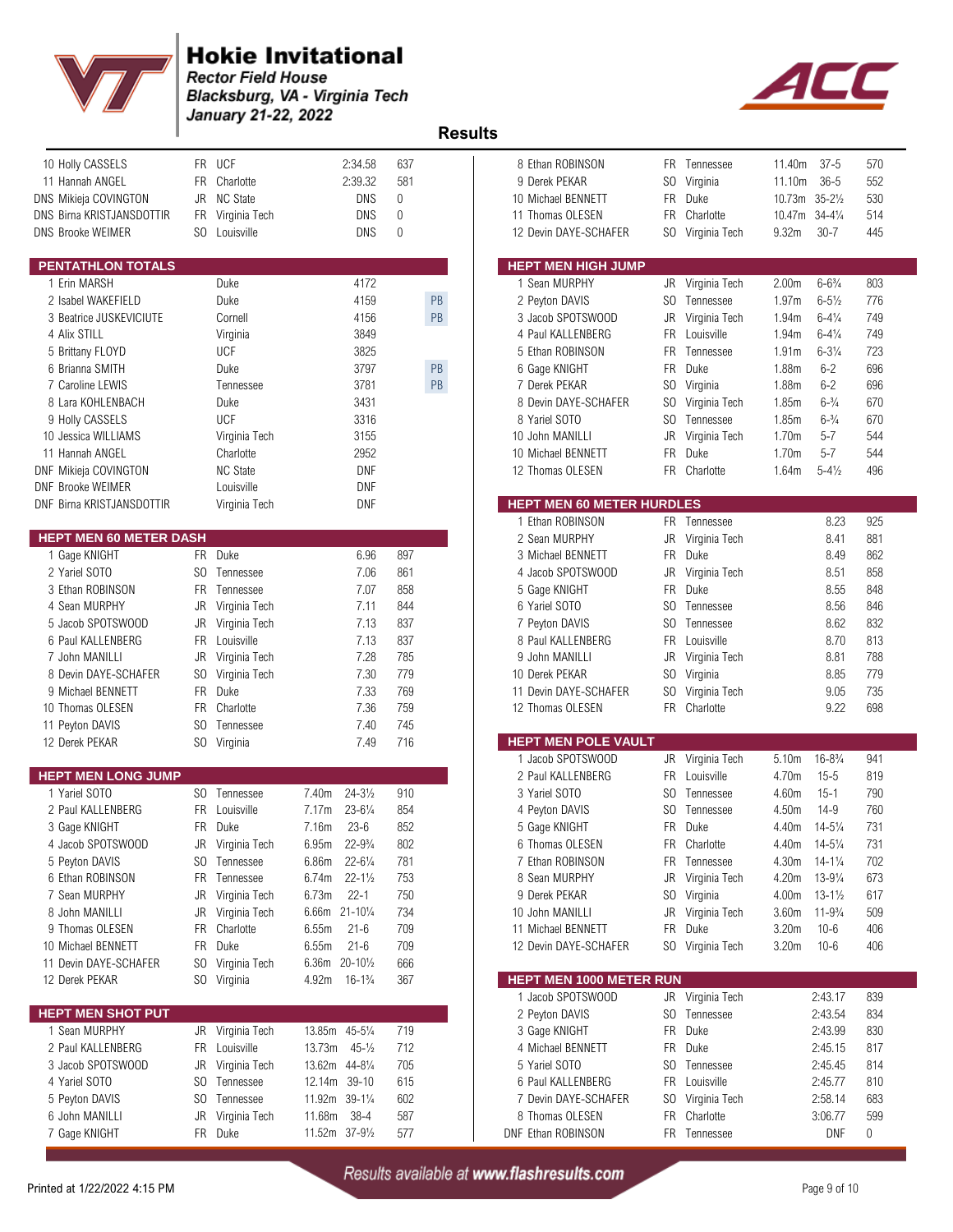



| 10 Holly CASSELS<br>11 Hannah ANGEL<br>DNS Mikieja COVINGTON<br>DNS Birna KRISTJANSDOTTIR<br><b>DNS Brooke WEIMER</b> | FR<br>JR<br>FR | FR UCF<br>Charlotte<br><b>NC State</b><br>Virginia Tech<br>SO Louisville | 2:34.58<br>2:39.32<br><b>DNS</b><br>DNS<br><b>DNS</b> | 637<br>581<br>0<br>0<br>$\mathbf{0}$ |    | 8 Ethan ROBINSON<br>9 Derek PEKAR<br>10 Michael BENNETT<br>11 Thomas OLESEN<br>12 Devin DAYE-SCHAFER | SO<br>FR<br>FR        | FR Tennessee<br>Virginia<br>Duke<br>Charlotte<br>SO Virginia Tech | 11.40m<br>11.10m<br>10.73m 35-21/2<br>10.47m<br>9.32m | $37 - 5$<br>$36 - 5$<br>$34 - 4\frac{1}{4}$<br>$30 - 7$ | 570<br>552<br>530<br>514<br>445 |
|-----------------------------------------------------------------------------------------------------------------------|----------------|--------------------------------------------------------------------------|-------------------------------------------------------|--------------------------------------|----|------------------------------------------------------------------------------------------------------|-----------------------|-------------------------------------------------------------------|-------------------------------------------------------|---------------------------------------------------------|---------------------------------|
| PENTATHLON TOTALS                                                                                                     |                |                                                                          |                                                       |                                      |    | <b>HEPT MEN HIGH JUMP</b>                                                                            |                       |                                                                   |                                                       |                                                         |                                 |
| 1 Erin MARSH                                                                                                          |                | Duke                                                                     | 4172                                                  |                                      |    | 1 Sean MURPHY                                                                                        | JR                    | Virginia Tech                                                     | 2.00 <sub>m</sub>                                     | $6 - 6\frac{3}{4}$                                      | 803                             |
| 2 Isabel WAKEFIELD                                                                                                    |                | Duke                                                                     | 4159                                                  |                                      | PB | 2 Peyton DAVIS                                                                                       | SO.                   | Tennessee                                                         | 1.97m                                                 | $6 - 5\frac{1}{2}$                                      | 776                             |
| 3 Beatrice JUSKEVICIUTE                                                                                               |                | Cornell                                                                  | 4156                                                  |                                      | PB | 3 Jacob SPOTSWOOD                                                                                    | JR                    | Virginia Tech                                                     | 1.94m                                                 | $6 - 4\frac{1}{4}$                                      | 749                             |
| 4 Alix STILL                                                                                                          |                | Virginia                                                                 | 3849                                                  |                                      |    | 4 Paul KALLENBERG                                                                                    | FR.                   | Louisville                                                        | 1.94m                                                 | $6 - 4\frac{1}{4}$                                      | 749                             |
| 5 Brittany FLOYD                                                                                                      |                | <b>UCF</b>                                                               | 3825                                                  |                                      |    | 5 Ethan ROBINSON                                                                                     | FR                    | Tennessee                                                         | 1.91m                                                 | $6 - 3\frac{1}{4}$                                      | 723                             |
| 6 Brianna SMITH                                                                                                       |                | Duke                                                                     | 3797                                                  |                                      | PB | 6 Gage KNIGHT                                                                                        | <b>FR</b>             | Duke                                                              | 1.88m                                                 | $6 - 2$                                                 | 696                             |
| 7 Caroline LEWIS                                                                                                      |                | Tennessee                                                                | 3781                                                  |                                      | PB | 7 Derek PEKAR                                                                                        | SO.                   | Virginia                                                          | 1.88m                                                 | $6 - 2$                                                 | 696                             |
| 8 Lara KOHLENBACH<br>9 Holly CASSELS                                                                                  |                | Duke<br><b>UCF</b>                                                       | 3431<br>3316                                          |                                      |    | 8 Devin DAYE-SCHAFER<br>8 Yariel SOTO                                                                | SO.<br>S <sub>0</sub> | Virginia Tech<br>Tennessee                                        | 1.85m<br>1.85m                                        | $6 - \frac{3}{4}$<br>$6 - \frac{3}{4}$                  | 670<br>670                      |
| 10 Jessica WILLIAMS                                                                                                   |                | Virginia Tech                                                            | 3155                                                  |                                      |    | 10 John MANILLI                                                                                      | <b>JR</b>             | Virginia Tech                                                     | 1.70m                                                 | $5 - 7$                                                 | 544                             |
| 11 Hannah ANGEL                                                                                                       |                | Charlotte                                                                | 2952                                                  |                                      |    | 10 Michael BENNETT                                                                                   | <b>FR</b>             | Duke                                                              | 1.70m                                                 | $5 - 7$                                                 | 544                             |
| DNF Mikieja COVINGTON                                                                                                 |                | <b>NC State</b>                                                          | <b>DNF</b>                                            |                                      |    | 12 Thomas OLESEN                                                                                     | FR.                   | Charlotte                                                         | 1.64m                                                 | $5 - 4\frac{1}{2}$                                      | 496                             |
| <b>DNF Brooke WEIMER</b>                                                                                              |                | Louisville                                                               | <b>DNF</b>                                            |                                      |    |                                                                                                      |                       |                                                                   |                                                       |                                                         |                                 |
| DNF Birna KRISTJANSDOTTIR                                                                                             |                | Virginia Tech                                                            | DNF                                                   |                                      |    | <b>HEPT MEN 60 METER HURDLES</b>                                                                     |                       |                                                                   |                                                       |                                                         |                                 |
|                                                                                                                       |                |                                                                          |                                                       |                                      |    | 1 Ethan ROBINSON                                                                                     |                       | FR Tennessee                                                      |                                                       | 8.23                                                    | 925                             |
| <b>HEPT MEN 60 METER DASH</b>                                                                                         |                |                                                                          |                                                       |                                      |    | 2 Sean MURPHY                                                                                        | JR                    | Virginia Tech                                                     |                                                       | 8.41                                                    | 881                             |
| 1 Gage KNIGHT                                                                                                         |                | FR Duke                                                                  | 6.96                                                  | 897                                  |    | 3 Michael BENNETT                                                                                    | <b>FR</b>             | Duke                                                              |                                                       | 8.49                                                    | 862                             |
| 2 Yariel SOTO                                                                                                         | SO.            | Tennessee                                                                | 7.06                                                  | 861                                  |    | 4 Jacob SPOTSWOOD                                                                                    | JR                    | Virginia Tech                                                     |                                                       | 8.51                                                    | 858                             |
| 3 Ethan ROBINSON                                                                                                      | FR.            | Tennessee                                                                | 7.07                                                  | 858                                  |    | 5 Gage KNIGHT                                                                                        | FR                    | Duke                                                              |                                                       | 8.55                                                    | 848                             |
| 4 Sean MURPHY                                                                                                         | JR             | Virginia Tech                                                            | 7.11                                                  | 844                                  |    | 6 Yariel SOTO                                                                                        | S <sub>0</sub>        | Tennessee                                                         |                                                       | 8.56                                                    | 846                             |
| 5 Jacob SPOTSWOOD                                                                                                     | JR             | Virginia Tech<br>Louisville                                              | 7.13<br>7.13                                          | 837<br>837                           |    | 7 Peyton DAVIS                                                                                       | SO<br>FR.             | Tennessee<br>Louisville                                           |                                                       | 8.62<br>8.70                                            | 832<br>813                      |
| 6 Paul KALLENBERG<br>7 John MANILLI                                                                                   | FR<br>JR       | Virginia Tech                                                            | 7.28                                                  | 785                                  |    | 8 Paul KALLENBERG<br>9 John MANILLI                                                                  | JR                    |                                                                   |                                                       | 8.81                                                    | 788                             |
| 8 Devin DAYE-SCHAFER                                                                                                  | SO.            | Virginia Tech                                                            | 7.30                                                  | 779                                  |    | 10 Derek PEKAR                                                                                       | S <sub>0</sub>        | Virginia Tech<br>Virginia                                         |                                                       | 8.85                                                    | 779                             |
| 9 Michael BENNETT                                                                                                     |                | FR Duke                                                                  | 7.33                                                  | 769                                  |    | 11 Devin DAYE-SCHAFER                                                                                | SO.                   | Virginia Tech                                                     |                                                       | 9.05                                                    | 735                             |
| 10 Thomas OLESEN                                                                                                      | FR             | Charlotte                                                                | 7.36                                                  | 759                                  |    | 12 Thomas OLESEN                                                                                     | <b>FR</b>             | Charlotte                                                         |                                                       | 9.22                                                    | 698                             |
| 11 Peyton DAVIS                                                                                                       | SO.            | Tennessee                                                                | 7.40                                                  | 745                                  |    |                                                                                                      |                       |                                                                   |                                                       |                                                         |                                 |
| 12 Derek PEKAR                                                                                                        |                | SO Virginia                                                              | 7.49                                                  | 716                                  |    | <b>HEPT MEN POLE VAULT</b>                                                                           |                       |                                                                   |                                                       |                                                         |                                 |
|                                                                                                                       |                |                                                                          |                                                       |                                      |    | 1 Jacob SPOTSWOOD                                                                                    |                       | JR Virginia Tech                                                  | 5.10m                                                 | $16 - 8\frac{3}{4}$                                     | 941                             |
| <b>HEPT MEN LONG JUMP</b>                                                                                             |                |                                                                          |                                                       |                                      |    | 2 Paul KALLENBERG                                                                                    | FR.                   | Louisville                                                        | 4.70m                                                 | $15 - 5$                                                | 819                             |
| 1 Yariel SOTO                                                                                                         |                | SO Tennessee                                                             | $24 - 3\frac{1}{2}$<br>7.40m                          | 910                                  |    | 3 Yariel SOTO                                                                                        | SO.                   | Tennessee                                                         | 4.60m                                                 | $15 - 1$                                                | 790                             |
| 2 Paul KALLENBERG                                                                                                     |                | FR Louisville                                                            | $23 - 6\frac{1}{4}$<br>7.17m                          | 854                                  |    | 4 Peyton DAVIS                                                                                       | SO.                   | Tennessee                                                         | 4.50m                                                 | $14-9$                                                  | 760                             |
| 3 Gage KNIGHT                                                                                                         |                | FR Duke                                                                  | $23 - 6$<br>7.16m                                     | 852                                  |    | 5 Gage KNIGHT                                                                                        | FR.                   | Duke                                                              | 4.40m                                                 | $14 - 5\frac{1}{4}$                                     | 731                             |
| 4 Jacob SPOTSWOOD                                                                                                     |                | JR Virginia Tech                                                         | 6.95m<br>$22 - 9\frac{3}{4}$                          | 802                                  |    | 6 Thomas OLESEN                                                                                      |                       | FR Charlotte                                                      | 4.40m 14-51/4                                         |                                                         | 731                             |
| 5 Peyton DAVIS<br>6 Ethan ROBINSON                                                                                    |                | SO Tennessee<br>Tennessee                                                | $6.86m$ 22-61/4<br>$22 - 1\frac{1}{2}$                | 781<br>753                           |    | 7 Ethan ROBINSON<br>8 Sean MURPHY                                                                    |                       | FR Tennessee                                                      | 4.30m<br>4.20m                                        | $14 - 1\frac{1}{4}$<br>$13 - 9\frac{1}{4}$              | 702<br>673                      |
| 7 Sean MURPHY                                                                                                         | FR<br>JR       | Virginia Tech                                                            | 6.74m<br>6.73m<br>$22 - 1$                            | 750                                  |    | 9 Derek PEKAR                                                                                        | JR                    | Virginia Tech<br>SO Virginia                                      | 4.00m                                                 | $13 - 1\frac{1}{2}$                                     | 617                             |
| 8 John MANILLI                                                                                                        | JR             | Virginia Tech                                                            | 6.66m 21-101/4                                        | 734                                  |    | 10 John MANILLI                                                                                      |                       | JR Virginia Tech                                                  | 3.60m                                                 | $11 - 9\frac{3}{4}$                                     | 509                             |
| 9 Thomas OLESEN                                                                                                       | FR             | Charlotte                                                                | 6.55m<br>$21 - 6$                                     | 709                                  |    | 11 Michael BENNETT                                                                                   | FR                    | Duke                                                              | 3.20m                                                 | $10 - 6$                                                | 406                             |
| 10 Michael BENNETT                                                                                                    | FR             | Duke                                                                     | 6.55m<br>$21 - 6$                                     | 709                                  |    | 12 Devin DAYE-SCHAFER                                                                                |                       | SO Virginia Tech                                                  | 3.20m                                                 | $10 - 6$                                                | 406                             |
| 11 Devin DAYE-SCHAFER                                                                                                 |                | SO Virginia Tech                                                         | 6.36m 20-101/2                                        | 666                                  |    |                                                                                                      |                       |                                                                   |                                                       |                                                         |                                 |
| 12 Derek PEKAR                                                                                                        |                | SO Virginia                                                              | 4.92m<br>$16 - 1\frac{3}{4}$                          | 367                                  |    | <b>HEPT MEN 1000 METER RUN</b>                                                                       |                       |                                                                   |                                                       |                                                         |                                 |
|                                                                                                                       |                |                                                                          |                                                       |                                      |    | 1 Jacob SPOTSWOOD                                                                                    |                       | JR Virginia Tech                                                  |                                                       | 2:43.17                                                 | 839                             |
| <b>HEPT MEN SHOT PUT</b>                                                                                              |                |                                                                          |                                                       |                                      |    | 2 Peyton DAVIS                                                                                       | SO.                   | Tennessee                                                         |                                                       | 2:43.54                                                 | 834                             |
| 1 Sean MURPHY                                                                                                         | JR             | Virginia Tech                                                            | 13.85m 45-51/4                                        | 719                                  |    | 3 Gage KNIGHT                                                                                        | <b>FR</b>             | Duke                                                              |                                                       | 2:43.99                                                 | 830                             |
| 2 Paul KALLENBERG                                                                                                     |                | FR Louisville                                                            | 13.73m<br>$45 - \frac{1}{2}$                          | 712                                  |    | 4 Michael BENNETT                                                                                    | <b>FR</b>             | Duke                                                              |                                                       | 2:45.15                                                 | 817                             |
| 3 Jacob SPOTSWOOD                                                                                                     | JR             | Virginia Tech                                                            | 13.62m 44-81/4                                        | 705                                  |    | 5 Yariel SOTO                                                                                        | SO.                   | Tennessee                                                         |                                                       | 2:45.45                                                 | 814                             |
| 4 Yariel SOTO                                                                                                         | SO.            | Tennessee                                                                | 12.14m 39-10                                          | 615                                  |    | 6 Paul KALLENBERG                                                                                    | FR                    | Louisville                                                        |                                                       | 2:45.77                                                 | 810                             |
| 5 Peyton DAVIS                                                                                                        | SO.            | Tennessee                                                                | 11.92m 39-11/4                                        | 602                                  |    | 7 Devin DAYE-SCHAFER                                                                                 |                       | SO Virginia Tech                                                  |                                                       | 2:58.14                                                 | 683                             |
| 6 John MANILLI                                                                                                        | JR             | Virginia Tech                                                            | 11.68m<br>$38 - 4$                                    | 587                                  |    | 8 Thomas OLESEN                                                                                      | FR                    | Charlotte                                                         |                                                       | 3:06.77                                                 | 599                             |
| 7 Gage KNIGHT                                                                                                         |                | FR Duke                                                                  | 11.52m 37-91/2                                        | 577                                  |    | DNF Ethan ROBINSON                                                                                   |                       | FR Tennessee                                                      |                                                       | <b>DNF</b>                                              | $\mathbf 0$                     |

| 8 Ethan ROBINSON                 | FR.       | Tennessee     | 11.40m            | $37 - 5$            | 570 |
|----------------------------------|-----------|---------------|-------------------|---------------------|-----|
| 9 Derek PEKAR                    | SO        | Virginia      | 11.10m            | $36 - 5$            | 552 |
| 10 Michael BENNETT               | FR.       | Duke          | 10.73m 35-21/2    |                     | 530 |
| 11 Thomas OLESEN                 | <b>FR</b> | Charlotte     | 10.47m            | $34 - 4\frac{1}{4}$ | 514 |
| 12 Devin DAYE-SCHAFER            | SO        | Virginia Tech | 9.32m             | $30 - 7$            | 445 |
| <b>HEPT MEN HIGH JUMP</b>        |           |               |                   |                     |     |
| 1 Sean MURPHY                    | <b>JR</b> | Virginia Tech | 2.00 <sub>m</sub> | $6 - 6\frac{3}{4}$  | 803 |
| 2 Peyton DAVIS                   | SO.       | Tennessee     | 1.97m             | $6 - 5\%$           | 776 |
| 3 Jacob SPOTSWOOD                | JR        | Virginia Tech | 1.94 <sub>m</sub> | $6 - 4\frac{1}{4}$  | 749 |
| 4 Paul KALLENBERG                | <b>FR</b> | Louisville    | 1.94m             | $6 - 4\frac{1}{4}$  | 749 |
| 5 Ethan ROBINSON                 | FR.       | Tennessee     | 1.91 <sub>m</sub> | $6 - 3\frac{1}{4}$  | 723 |
| 6 Gage KNIGHT                    | <b>FR</b> | Duke          | 1.88m             | $6 - 2$             | 696 |
| 7 Derek PEKAR                    | SO        | Virginia      | 1.88m             | $6 - 2$             | 696 |
| 8 Devin DAYE-SCHAFER             | SO.       | Virginia Tech | 1.85m             | $6 - \frac{3}{4}$   | 670 |
| 8 Yariel SOTO                    | SO.       | Tennessee     | 1.85m             | $6 - \frac{3}{4}$   | 670 |
| 10 John MANILLI                  | JR        | Virginia Tech | 1.70m             | $5 - 7$             | 544 |
| 10 Michael BENNETT               | FR        | Duke          | 1.70m             | $5 - 7$             | 544 |
| 12 Thomas OLESEN                 | FR        | Charlotte     | 1.64m             | 5-4½                | 496 |
| <b>HEPT MEN 60 METER HURDLES</b> |           |               |                   |                     |     |
| 1 Ethan ROBINSON                 | <b>FR</b> | Tennessee     |                   | 8.23                | 925 |
| 2 Sean MURPHY                    | JR        | Virginia Tech |                   | 8.41                | 881 |
| 3 Michael BENNETT                | <b>FR</b> | Duke          |                   | 8.49                | 862 |
| 4 Jacob SPOTSWOOD                | <b>JR</b> | Virginia Tech |                   | 8.51                | 858 |
| 5 Gage KNIGHT                    | FR.       | Duke          |                   | 8.55                | 848 |
| 6 Yariel SOTO                    | SO.       | Tennessee     |                   | 8.56                | 846 |
| 7 Peyton DAVIS                   | SO.       | Tennessee     |                   | 8.62                | 832 |
| 8 Paul KALLENBERG                | FR.       | Louisville    |                   | 8.70                | 813 |
| 9 John MANILLI                   | JR        | Virginia Tech |                   | 8.81                | 788 |
| 10 Derek PEKAR                   | SO        | Virginia      |                   | 8.85                | 779 |
| 11 Devin DAYE-SCHAFER            | SO.       | Virginia Tech |                   | 9.05                | 735 |
| 12 Thomas OLESEN                 | <b>FR</b> | Charlotte     |                   | 9.22                | 698 |
| <b>HEPT MEN POLE VAULT</b>       |           |               |                   |                     |     |
| 1 Jacob SPOTSWOOD                | JR        | Virginia Tech | 5.10m             | $16 - 8\frac{3}{4}$ | 941 |
| 2 Paul KALLENBERG                | FR        | Louisville    | 4.70m             | $15 - 5$            | 819 |
| 3 Yariel SOTO                    | SO.       | Tennessee     | 4.60m             | $15 - 1$            | 790 |
| 4 Peyton DAVIS                   | SO        | Tennessee     | 4.50m             | 14-9                | 760 |
| 5 Gage KNIGHT                    | FR        | Duke          | 4.40m             | $14 - 5\frac{1}{4}$ | 731 |
| 6 Thomas OLESEN                  | FR        | Charlotte     | 4.40m             | 14-5¼               | 731 |
| 7 Ethan ROBINSON                 | FR        | Tennessee     | 4.30m             | $14 - 1\frac{1}{4}$ | 702 |
| 8 Sean MURPHY                    | <b>JR</b> | Virginia Tech | 4.20m             | $13 - 9\frac{1}{4}$ | 673 |
| 9 Derek PEKAR                    | SO        | Virginia      | 4.00m             | $13 - 1\frac{1}{2}$ | 617 |
| 10 John MANILLI                  | JR        | Virginia Tech | 3.60m             | $11 - 9\frac{3}{4}$ | 509 |
| 11 Michael BENNETT               | <b>FR</b> | Duke          | 3.20m             | $10 - 6$            | 406 |
| 12 Devin DAYE-SCHAFER            | SO.       | Virginia Tech | 3.20m             | $10 - 6$            | 406 |
| <b>HEPT MEN 1000 METER RUN</b>   |           |               |                   |                     |     |
| 1 Jacob SPOTSWOOD                | JR        | Virginia Tech |                   | 2:43.17             | 839 |
| 2 Peyton DAVIS                   | SO        | Tennessee     |                   | 2:43.54             | 834 |
| 3 Gage KNIGHT                    | <b>FR</b> | Duke          |                   | 2:43.99             | 830 |
| 4 Michael BENNETT                | FR        | Duke          |                   | 2:45.15             | 817 |
| 5 Yariel SOTO                    | SO.       | Tennessee     |                   | 2:45.45             | 814 |
| 6 Paul KALLENBERG                | FR        | Louisville    |                   | 2:45.77             | 810 |
| 7 Devin DAYE-SCHAFER             | SO        | Virginia Tech |                   | 2:58.14             | 683 |
| 8 Thomas OLESEN                  | FR        | Charlotte     |                   | 3:06.77             | 599 |
| DNF Ethan ROBINSON               | FR        | Tennessee     |                   | DNF                 | 0   |